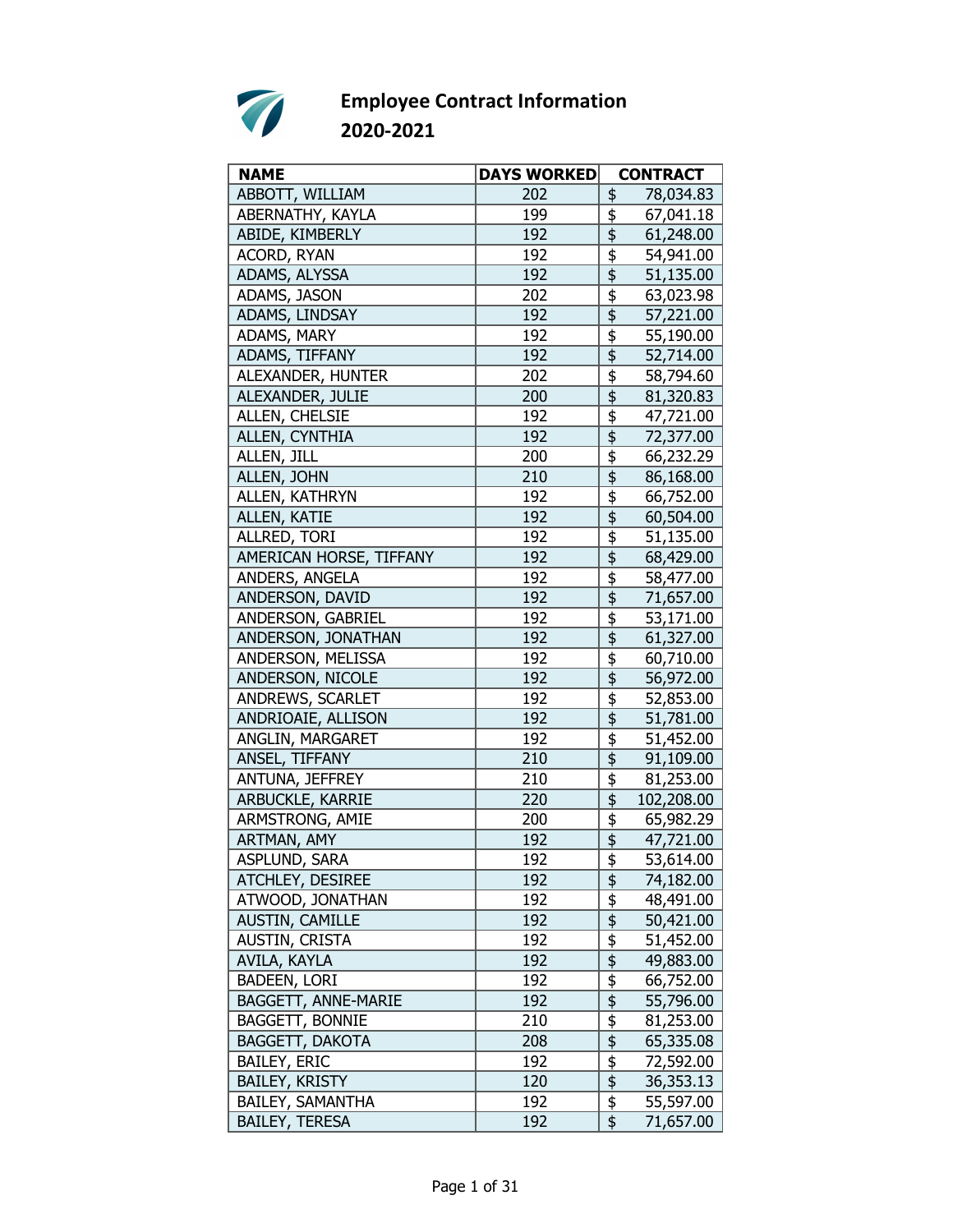

| ABBOTT, WILLIAM<br>202<br>\$<br>78,034.83<br>ABERNATHY, KAYLA<br>\$<br>199<br>67,041.18<br>\$<br>ABIDE, KIMBERLY<br>192<br>61,248.00<br>ACORD, RYAN<br>192<br>\$<br>54,941.00<br>\$<br>ADAMS, ALYSSA<br>192<br>51,135.00<br>ADAMS, JASON<br>\$<br>202<br>63,023.98<br>$\overline{\mathfrak{s}}$<br>192<br>ADAMS, LINDSAY<br>57,221.00<br>\$<br>ADAMS, MARY<br>192<br>55,190.00<br>$\overline{\frac{1}{2}}$<br>ADAMS, TIFFANY<br>192<br>52,714.00<br>ALEXANDER, HUNTER<br>\$<br>202<br>58,794.60<br>\$<br>ALEXANDER, JULIE<br>200<br>81,320.83<br>\$<br>ALLEN, CHELSIE<br>192<br>47,721.00<br>\$<br>ALLEN, CYNTHIA<br>192<br>72,377.00<br>\$<br>ALLEN, JILL<br>200<br>66,232.29<br>ALLEN, JOHN<br>\$<br>210<br>86,168.00<br>ALLEN, KATHRYN<br>\$<br>192<br>66,752.00<br>\$<br><b>ALLEN, KATIE</b><br>192<br>60,504.00<br>192<br>\$<br>ALLRED, TORI<br>51,135.00<br>\$<br>192<br>AMERICAN HORSE, TIFFANY<br>68,429.00 | <b>NAME</b> | <b>DAYS WORKED</b> | <b>CONTRACT</b> |
|---------------------------------------------------------------------------------------------------------------------------------------------------------------------------------------------------------------------------------------------------------------------------------------------------------------------------------------------------------------------------------------------------------------------------------------------------------------------------------------------------------------------------------------------------------------------------------------------------------------------------------------------------------------------------------------------------------------------------------------------------------------------------------------------------------------------------------------------------------------------------------------------------------------------|-------------|--------------------|-----------------|
|                                                                                                                                                                                                                                                                                                                                                                                                                                                                                                                                                                                                                                                                                                                                                                                                                                                                                                                     |             |                    |                 |
|                                                                                                                                                                                                                                                                                                                                                                                                                                                                                                                                                                                                                                                                                                                                                                                                                                                                                                                     |             |                    |                 |
|                                                                                                                                                                                                                                                                                                                                                                                                                                                                                                                                                                                                                                                                                                                                                                                                                                                                                                                     |             |                    |                 |
|                                                                                                                                                                                                                                                                                                                                                                                                                                                                                                                                                                                                                                                                                                                                                                                                                                                                                                                     |             |                    |                 |
|                                                                                                                                                                                                                                                                                                                                                                                                                                                                                                                                                                                                                                                                                                                                                                                                                                                                                                                     |             |                    |                 |
|                                                                                                                                                                                                                                                                                                                                                                                                                                                                                                                                                                                                                                                                                                                                                                                                                                                                                                                     |             |                    |                 |
|                                                                                                                                                                                                                                                                                                                                                                                                                                                                                                                                                                                                                                                                                                                                                                                                                                                                                                                     |             |                    |                 |
|                                                                                                                                                                                                                                                                                                                                                                                                                                                                                                                                                                                                                                                                                                                                                                                                                                                                                                                     |             |                    |                 |
|                                                                                                                                                                                                                                                                                                                                                                                                                                                                                                                                                                                                                                                                                                                                                                                                                                                                                                                     |             |                    |                 |
|                                                                                                                                                                                                                                                                                                                                                                                                                                                                                                                                                                                                                                                                                                                                                                                                                                                                                                                     |             |                    |                 |
|                                                                                                                                                                                                                                                                                                                                                                                                                                                                                                                                                                                                                                                                                                                                                                                                                                                                                                                     |             |                    |                 |
|                                                                                                                                                                                                                                                                                                                                                                                                                                                                                                                                                                                                                                                                                                                                                                                                                                                                                                                     |             |                    |                 |
|                                                                                                                                                                                                                                                                                                                                                                                                                                                                                                                                                                                                                                                                                                                                                                                                                                                                                                                     |             |                    |                 |
|                                                                                                                                                                                                                                                                                                                                                                                                                                                                                                                                                                                                                                                                                                                                                                                                                                                                                                                     |             |                    |                 |
|                                                                                                                                                                                                                                                                                                                                                                                                                                                                                                                                                                                                                                                                                                                                                                                                                                                                                                                     |             |                    |                 |
|                                                                                                                                                                                                                                                                                                                                                                                                                                                                                                                                                                                                                                                                                                                                                                                                                                                                                                                     |             |                    |                 |
|                                                                                                                                                                                                                                                                                                                                                                                                                                                                                                                                                                                                                                                                                                                                                                                                                                                                                                                     |             |                    |                 |
|                                                                                                                                                                                                                                                                                                                                                                                                                                                                                                                                                                                                                                                                                                                                                                                                                                                                                                                     |             |                    |                 |
|                                                                                                                                                                                                                                                                                                                                                                                                                                                                                                                                                                                                                                                                                                                                                                                                                                                                                                                     |             |                    |                 |
| $\overline{\overline{\overline{5}}}$<br>ANDERS, ANGELA<br>192                                                                                                                                                                                                                                                                                                                                                                                                                                                                                                                                                                                                                                                                                                                                                                                                                                                       |             |                    |                 |
| 58,477.00<br>$\overline{\overline{\overline{5}}}$<br>ANDERSON, DAVID<br>192                                                                                                                                                                                                                                                                                                                                                                                                                                                                                                                                                                                                                                                                                                                                                                                                                                         |             |                    |                 |
| 71,657.00                                                                                                                                                                                                                                                                                                                                                                                                                                                                                                                                                                                                                                                                                                                                                                                                                                                                                                           |             |                    |                 |
| \$<br>ANDERSON, GABRIEL<br>192<br>53,171.00                                                                                                                                                                                                                                                                                                                                                                                                                                                                                                                                                                                                                                                                                                                                                                                                                                                                         |             |                    |                 |
| \$<br>ANDERSON, JONATHAN<br>192<br>61,327.00                                                                                                                                                                                                                                                                                                                                                                                                                                                                                                                                                                                                                                                                                                                                                                                                                                                                        |             |                    |                 |
| \$<br>ANDERSON, MELISSA<br>192<br>60,710.00                                                                                                                                                                                                                                                                                                                                                                                                                                                                                                                                                                                                                                                                                                                                                                                                                                                                         |             |                    |                 |
| $\overline{\mathfrak{s}}$<br>ANDERSON, NICOLE<br>192<br>56,972.00                                                                                                                                                                                                                                                                                                                                                                                                                                                                                                                                                                                                                                                                                                                                                                                                                                                   |             |                    |                 |
| \$<br>192<br>ANDREWS, SCARLET<br>52,853.00                                                                                                                                                                                                                                                                                                                                                                                                                                                                                                                                                                                                                                                                                                                                                                                                                                                                          |             |                    |                 |
| \$<br>ANDRIOAIE, ALLISON<br>192<br>51,781.00                                                                                                                                                                                                                                                                                                                                                                                                                                                                                                                                                                                                                                                                                                                                                                                                                                                                        |             |                    |                 |
| \$<br>ANGLIN, MARGARET<br>192<br>51,452.00                                                                                                                                                                                                                                                                                                                                                                                                                                                                                                                                                                                                                                                                                                                                                                                                                                                                          |             |                    |                 |
| ANSEL, TIFFANY<br>\$<br>210<br>91,109.00                                                                                                                                                                                                                                                                                                                                                                                                                                                                                                                                                                                                                                                                                                                                                                                                                                                                            |             |                    |                 |
| ANTUNA, JEFFREY<br>\$<br>210<br>81,253.00                                                                                                                                                                                                                                                                                                                                                                                                                                                                                                                                                                                                                                                                                                                                                                                                                                                                           |             |                    |                 |
| \$<br>ARBUCKLE, KARRIE<br>220<br>102,208.00                                                                                                                                                                                                                                                                                                                                                                                                                                                                                                                                                                                                                                                                                                                                                                                                                                                                         |             |                    |                 |
| \$<br>ARMSTRONG, AMIE<br>200<br>65,982.29                                                                                                                                                                                                                                                                                                                                                                                                                                                                                                                                                                                                                                                                                                                                                                                                                                                                           |             |                    |                 |
| \$<br>ARTMAN, AMY<br>192<br>47,721.00                                                                                                                                                                                                                                                                                                                                                                                                                                                                                                                                                                                                                                                                                                                                                                                                                                                                               |             |                    |                 |
| \$<br>ASPLUND, SARA<br>192<br>53,614.00                                                                                                                                                                                                                                                                                                                                                                                                                                                                                                                                                                                                                                                                                                                                                                                                                                                                             |             |                    |                 |
| ATCHLEY, DESIREE<br>192<br>\$<br>74,182.00                                                                                                                                                                                                                                                                                                                                                                                                                                                                                                                                                                                                                                                                                                                                                                                                                                                                          |             |                    |                 |
| \$<br>ATWOOD, JONATHAN<br>192<br>48,491.00                                                                                                                                                                                                                                                                                                                                                                                                                                                                                                                                                                                                                                                                                                                                                                                                                                                                          |             |                    |                 |
| \$<br>192<br>50,421.00<br><b>AUSTIN, CAMILLE</b>                                                                                                                                                                                                                                                                                                                                                                                                                                                                                                                                                                                                                                                                                                                                                                                                                                                                    |             |                    |                 |
| $\frac{1}{2}$<br>AUSTIN, CRISTA<br>192<br>51,452.00                                                                                                                                                                                                                                                                                                                                                                                                                                                                                                                                                                                                                                                                                                                                                                                                                                                                 |             |                    |                 |
| AVILA, KAYLA<br>192<br>49,883.00                                                                                                                                                                                                                                                                                                                                                                                                                                                                                                                                                                                                                                                                                                                                                                                                                                                                                    |             |                    |                 |
| <b>BADEEN, LORI</b><br>192<br>66,752.00                                                                                                                                                                                                                                                                                                                                                                                                                                                                                                                                                                                                                                                                                                                                                                                                                                                                             |             |                    |                 |
| $\frac{6}{3}$<br>192<br>BAGGETT, ANNE-MARIE<br>55,796.00                                                                                                                                                                                                                                                                                                                                                                                                                                                                                                                                                                                                                                                                                                                                                                                                                                                            |             |                    |                 |
| \$<br><b>BAGGETT, BONNIE</b><br>210<br>81,253.00                                                                                                                                                                                                                                                                                                                                                                                                                                                                                                                                                                                                                                                                                                                                                                                                                                                                    |             |                    |                 |
| \$<br><b>BAGGETT, DAKOTA</b><br>208<br>65,335.08                                                                                                                                                                                                                                                                                                                                                                                                                                                                                                                                                                                                                                                                                                                                                                                                                                                                    |             |                    |                 |
| $\frac{1}{2}$<br><b>BAILEY, ERIC</b><br>192<br>72,592.00                                                                                                                                                                                                                                                                                                                                                                                                                                                                                                                                                                                                                                                                                                                                                                                                                                                            |             |                    |                 |
| $\overline{\boldsymbol{\mathsf{s}}}$<br><b>BAILEY, KRISTY</b><br>120<br>36,353.13                                                                                                                                                                                                                                                                                                                                                                                                                                                                                                                                                                                                                                                                                                                                                                                                                                   |             |                    |                 |
| $\frac{1}{2}$<br>BAILEY, SAMANTHA<br>192<br>55,597.00                                                                                                                                                                                                                                                                                                                                                                                                                                                                                                                                                                                                                                                                                                                                                                                                                                                               |             |                    |                 |
| \$<br><b>BAILEY, TERESA</b><br>192<br>71,657.00                                                                                                                                                                                                                                                                                                                                                                                                                                                                                                                                                                                                                                                                                                                                                                                                                                                                     |             |                    |                 |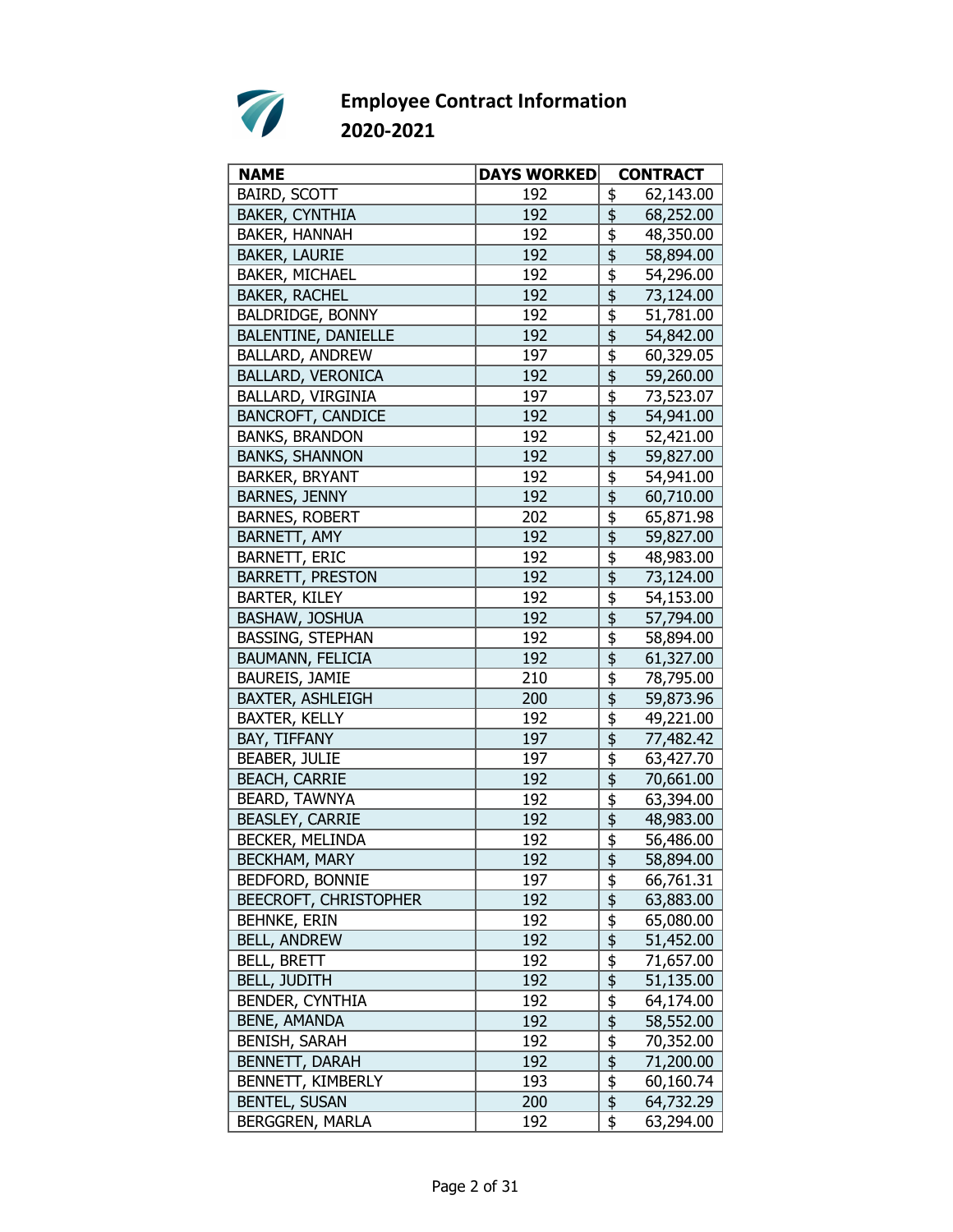

| <b>NAME</b>                  | <b>DAYS WORKED</b> | <b>CONTRACT</b>                                              |
|------------------------------|--------------------|--------------------------------------------------------------|
| <b>BAIRD, SCOTT</b>          | 192                | \$<br>62,143.00                                              |
| <b>BAKER, CYNTHIA</b>        | 192                | \$<br>68,252.00                                              |
| BAKER, HANNAH                | 192                | \$<br>48,350.00                                              |
| <b>BAKER, LAURIE</b>         | 192                | \$<br>58,894.00                                              |
| BAKER, MICHAEL               | 192                | $\overline{\overline{\overline{5}}}$<br>54,296.00            |
| <b>BAKER, RACHEL</b>         | 192                | $\overline{\overline{\overline{\overline{5}}}}$<br>73,124.00 |
| <b>BALDRIDGE, BONNY</b>      | 192                | \$<br>51,781.00                                              |
| BALENTINE, DANIELLE          | 192                | $\overline{\frac{1}{2}}$<br>54,842.00                        |
| BALLARD, ANDREW              | 197                | \$<br>60,329.05                                              |
| <b>BALLARD, VERONICA</b>     | 192                | \$<br>59,260.00                                              |
| BALLARD, VIRGINIA            | 197                | \$<br>73,523.07                                              |
| <b>BANCROFT, CANDICE</b>     | 192                | \$<br>54,941.00                                              |
| <b>BANKS, BRANDON</b>        | 192                | \$<br>52,421.00                                              |
| <b>BANKS, SHANNON</b>        | 192                | $\overline{\overline{\overline{\overline{z}}}}$<br>59,827.00 |
| <b>BARKER, BRYANT</b>        | 192                | \$<br>54,941.00                                              |
| <b>BARNES, JENNY</b>         | 192                | \$<br>60,710.00                                              |
| <b>BARNES, ROBERT</b>        | 202                | \$<br>65,871.98                                              |
| BARNETT, AMY                 | 192                | $\frac{1}{2}$<br>59,827.00                                   |
| <b>BARNETT, ERIC</b>         | 192                | \$<br>48,983.00                                              |
| <b>BARRETT, PRESTON</b>      | 192                | \$<br>73,124.00                                              |
| <b>BARTER, KILEY</b>         | 192                | \$<br>54,153.00                                              |
| BASHAW, JOSHUA               | 192                | \$<br>57,794.00                                              |
| <b>BASSING, STEPHAN</b>      | 192                | \$<br>58,894.00                                              |
| <b>BAUMANN, FELICIA</b>      | 192                | $\overline{\frac{1}{2}}$<br>61,327.00                        |
| BAUREIS, JAMIE               | 210                | \$<br>78,795.00                                              |
| <b>BAXTER, ASHLEIGH</b>      | 200                | \$<br>59,873.96                                              |
| <b>BAXTER, KELLY</b>         | 192                | \$<br>49,221.00                                              |
| BAY, TIFFANY                 | 197                | \$<br>77,482.42                                              |
| <b>BEABER, JULIE</b>         | 197                | \$<br>63,427.70                                              |
| <b>BEACH, CARRIE</b>         | 192                | $\overline{\mathfrak{s}}$<br>70,661.00                       |
| <b>BEARD, TAWNYA</b>         | 192                | \$<br>63,394.00                                              |
| <b>BEASLEY, CARRIE</b>       | 192                | $\overline{\mathfrak{s}}$<br>48,983.00                       |
| BECKER, MELINDA              | 192                | \$<br>56,486.00                                              |
| <b>BECKHAM, MARY</b>         | 192                | \$<br>58,894.00                                              |
| BEDFORD, BONNIE              | 197                | \$<br>66,761.31                                              |
| <b>BEECROFT, CHRISTOPHER</b> | 192                | \$<br>63,883.00                                              |
| <b>BEHNKE, ERIN</b>          | 192                | \$<br>65,080.00                                              |
| <b>BELL, ANDREW</b>          | 192                | $\overline{\mathfrak{s}}$<br>51,452.00                       |
| <b>BELL, BRETT</b>           | 192                | \$<br>71,657.00                                              |
| <b>BELL, JUDITH</b>          | 192                | \$<br>51,135.00                                              |
| BENDER, CYNTHIA              | 192                | \$<br>64,174.00                                              |
| <b>BENE, AMANDA</b>          | 192                | \$<br>58,552.00                                              |
| <b>BENISH, SARAH</b>         | 192                | $\frac{1}{2}$<br>70,352.00                                   |
| <b>BENNETT, DARAH</b>        | 192                | \$<br>71,200.00                                              |
| BENNETT, KIMBERLY            | 193                | \$<br>60,160.74                                              |
| <b>BENTEL, SUSAN</b>         | 200                | \$<br>64,732.29                                              |
| BERGGREN, MARLA              | 192                | \$<br>63,294.00                                              |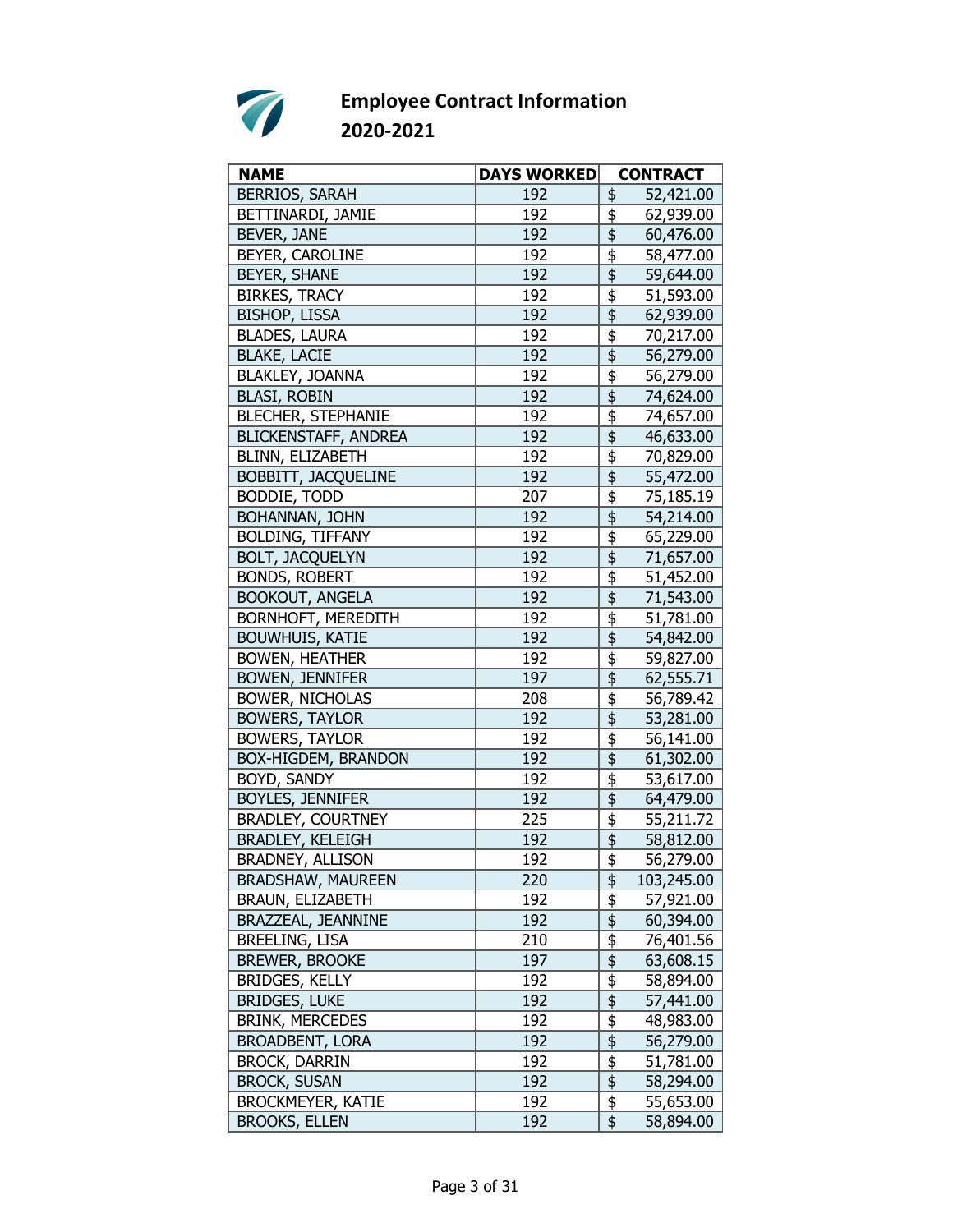

| <b>NAME</b>                | <b>DAYS WORKED</b> |                                                 | <b>CONTRACT</b> |
|----------------------------|--------------------|-------------------------------------------------|-----------------|
| <b>BERRIOS, SARAH</b>      | 192                | \$                                              | 52,421.00       |
| BETTINARDI, JAMIE          | 192                | \$                                              | 62,939.00       |
| BEVER, JANE                | 192                | \$                                              | 60,476.00       |
| BEYER, CAROLINE            | 192                | \$                                              | 58,477.00       |
| <b>BEYER, SHANE</b>        | 192                | $\overline{\overline{\overline{5}}}$            | 59,644.00       |
| <b>BIRKES, TRACY</b>       | 192                | \$                                              | 51,593.00       |
| <b>BISHOP, LISSA</b>       | 192                | $\overline{\overline{\overline{\overline{z}}}}$ | 62,939.00       |
| <b>BLADES, LAURA</b>       | 192                | \$                                              | 70,217.00       |
| <b>BLAKE, LACIE</b>        | 192                | $\overline{\frac{1}{2}}$                        | 56,279.00       |
| BLAKLEY, JOANNA            | 192                | \$                                              | 56,279.00       |
| <b>BLASI, ROBIN</b>        | 192                | \$                                              | 74,624.00       |
| <b>BLECHER, STEPHANIE</b>  | 192                | \$                                              | 74,657.00       |
| BLICKENSTAFF, ANDREA       | 192                | $\overline{\overline{\overline{5}}}$            | 46,633.00       |
| BLINN, ELIZABETH           | 192                | \$                                              | 70,829.00       |
| <b>BOBBITT, JACQUELINE</b> | 192                | $\overline{\mathfrak{s}}$                       | 55,472.00       |
| <b>BODDIE, TODD</b>        | 207                | \$                                              | 75,185.19       |
| BOHANNAN, JOHN             | 192                | \$                                              | 54,214.00       |
| <b>BOLDING, TIFFANY</b>    | 192                | \$                                              | 65,229.00       |
| <b>BOLT, JACQUELYN</b>     | 192                | \$                                              | 71,657.00       |
| <b>BONDS, ROBERT</b>       | 192                | \$                                              | 51,452.00       |
| <b>BOOKOUT, ANGELA</b>     | 192                |                                                 | 71,543.00       |
| <b>BORNHOFT, MEREDITH</b>  | 192                | \$                                              | 51,781.00       |
| <b>BOUWHUIS, KATIE</b>     | 192                | \$                                              | 54,842.00       |
| <b>BOWEN, HEATHER</b>      | 192                | \$                                              | 59,827.00       |
| <b>BOWEN, JENNIFER</b>     | 197                | $\overline{\overline{\overline{\overline{z}}}}$ | 62,555.71       |
| <b>BOWER, NICHOLAS</b>     | 208                | \$                                              | 56,789.42       |
| <b>BOWERS, TAYLOR</b>      | 192                | $\overline{\overline{\overline{5}}}$            | 53,281.00       |
| <b>BOWERS, TAYLOR</b>      | 192                | \$                                              | 56,141.00       |
| BOX-HIGDEM, BRANDON        | 192                | \$                                              | 61,302.00       |
| BOYD, SANDY                | 192                | \$                                              | 53,617.00       |
| BOYLES, JENNIFER           | 192                | $\overline{\overline{\overline{5}}}$            | 64,479.00       |
| <b>BRADLEY, COURTNEY</b>   | 225                | $\overline{\boldsymbol{\mathfrak{s}}}$          | 55,211.72       |
| <b>BRADLEY, KELEIGH</b>    | 192                | \$                                              | 58,812.00       |
| BRADNEY, ALLISON           | 192                | \$                                              | 56,279.00       |
| <b>BRADSHAW, MAUREEN</b>   | 220                | \$                                              | 103,245.00      |
| BRAUN, ELIZABETH           | 192                | $\frac{1}{2}$                                   | 57,921.00       |
| BRAZZEAL, JEANNINE         | 192                | $\overline{\mathfrak{s}}$                       | 60,394.00       |
| <b>BREELING, LISA</b>      | 210                | $\overline{\mathfrak{s}}$                       | 76,401.56       |
| <b>BREWER, BROOKE</b>      | 197                | $\overline{\frac{1}{2}}$                        | 63,608.15       |
| BRIDGES, KELLY             | 192                | \$                                              | 58,894.00       |
| <b>BRIDGES, LUKE</b>       | 192                | \$                                              | 57,441.00       |
| <b>BRINK, MERCEDES</b>     | 192                | \$                                              | 48,983.00       |
| <b>BROADBENT, LORA</b>     | 192                | $\overline{\mathfrak{s}}$                       | 56,279.00       |
| <b>BROCK, DARRIN</b>       | 192                | \$                                              | 51,781.00       |
| <b>BROCK, SUSAN</b>        | 192                | $\overline{\frac{1}{2}}$                        | 58,294.00       |
| <b>BROCKMEYER, KATIE</b>   | 192                | \$                                              | 55,653.00       |
| <b>BROOKS, ELLEN</b>       | 192                | \$                                              | 58,894.00       |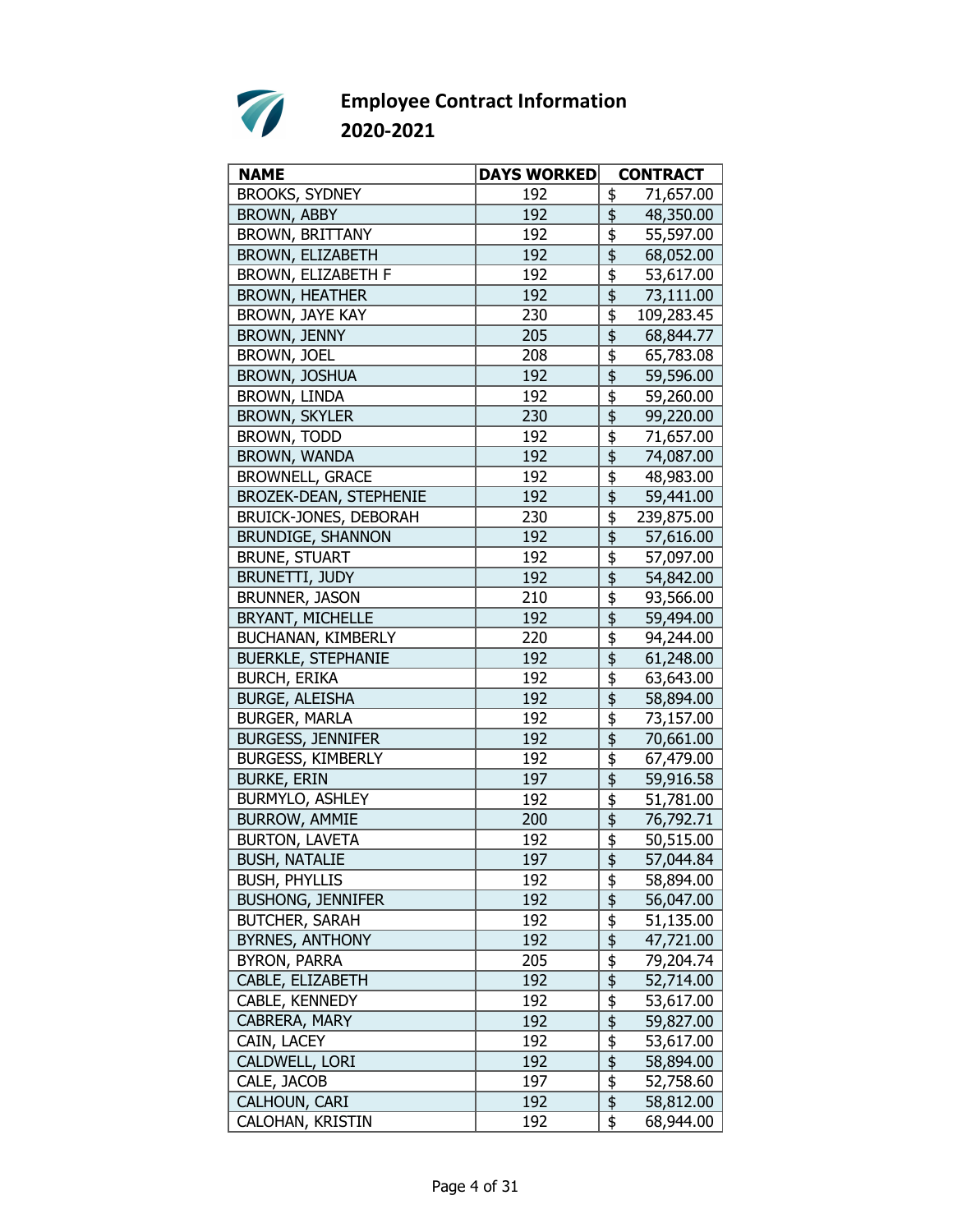

| <b>NAME</b>                   | <b>DAYS WORKED</b> | <b>CONTRACT</b>                                              |
|-------------------------------|--------------------|--------------------------------------------------------------|
| <b>BROOKS, SYDNEY</b>         | 192                | 71,657.00<br>\$                                              |
| <b>BROWN, ABBY</b>            | 192                | \$<br>48,350.00                                              |
| <b>BROWN, BRITTANY</b>        | 192                | \$<br>55,597.00                                              |
| BROWN, ELIZABETH              | 192                | \$<br>68,052.00                                              |
| BROWN, ELIZABETH F            | 192                | $\overline{\overline{\overline{5}}}$<br>53,617.00            |
| <b>BROWN, HEATHER</b>         | 192                | $\overline{\overline{\overline{5}}}$<br>73,111.00            |
| BROWN, JAYE KAY               | 230                | $\overline{\boldsymbol{\mathfrak{s}}}$<br>109,283.45         |
| BROWN, JENNY                  | 205                | \$<br>68,844.77                                              |
| BROWN, JOEL                   | 208                | \$<br>65,783.08                                              |
| BROWN, JOSHUA                 | 192                | \$<br>59,596.00                                              |
| BROWN, LINDA                  | 192                | \$<br>59,260.00                                              |
| <b>BROWN, SKYLER</b>          | 230                | $\overline{\overline{\overline{5}}}$<br>99,220.00            |
| BROWN, TODD                   | 192                | $\overline{\overline{\overline{\overline{z}}}}$<br>71,657.00 |
| BROWN, WANDA                  | 192                | $\overline{\overline{\overline{5}}}$<br>74,087.00            |
| <b>BROWNELL, GRACE</b>        | 192                | \$<br>48,983.00                                              |
| <b>BROZEK-DEAN, STEPHENIE</b> | 192                | \$<br>59,441.00                                              |
| BRUICK-JONES, DEBORAH         | 230                | \$<br>239,875.00                                             |
| <b>BRUNDIGE, SHANNON</b>      | 192                | $\overline{\overline{\overline{5}}}$<br>57,616.00            |
| <b>BRUNE, STUART</b>          | 192                | \$<br>57,097.00                                              |
| <b>BRUNETTI, JUDY</b>         | 192                | $\overline{\mathfrak{s}}$<br>54,842.00                       |
| <b>BRUNNER, JASON</b>         | 210                | \$<br>93,566.00                                              |
| BRYANT, MICHELLE              | 192                | \$<br>59,494.00                                              |
| BUCHANAN, KIMBERLY            | 220                | \$<br>94,244.00                                              |
| <b>BUERKLE, STEPHANIE</b>     | 192                | \$<br>61,248.00                                              |
| <b>BURCH, ERIKA</b>           | 192                | $\overline{\overline{\overline{5}}}$<br>63,643.00            |
| <b>BURGE, ALEISHA</b>         | 192                | $\overline{\overline{\overline{\overline{z}}}}$<br>58,894.00 |
| <b>BURGER, MARLA</b>          | 192                | \$<br>73,157.00                                              |
| <b>BURGESS, JENNIFER</b>      | 192                | \$<br>70,661.00                                              |
| BURGESS, KIMBERLY             | 192                | \$<br>67,479.00                                              |
| <b>BURKE, ERIN</b>            | 197                | $\overline{\overline{\overline{5}}}$<br>59,916.58            |
| BURMYLO, ASHLEY               | 192                | $\overline{\overline{\overline{5}}}$<br>51,781.00            |
| <b>BURROW, AMMIE</b>          | 200                | 76,792.71                                                    |
| <b>BURTON, LAVETA</b>         | 192                | \$<br>50,515.00                                              |
| <b>BUSH, NATALIE</b>          | 197                | \$<br>57,044.84                                              |
| <b>BUSH, PHYLLIS</b>          | 192                | \$<br>58,894.00                                              |
| <b>BUSHONG, JENNIFER</b>      | 192                | \$<br>56,047.00                                              |
| <b>BUTCHER, SARAH</b>         | 192                | \$<br>51,135.00                                              |
| <b>BYRNES, ANTHONY</b>        | 192                | 47,721.00                                                    |
| <b>BYRON, PARRA</b>           | 205                | $\frac{1}{2}$<br>79,204.74                                   |
| CABLE, ELIZABETH              | 192                | $\overline{\overline{\overline{\overline{z}}}}$<br>52,714.00 |
| CABLE, KENNEDY                | 192                | \$<br>53,617.00                                              |
| CABRERA, MARY                 | 192                | \$<br>59,827.00                                              |
| CAIN, LACEY                   | 192                | \$<br>53,617.00                                              |
| CALDWELL, LORI                | 192                | \$<br>58,894.00                                              |
| CALE, JACOB                   | 197                | $\overline{\frac{1}{2}}$<br>52,758.60                        |
| CALHOUN, CARI                 | 192                | 58,812.00                                                    |
| CALOHAN, KRISTIN              | 192                | \$<br>68,944.00                                              |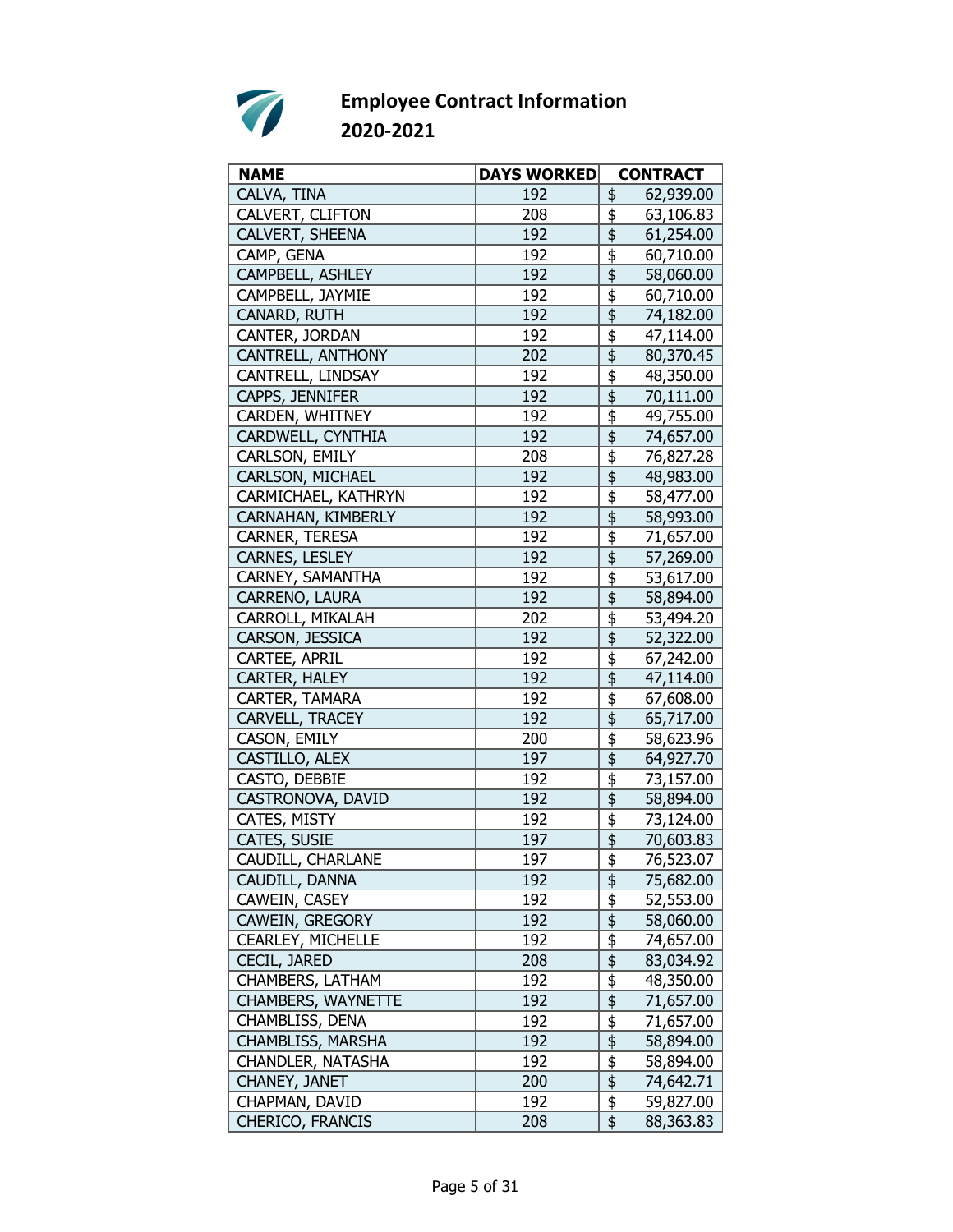

| <b>NAME</b>               | <b>DAYS WORKED</b> | <b>CONTRACT</b>                                     |
|---------------------------|--------------------|-----------------------------------------------------|
| CALVA, TINA               | 192                | 62,939.00<br>\$                                     |
| CALVERT, CLIFTON          | 208                | \$<br>63,106.83                                     |
| CALVERT, SHEENA           | 192                | \$<br>61,254.00                                     |
| CAMP, GENA                | 192                | \$<br>60,710.00                                     |
| CAMPBELL, ASHLEY          | 192                | $\overline{\mathfrak{s}}$<br>58,060.00              |
| CAMPBELL, JAYMIE          | 192                | \$<br>60,710.00                                     |
| CANARD, RUTH              | 192                | $\overline{\overline{\overline{5}}}$<br>74,182.00   |
| CANTER, JORDAN            | 192                | \$<br>47,114.00                                     |
| CANTRELL, ANTHONY         | 202                | \$<br>80,370.45                                     |
| CANTRELL, LINDSAY         | 192                | \$<br>48,350.00                                     |
| CAPPS, JENNIFER           | 192                | \$<br>70,111.00                                     |
| CARDEN, WHITNEY           | 192                | \$<br>49,755.00                                     |
| CARDWELL, CYNTHIA         | 192                | $\overline{\mathfrak{s}}$<br>74,657.00              |
| CARLSON, EMILY            | 208                | $\overline{\boldsymbol{\mathfrak{s}}}$<br>76,827.28 |
| CARLSON, MICHAEL          | 192                | \$<br>48,983.00                                     |
| CARMICHAEL, KATHRYN       | 192                | \$<br>58,477.00                                     |
| CARNAHAN, KIMBERLY        | 192                | \$<br>58,993.00                                     |
| CARNER, TERESA            | 192                | \$<br>71,657.00                                     |
| CARNES, LESLEY            | 192                | 57,269.00                                           |
| CARNEY, SAMANTHA          | 192                | \$<br>53,617.00                                     |
| CARRENO, LAURA            | 192                | $\overline{\overline{\overline{5}}}$<br>58,894.00   |
| CARROLL, MIKALAH          | 202                | \$<br>53,494.20                                     |
| CARSON, JESSICA           | 192                | \$<br>52,322.00                                     |
| CARTEE, APRIL             | 192                | \$<br>67,242.00                                     |
| CARTER, HALEY             | 192                | $\overline{\mathfrak{s}}$<br>47,114.00              |
| CARTER, TAMARA            | 192                | \$<br>67,608.00                                     |
| CARVELL, TRACEY           | 192                | \$<br>65,717.00                                     |
| CASON, EMILY              | 200                | \$<br>58,623.96                                     |
| CASTILLO, ALEX            | 197                | \$<br>64,927.70                                     |
| CASTO, DEBBIE             | 192                | \$<br>73,157.00                                     |
| CASTRONOVA, DAVID         | 192                | \$<br>58,894.00                                     |
| CATES, MISTY              | 192                | $\overline{\overline{\overline{5}}}$<br>73,124.00   |
| CATES, SUSIE              | 197                | $\overline{\boldsymbol{\mathsf{S}}}$<br>70,603.83   |
| CAUDILL, CHARLANE         | 197                | $\frac{1}{2}$<br>76,523.07                          |
| CAUDILL, DANNA            | 192                | \$<br>75,682.00                                     |
| CAWEIN, CASEY             | 192                | $\frac{1}{2}$<br>52,553.00                          |
| CAWEIN, GREGORY           | 192                | $\overline{\mathfrak{s}}$<br>58,060.00              |
| CEARLEY, MICHELLE         | 192                | $\frac{1}{2}$<br>74,657.00                          |
| CECIL, JARED              | 208                | $\overline{\frac{1}{2}}$<br>83,034.92               |
| CHAMBERS, LATHAM          | 192                | \$<br>48,350.00                                     |
| <b>CHAMBERS, WAYNETTE</b> | 192                | \$<br>71,657.00                                     |
| CHAMBLISS, DENA           | 192                | \$<br>71,657.00                                     |
| CHAMBLISS, MARSHA         | 192                | $\overline{\mathfrak{s}}$<br>58,894.00              |
| CHANDLER, NATASHA         | 192                | \$<br>58,894.00                                     |
| CHANEY, JANET             | 200                | $\frac{1}{2}$<br>74,642.71                          |
| CHAPMAN, DAVID            | 192                | $\overline{\boldsymbol{\mathsf{F}}}$<br>59,827.00   |
| CHERICO, FRANCIS          | 208                | \$<br>88,363.83                                     |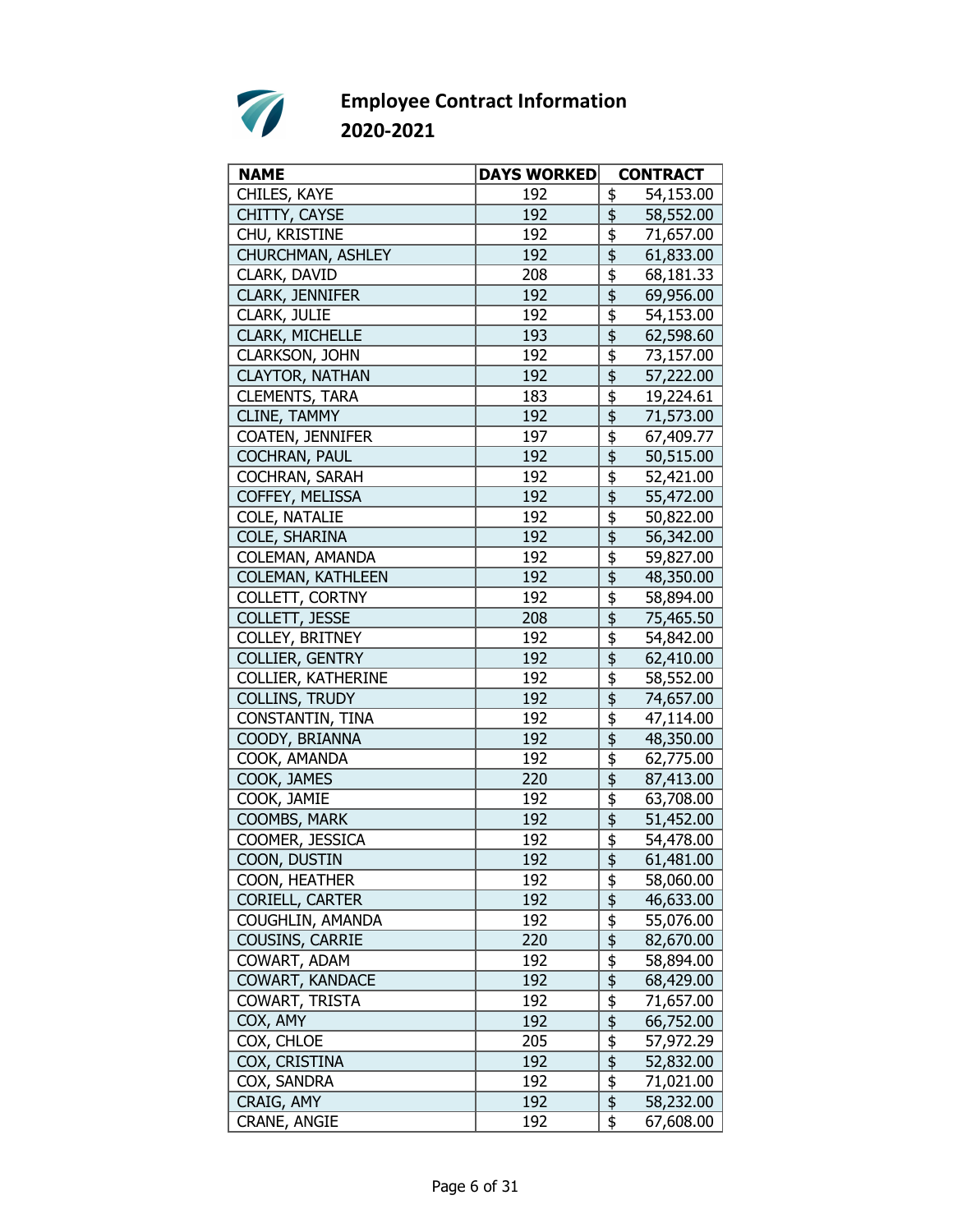

| <b>NAME</b>               | <b>DAYS WORKED</b> | <b>CONTRACT</b>                                              |
|---------------------------|--------------------|--------------------------------------------------------------|
| CHILES, KAYE              | 192                | \$<br>54,153.00                                              |
| CHITTY, CAYSE             | 192                | \$<br>58,552.00                                              |
| CHU, KRISTINE             | 192                | \$<br>71,657.00                                              |
| CHURCHMAN, ASHLEY         | 192                | \$<br>61,833.00                                              |
| CLARK, DAVID              | 208                | \$<br>68,181.33                                              |
| <b>CLARK, JENNIFER</b>    | 192                | \$<br>69,956.00                                              |
| CLARK, JULIE              | 192                | $\overline{\boldsymbol{\mathfrak{s}}}$<br>54,153.00          |
| CLARK, MICHELLE           | 193                | $\overline{\overline{\overline{5}}}$<br>62,598.60            |
| <b>CLARKSON, JOHN</b>     | 192                | \$<br>73,157.00                                              |
| <b>CLAYTOR, NATHAN</b>    | 192                | \$<br>57,222.00                                              |
| <b>CLEMENTS, TARA</b>     | 183                | \$<br>19,224.61                                              |
| CLINE, TAMMY              | 192                | \$<br>71,573.00                                              |
| COATEN, JENNIFER          | 197                | \$<br>67,409.77                                              |
| <b>COCHRAN, PAUL</b>      | 192                | $\overline{\overline{\overline{\overline{z}}}}$<br>50,515.00 |
| COCHRAN, SARAH            | 192                | \$<br>52,421.00                                              |
| COFFEY, MELISSA           | 192                | $\overline{\overline{\overline{5}}}$<br>55,472.00            |
| COLE, NATALIE             | 192                | \$<br>50,822.00                                              |
| COLE, SHARINA             | 192                | \$<br>56,342.00                                              |
| COLEMAN, AMANDA           | 192                | \$<br>59,827.00                                              |
| <b>COLEMAN, KATHLEEN</b>  | 192                | $\overline{\overline{\overline{5}}}$<br>48,350.00            |
| COLLETT, CORTNY           | 192                | \$<br>58,894.00                                              |
| COLLETT, JESSE            | 208                | 75,465.50                                                    |
| COLLEY, BRITNEY           | 192                | \$<br>54,842.00                                              |
| COLLIER, GENTRY           | 192                | \$<br>62,410.00                                              |
| <b>COLLIER, KATHERINE</b> | 192                | \$<br>58,552.00                                              |
| <b>COLLINS, TRUDY</b>     | 192                | \$<br>74,657.00                                              |
| CONSTANTIN, TINA          | 192                | \$<br>47,114.00                                              |
| COODY, BRIANNA            | 192                | \$<br>48,350.00                                              |
| COOK, AMANDA              | 192                | \$<br>62,775.00                                              |
| COOK, JAMES               | 220                | \$<br>87,413.00                                              |
| COOK, JAMIE               | 192                | \$<br>63,708.00                                              |
| COOMBS, MARK              | 192                | $\overline{\overline{\overline{5}}}$<br>51,452.00            |
| COOMER, JESSICA           | 192                | \$<br>54,478.00                                              |
| COON, DUSTIN              | 192                | 61,481.00                                                    |
| COON, HEATHER             | 192                | <u>\$</u><br>58,060.00                                       |
| CORIELL, CARTER           | 192                | \$<br>46,633.00                                              |
| COUGHLIN, AMANDA          | 192                | \$<br>55,076.00                                              |
| COUSINS, CARRIE           | 220                | $\overline{\mathfrak{s}}$<br>82,670.00                       |
| COWART, ADAM              | 192                | $\overline{\mathfrak{s}}$<br>58,894.00                       |
| <b>COWART, KANDACE</b>    | 192                | $\overline{\frac{1}{2}}$<br>68,429.00                        |
| COWART, TRISTA            | 192                | $\overline{\mathfrak{s}}$<br>71,657.00                       |
| COX, AMY                  | 192                | \$<br>66,752.00                                              |
| COX, CHLOE                | 205                | \$<br>57,972.29                                              |
| COX, CRISTINA             | 192                | $\overline{\mathfrak{s}}$<br>52,832.00                       |
| COX, SANDRA               | 192                | $\overline{\mathfrak{s}}$<br>71,021.00                       |
| CRAIG, AMY                | 192                | $\overline{\frac{1}{2}}$<br>58,232.00                        |
| CRANE, ANGIE              | 192                | \$<br>67,608.00                                              |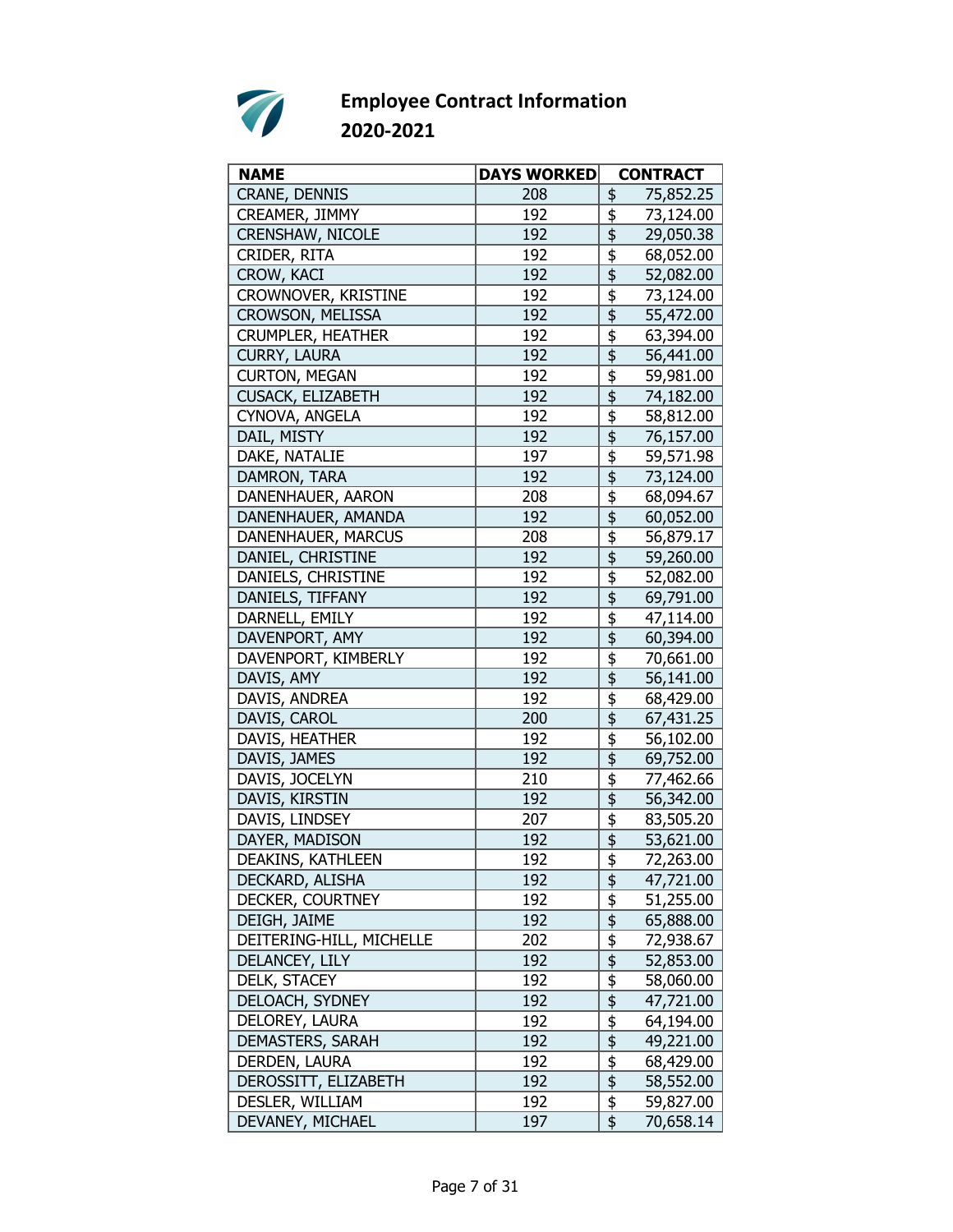

| <b>NAME</b>              | <b>DAYS WORKED</b> | <b>CONTRACT</b>                                   |
|--------------------------|--------------------|---------------------------------------------------|
| CRANE, DENNIS            | 208                | 75,852.25<br>\$                                   |
| CREAMER, JIMMY           | 192                | \$<br>73,124.00                                   |
| <b>CRENSHAW, NICOLE</b>  | 192                | \$<br>29,050.38                                   |
| CRIDER, RITA             | 192                | \$<br>68,052.00                                   |
| CROW, KACI               | 192                | \$<br>52,082.00                                   |
| CROWNOVER, KRISTINE      | 192                | \$<br>73,124.00                                   |
| CROWSON, MELISSA         | 192                | 55,472.00                                         |
| <b>CRUMPLER, HEATHER</b> | 192                | \$<br>63,394.00                                   |
| <b>CURRY, LAURA</b>      | 192                | \$<br>56,441.00                                   |
| <b>CURTON, MEGAN</b>     | 192                | \$<br>59,981.00                                   |
| CUSACK, ELIZABETH        | 192                | \$<br>74,182.00                                   |
| CYNOVA, ANGELA           | 192                | \$<br>58,812.00                                   |
| DAIL, MISTY              | 192                | \$<br>76,157.00                                   |
| DAKE, NATALIE            | 197                | \$<br>59,571.98                                   |
| DAMRON, TARA             | 192                | \$<br>73,124.00                                   |
| DANENHAUER, AARON        | 208                | \$<br>68,094.67                                   |
| DANENHAUER, AMANDA       | 192                | \$<br>60,052.00                                   |
| DANENHAUER, MARCUS       | 208                | \$<br>56,879.17                                   |
| DANIEL, CHRISTINE        | 192                | \$<br>59,260.00                                   |
| DANIELS, CHRISTINE       |                    |                                                   |
|                          | 192<br>192         | \$<br>52,082.00                                   |
| DANIELS, TIFFANY         |                    | 69,791.00                                         |
| DARNELL, EMILY           | 192                | \$<br>47,114.00                                   |
| DAVENPORT, AMY           | 192                | \$<br>60,394.00                                   |
| DAVENPORT, KIMBERLY      | 192                | \$<br>70,661.00                                   |
| DAVIS, AMY               | 192                | $\overline{\mathfrak{s}}$<br>56,141.00            |
| DAVIS, ANDREA            | 192                | $\overline{\overline{\overline{5}}}$<br>68,429.00 |
| DAVIS, CAROL             | 200                | \$<br>67,431.25                                   |
| DAVIS, HEATHER           | 192                | \$<br>56,102.00                                   |
| DAVIS, JAMES             | 192                | \$<br>69,752.00                                   |
| DAVIS, JOCELYN           | 210                | \$<br>77,462.66                                   |
| DAVIS, KIRSTIN           | 192                | \$<br>56,342.00                                   |
| DAVIS, LINDSEY           | 207                | $\overline{\overline{\overline{5}}}$<br>83,505.20 |
| DAYER, MADISON           | 192                | \$<br>53,621.00                                   |
| DEAKINS, KATHLEEN        | 192                | \$<br>72,263.00                                   |
| DECKARD, ALISHA          | 192                | \$<br>47,721.00                                   |
| DECKER, COURTNEY         | 192                | $\frac{1}{2}$<br>51,255.00                        |
| DEIGH, JAIME             | 192                | \$<br>65,888.00                                   |
| DEITERING-HILL, MICHELLE | 202                | \$<br>72,938.67                                   |
| DELANCEY, LILY           | 192                | $\overline{\mathfrak{s}}$<br>52,853.00            |
| DELK, STACEY             | 192                | $\overline{\frac{1}{2}}$<br>58,060.00             |
| DELOACH, SYDNEY          | 192                | $\overline{\frac{1}{2}}$<br>47,721.00             |
| DELOREY, LAURA           | 192                | \$<br>64,194.00                                   |
| DEMASTERS, SARAH         | 192                | $\frac{1}{2}$<br>49,221.00                        |
| DERDEN, LAURA            | 192                | $\frac{1}{2}$<br>68,429.00                        |
| DEROSSITT, ELIZABETH     | 192                | $\overline{\mathfrak{s}}$<br>58,552.00            |
| DESLER, WILLIAM          | 192                | $\overline{\overline{\overline{z}}}$<br>59,827.00 |
| DEVANEY, MICHAEL         | 197                | \$<br>70,658.14                                   |
|                          |                    |                                                   |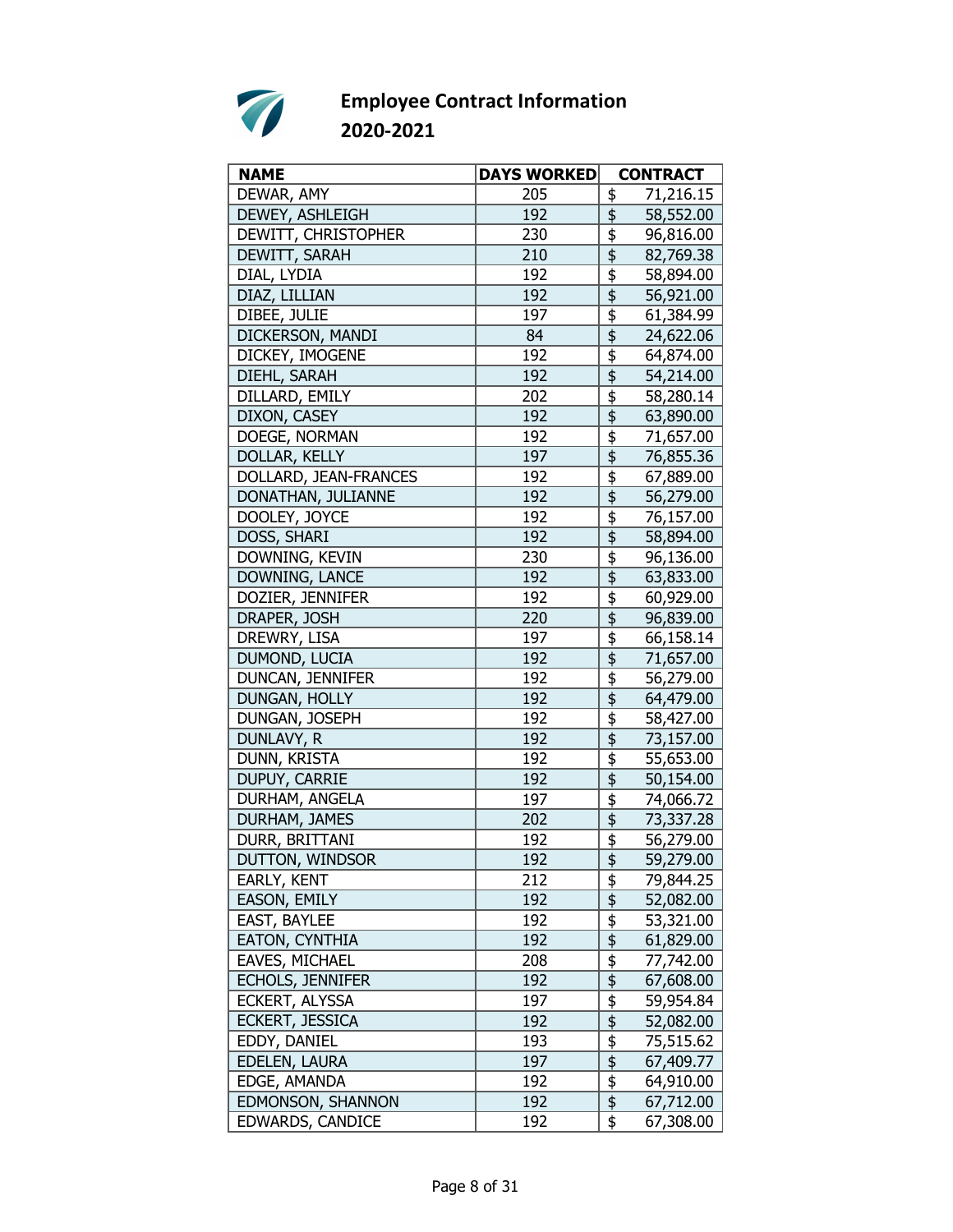

| <b>NAME</b>             | <b>DAYS WORKED</b> | <b>CONTRACT</b>                                              |
|-------------------------|--------------------|--------------------------------------------------------------|
| DEWAR, AMY              | 205                | 71,216.15<br>\$                                              |
| <b>DEWEY, ASHLEIGH</b>  | 192                | \$<br>58,552.00                                              |
| DEWITT, CHRISTOPHER     | 230                | \$<br>96,816.00                                              |
| DEWITT, SARAH           | 210                | \$<br>82,769.38                                              |
| DIAL, LYDIA             | 192                | $\overline{\overline{\overline{5}}}$<br>58,894.00            |
| DIAZ, LILLIAN           | 192                | 56,921.00                                                    |
| DIBEE, JULIE            | 197                | \$<br>61,384.99                                              |
| DICKERSON, MANDI        | 84                 | $\overline{\mathfrak{s}}$<br>24,622.06                       |
| DICKEY, IMOGENE         | 192                | \$<br>64,874.00                                              |
| DIEHL, SARAH            | 192                | \$<br>54,214.00                                              |
| DILLARD, EMILY          | 202                | \$<br>58,280.14                                              |
| DIXON, CASEY            | 192                | \$<br>63,890.00                                              |
| DOEGE, NORMAN           | 192                | \$<br>71,657.00                                              |
| DOLLAR, KELLY           | 197                | 76,855.36                                                    |
| DOLLARD, JEAN-FRANCES   | 192                | \$<br>67,889.00                                              |
| DONATHAN, JULIANNE      | 192                | \$<br>56,279.00                                              |
| DOOLEY, JOYCE           | 192                | \$<br>76,157.00                                              |
| DOSS, SHARI             | 192                | \$<br>58,894.00                                              |
| DOWNING, KEVIN          | 230                | \$<br>96,136.00                                              |
| DOWNING, LANCE          | 192                | $\overline{\overline{\overline{5}}}$<br>63,833.00            |
| DOZIER, JENNIFER        | 192                | \$<br>60,929.00                                              |
| DRAPER, JOSH            | 220                | \$<br>96,839.00                                              |
| DREWRY, LISA            | 197                | $\overline{\overline{\overline{5}}}$<br>66,158.14            |
| DUMOND, LUCIA           | 192                | $\overline{\frac{1}{2}}$<br>71,657.00                        |
| DUNCAN, JENNIFER        | 192                | \$<br>56,279.00                                              |
| DUNGAN, HOLLY           | 192                | \$<br>64,479.00                                              |
| DUNGAN, JOSEPH          | 192                | \$<br>58,427.00                                              |
| DUNLAVY, R              | 192                | \$<br>73,157.00                                              |
| DUNN, KRISTA            | 192                | \$<br>55,653.00                                              |
| DUPUY, CARRIE           | 192                | $\overline{\overline{\overline{\overline{z}}}}$<br>50,154.00 |
| DURHAM, ANGELA          | 197                | $\overline{\overline{\overline{5}}}$<br>74,066.72            |
| DURHAM, JAMES           | 202                | $\overline{\overline{\overline{5}}}$<br>73,337.28            |
| DURR, BRITTANI          | 192                | \$<br>56,279.00                                              |
| DUTTON, WINDSOR         | 192                | \$<br>59,279.00                                              |
| EARLY, KENT             | 212                | \$<br>79,844.25                                              |
| <b>EASON, EMILY</b>     | 192                | $\overline{\frac{1}{2}}$<br>52,082.00                        |
| <b>EAST, BAYLEE</b>     | 192                | \$<br>53,321.00                                              |
| EATON, CYNTHIA          | 192                | $\overline{\frac{1}{2}}$<br>61,829.00                        |
| EAVES, MICHAEL          | 208                | $\frac{1}{2}$<br>77,742.00                                   |
| <b>ECHOLS, JENNIFER</b> | 192                | \$<br>67,608.00                                              |
| ECKERT, ALYSSA          | 197                | \$<br>59,954.84                                              |
| ECKERT, JESSICA         | 192                | \$<br>52,082.00                                              |
| EDDY, DANIEL            | 193                | $\frac{1}{2}$<br>75,515.62                                   |
| EDELEN, LAURA           | 197                | $\overline{\mathfrak{s}}$<br>67,409.77                       |
| EDGE, AMANDA            | 192                | $\frac{1}{2}$<br>64,910.00                                   |
| EDMONSON, SHANNON       | 192                | \$<br>67,712.00                                              |
| EDWARDS, CANDICE        | 192                | \$<br>67,308.00                                              |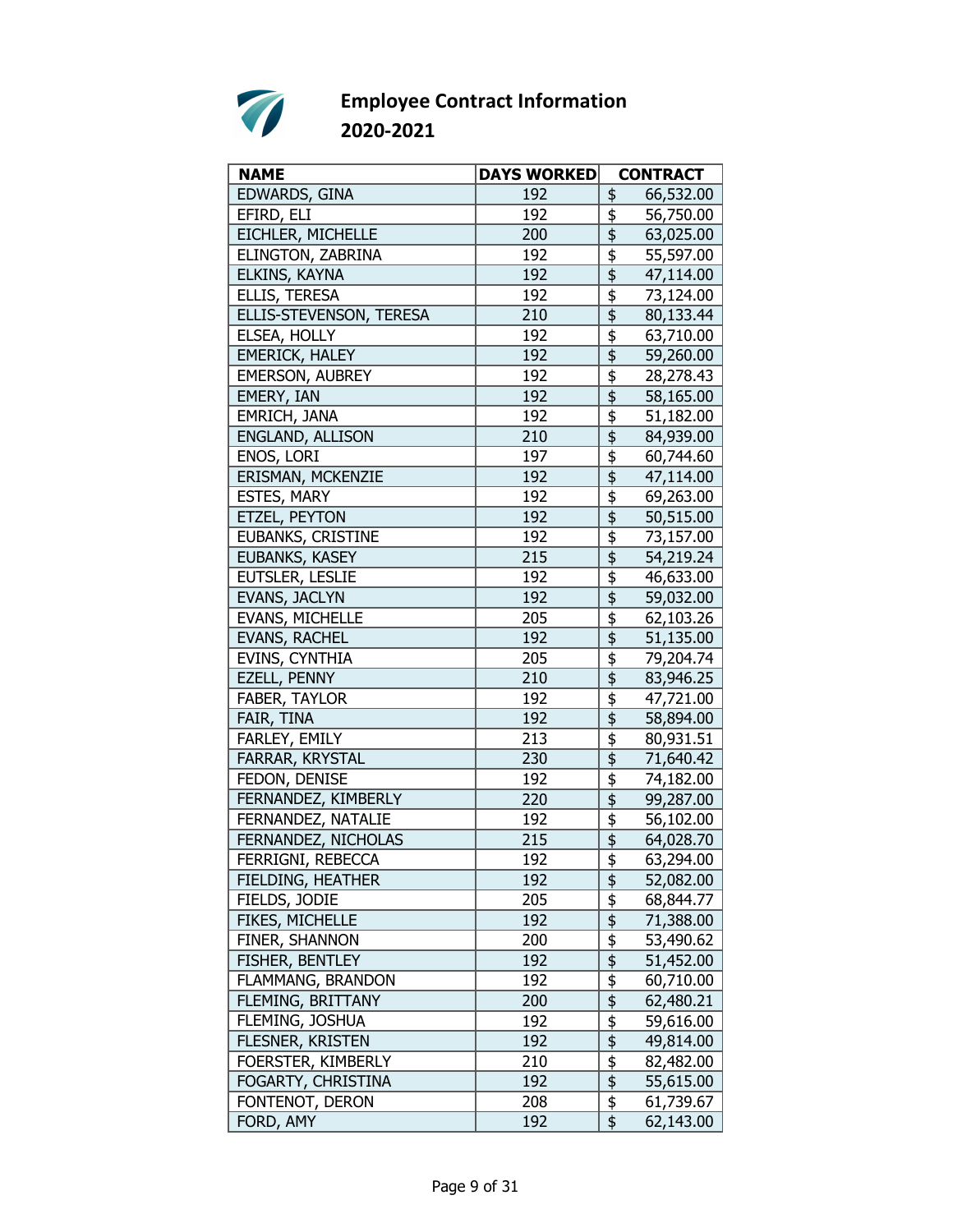

| <b>NAME</b>              | <b>DAYS WORKED</b> | <b>CONTRACT</b>                                              |
|--------------------------|--------------------|--------------------------------------------------------------|
| EDWARDS, GINA            | 192                | 66,532.00<br>\$                                              |
| EFIRD, ELI               | 192                | \$<br>56,750.00                                              |
| EICHLER, MICHELLE        | 200                | \$<br>63,025.00                                              |
| ELINGTON, ZABRINA        | 192                | \$<br>55,597.00                                              |
| ELKINS, KAYNA            | 192                | \$<br>47,114.00                                              |
| ELLIS, TERESA            | 192                | \$<br>73,124.00                                              |
| ELLIS-STEVENSON, TERESA  | 210                | $\overline{\overline{\overline{\overline{z}}}}$<br>80,133.44 |
| ELSEA, HOLLY             | 192                | \$<br>63,710.00                                              |
| <b>EMERICK, HALEY</b>    | 192                | $\overline{\overline{\overline{\overline{5}}}}$<br>59,260.00 |
| <b>EMERSON, AUBREY</b>   | 192                | \$<br>28,278.43                                              |
| EMERY, IAN               | 192                | \$<br>58,165.00                                              |
| EMRICH, JANA             | 192                | \$<br>51,182.00                                              |
| ENGLAND, ALLISON         | 210                | \$<br>84,939.00                                              |
| ENOS, LORI               | 197                | \$<br>60,744.60                                              |
| ERISMAN, MCKENZIE        | 192                | \$<br>47,114.00                                              |
| <b>ESTES, MARY</b>       | 192                | \$<br>69,263.00                                              |
| <b>ETZEL, PEYTON</b>     | 192                | \$<br>50,515.00                                              |
| <b>EUBANKS, CRISTINE</b> | 192                | \$<br>73,157.00                                              |
| EUBANKS, KASEY           | 215                | $\overline{\frac{1}{2}}$<br>54,219.24                        |
| EUTSLER, LESLIE          | 192                | \$<br>46,633.00                                              |
| EVANS, JACLYN            | 192                | $\overline{\overline{\overline{\overline{z}}}}$<br>59,032.00 |
| EVANS, MICHELLE          | 205                | \$<br>62,103.26                                              |
| <b>EVANS, RACHEL</b>     | 192                | $\overline{\mathfrak{s}}$<br>51,135.00                       |
| EVINS, CYNTHIA           | 205                | \$<br>79,204.74                                              |
| EZELL, PENNY             | 210                | $\overline{\mathfrak{s}}$<br>83,946.25                       |
| FABER, TAYLOR            | 192                | $\overline{\overline{\overline{5}}}$<br>47,721.00            |
| FAIR, TINA               | 192                | \$<br>58,894.00                                              |
| FARLEY, EMILY            | 213                | \$<br>80,931.51                                              |
| FARRAR, KRYSTAL          | 230                | \$<br>71,640.42                                              |
| FEDON, DENISE            | 192                | \$<br>74,182.00                                              |
| FERNANDEZ, KIMBERLY      | 220                | 99,287.00                                                    |
| FERNANDEZ, NATALIE       | 192                | 56,102.00                                                    |
| FERNANDEZ, NICHOLAS      | 215                | \$<br>64,028.70                                              |
| FERRIGNI, REBECCA        | 192                | \$<br>63,294.00                                              |
| FIELDING, HEATHER        | 192                | \$<br>52,082.00                                              |
| FIELDS, JODIE            | 205                | \$<br>68,844.77                                              |
| FIKES, MICHELLE          | 192                | \$<br>71,388.00                                              |
| FINER, SHANNON           | 200                | $\frac{1}{2}$<br>53,490.62                                   |
| FISHER, BENTLEY          | 192                | $\overline{\mathfrak{s}}$<br>51,452.00                       |
| FLAMMANG, BRANDON        | 192                | \$<br>60,710.00                                              |
| FLEMING, BRITTANY        | 200                | $\overline{\frac{1}{2}}$<br>62,480.21                        |
| FLEMING, JOSHUA          | 192                | \$<br>59,616.00                                              |
| FLESNER, KRISTEN         | 192                | $\frac{1}{2}$<br>49,814.00                                   |
| FOERSTER, KIMBERLY       | 210                | $\frac{1}{2}$<br>82,482.00                                   |
| FOGARTY, CHRISTINA       | 192                | $\overline{\mathfrak{s}}$<br>55,615.00                       |
| FONTENOT, DERON          | 208                | $\overline{\boldsymbol{\mathfrak{s}}}$<br>61,739.67          |
| FORD, AMY                | 192                | \$<br>62,143.00                                              |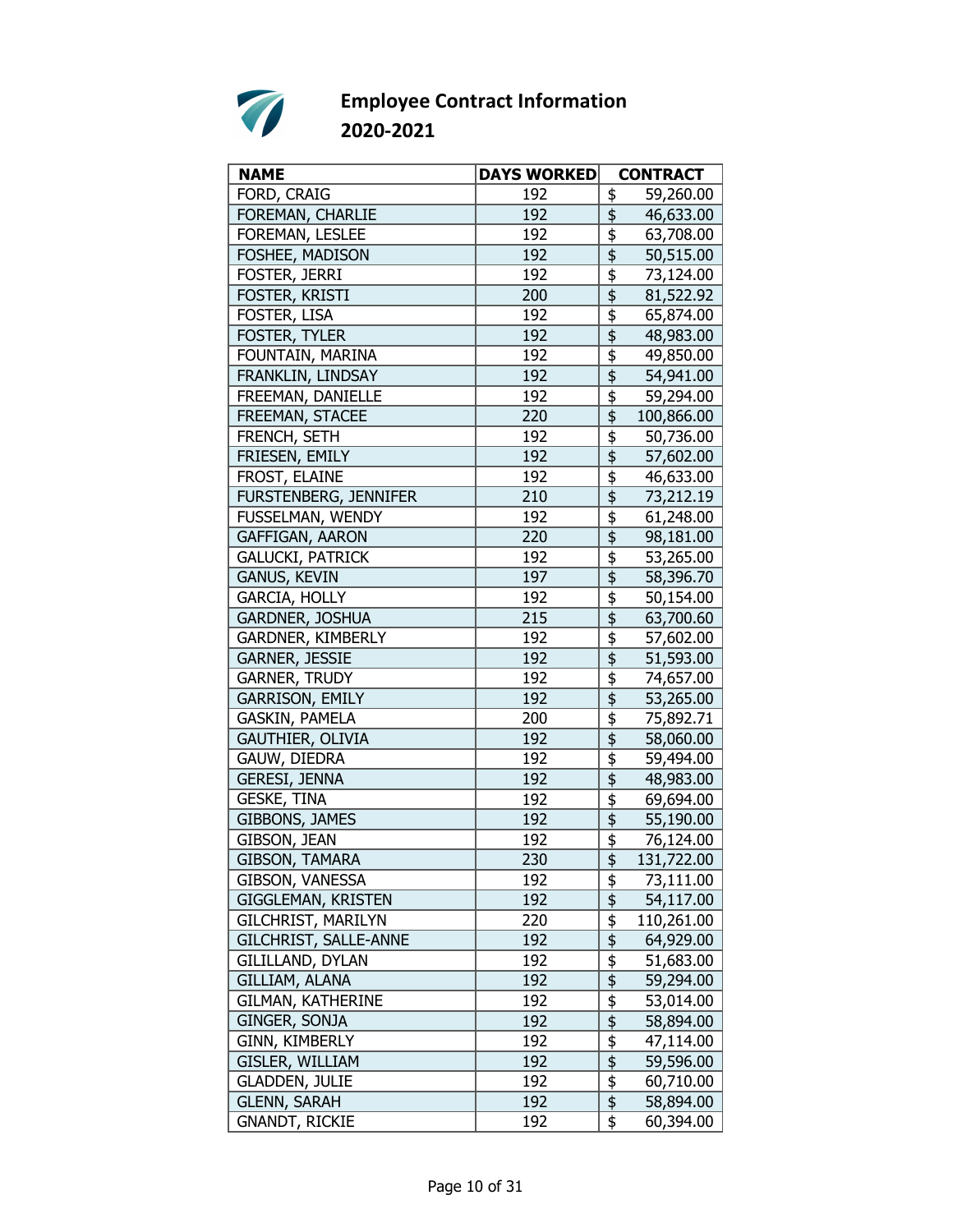

| <b>NAME</b>               | <b>DAYS WORKED</b> | <b>CONTRACT</b>                                   |  |
|---------------------------|--------------------|---------------------------------------------------|--|
| FORD, CRAIG               | 192                | 59,260.00<br>\$                                   |  |
| FOREMAN, CHARLIE          | 192                | $\frac{4}{5}$<br>46,633.00                        |  |
| FOREMAN, LESLEE           | 192                | \$<br>63,708.00                                   |  |
| FOSHEE, MADISON           | 192                | \$<br>50,515.00                                   |  |
| FOSTER, JERRI             | 192                | \$<br>73,124.00                                   |  |
| FOSTER, KRISTI            | 200                | $\overline{\mathfrak{s}}$<br>81,522.92            |  |
| FOSTER, LISA              | 192                | $\overline{\overline{\overline{5}}}$<br>65,874.00 |  |
| FOSTER, TYLER             | 192                | $\overline{\mathfrak{s}}$<br>48,983.00            |  |
| FOUNTAIN, MARINA          | 192                | \$<br>49,850.00                                   |  |
| FRANKLIN, LINDSAY         | 192                | \$<br>54,941.00                                   |  |
| FREEMAN, DANIELLE         | 192                | \$<br>59,294.00                                   |  |
| FREEMAN, STACEE           | 220                | 100,866.00                                        |  |
| FRENCH, SETH              | 192                | \$<br>50,736.00                                   |  |
| FRIESEN, EMILY            | 192                | $\overline{\overline{\overline{5}}}$<br>57,602.00 |  |
| FROST, ELAINE             | 192                | \$<br>46,633.00                                   |  |
| FURSTENBERG, JENNIFER     | 210                | \$<br>73,212.19                                   |  |
| FUSSELMAN, WENDY          | 192                | \$<br>61,248.00                                   |  |
| GAFFIGAN, AARON           | 220                | 98,181.00                                         |  |
| <b>GALUCKI, PATRICK</b>   | 192                | $\overline{\overline{\overline{5}}}$<br>53,265.00 |  |
| <b>GANUS, KEVIN</b>       | 197                | \$<br>58,396.70                                   |  |
| GARCIA, HOLLY             | 192                | $\overline{\overline{\overline{5}}}$<br>50,154.00 |  |
| GARDNER, JOSHUA           | 215                | $\frac{1}{2}$<br>63,700.60                        |  |
| GARDNER, KIMBERLY         | 192                | \$<br>57,602.00                                   |  |
| GARNER, JESSIE            | 192                | 51,593.00                                         |  |
| <b>GARNER, TRUDY</b>      | 192                | 74,657.00                                         |  |
| <b>GARRISON, EMILY</b>    | 192                | $\overline{\mathfrak{s}}$<br>53,265.00            |  |
| GASKIN, PAMELA            | 200                | \$<br>75,892.71                                   |  |
| <b>GAUTHIER, OLIVIA</b>   | 192                | \$<br>58,060.00                                   |  |
| GAUW, DIEDRA              | 192                | \$<br>59,494.00                                   |  |
| <b>GERESI, JENNA</b>      | 192                | $\overline{\mathfrak{s}}$<br>48,983.00            |  |
| <b>GESKE, TINA</b>        | 192                | \$<br>69,694.00                                   |  |
| <b>GIBBONS, JAMES</b>     | 192                | $\overline{\$}$<br>55,190.00                      |  |
| GIBSON, JEAN              | 192                | \$<br>76,124.00                                   |  |
| GIBSON, TAMARA            | 230                | $\frac{1}{2}$<br>131,722.00                       |  |
| GIBSON, VANESSA           | 192                | \$<br>73,111.00                                   |  |
| GIGGLEMAN, KRISTEN        | 192                | \$<br>54,117.00                                   |  |
| <b>GILCHRIST, MARILYN</b> | 220                | \$<br>110,261.00                                  |  |
| GILCHRIST, SALLE-ANNE     | 192                | $\overline{\mathfrak{s}}$<br>64,929.00            |  |
| GILILLAND, DYLAN          | 192                | $\overline{\frac{1}{2}}$<br>51,683.00             |  |
| GILLIAM, ALANA            | 192                | $\overline{\mathfrak{s}}$<br>59,294.00            |  |
| <b>GILMAN, KATHERINE</b>  | 192                | \$<br>53,014.00                                   |  |
| GINGER, SONJA             | 192                | \$<br>58,894.00                                   |  |
| GINN, KIMBERLY            | 192                | $\overline{\mathfrak{s}}$<br>47,114.00            |  |
| GISLER, WILLIAM           | 192                | $\overline{\boldsymbol{\mathsf{S}}}$<br>59,596.00 |  |
| <b>GLADDEN, JULIE</b>     | 192                | \$<br>60,710.00                                   |  |
| <b>GLENN, SARAH</b>       | 192                | $\overline{\$}$<br>58,894.00                      |  |
| <b>GNANDT, RICKIE</b>     | 192                | \$<br>60,394.00                                   |  |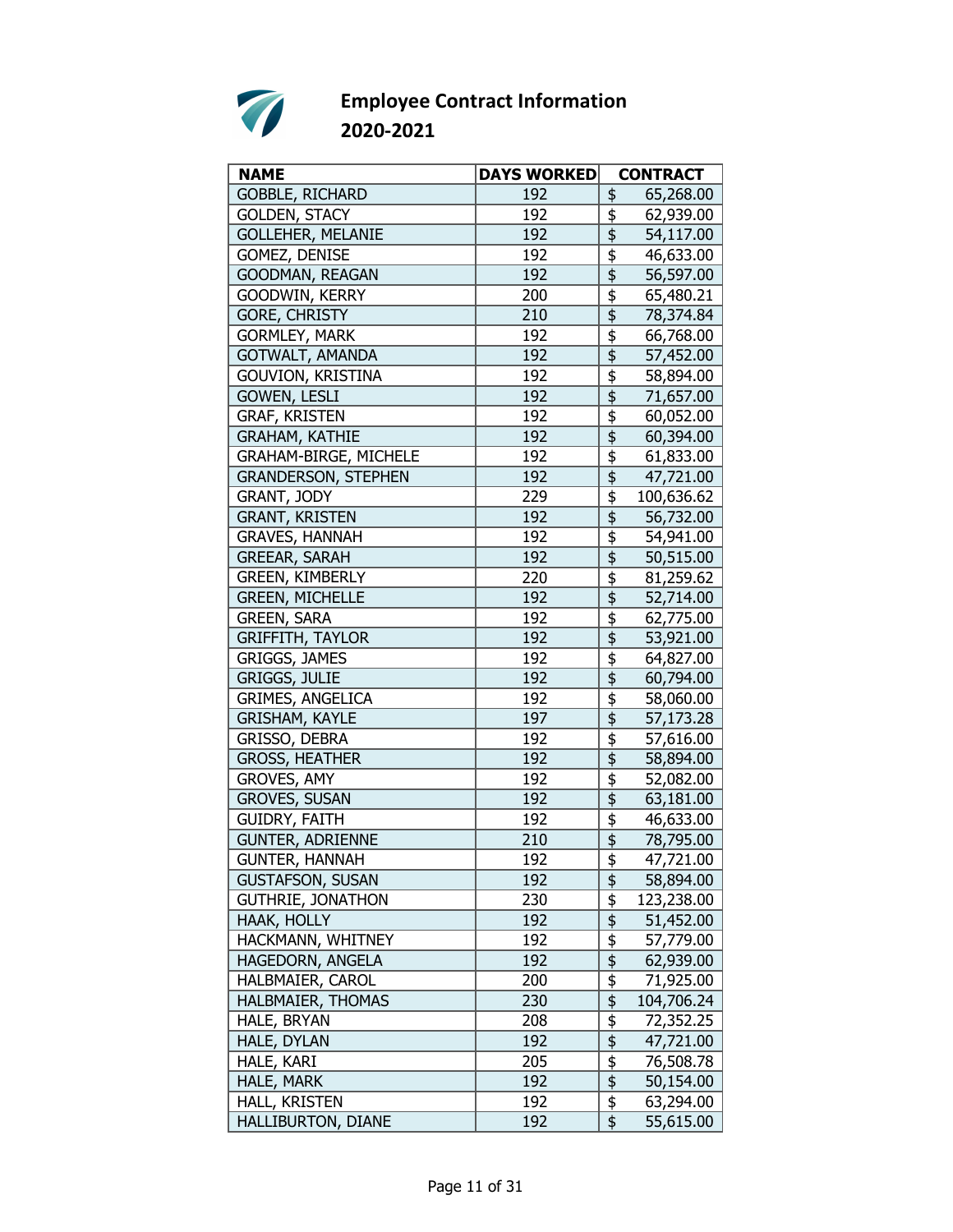

| <b>NAME</b>                  | <b>DAYS WORKED</b> |                                                 | <b>CONTRACT</b> |
|------------------------------|--------------------|-------------------------------------------------|-----------------|
| <b>GOBBLE, RICHARD</b>       | 192                | \$                                              | 65,268.00       |
| <b>GOLDEN, STACY</b>         | 192                | \$                                              | 62,939.00       |
| <b>GOLLEHER, MELANIE</b>     | 192                | \$                                              | 54,117.00       |
| GOMEZ, DENISE                | 192                | \$                                              | 46,633.00       |
| GOODMAN, REAGAN              | 192                | \$                                              | 56,597.00       |
| GOODWIN, KERRY               | 200                | \$                                              | 65,480.21       |
| <b>GORE, CHRISTY</b>         | 210                |                                                 | 78,374.84       |
| <b>GORMLEY, MARK</b>         | 192                | \$                                              | 66,768.00       |
| <b>GOTWALT, AMANDA</b>       | 192                |                                                 | 57,452.00       |
| <b>GOUVION, KRISTINA</b>     | 192                | \$                                              | 58,894.00       |
| <b>GOWEN, LESLI</b>          | 192                | \$                                              | 71,657.00       |
| <b>GRAF, KRISTEN</b>         | 192                | \$                                              | 60,052.00       |
| <b>GRAHAM, KATHIE</b>        | 192                | \$                                              | 60,394.00       |
| <b>GRAHAM-BIRGE, MICHELE</b> | 192                | \$                                              | 61,833.00       |
| <b>GRANDERSON, STEPHEN</b>   | 192                | $\overline{\mathfrak{s}}$                       | 47,721.00       |
| GRANT, JODY                  | 229                | \$                                              | 100,636.62      |
| <b>GRANT, KRISTEN</b>        | 192                | \$                                              | 56,732.00       |
| <b>GRAVES, HANNAH</b>        | 192                | \$                                              | 54,941.00       |
| <b>GREEAR, SARAH</b>         | 192                | \$                                              | 50,515.00       |
| GREEN, KIMBERLY              | 220                | \$                                              | 81,259.62       |
| <b>GREEN, MICHELLE</b>       | 192                | $\overline{\overline{\overline{\overline{z}}}}$ | 52,714.00       |
| <b>GREEN, SARA</b>           | 192                | \$                                              | 62,775.00       |
| <b>GRIFFITH, TAYLOR</b>      | 192                | \$                                              | 53,921.00       |
| GRIGGS, JAMES                | 192                | \$                                              | 64,827.00       |
| <b>GRIGGS, JULIE</b>         | 192                | $\overline{\mathfrak{s}}$                       | 60,794.00       |
| GRIMES, ANGELICA             | 192                | $\overline{\overline{\overline{5}}}$            | 58,060.00       |
| <b>GRISHAM, KAYLE</b>        | 197                | \$                                              | 57,173.28       |
| GRISSO, DEBRA                | 192                | \$                                              | 57,616.00       |
| <b>GROSS, HEATHER</b>        | 192                | \$                                              | 58,894.00       |
| <b>GROVES, AMY</b>           | 192                | \$                                              | 52,082.00       |
| <b>GROVES, SUSAN</b>         | 192                |                                                 | 63,181.00       |
| <b>GUIDRY, FAITH</b>         | 192                | $\overline{\overline{\overline{5}}}$            | 46,633.00       |
| <b>GUNTER, ADRIENNE</b>      | 210                | $\overline{\mathfrak{s}}$                       | 78,795.00       |
| <b>GUNTER, HANNAH</b>        | 192                | \$                                              | 47,721.00       |
| <b>GUSTAFSON, SUSAN</b>      | 192                | \$                                              | 58,894.00       |
| <b>GUTHRIE, JONATHON</b>     | 230                | \$                                              | 123,238.00      |
| HAAK, HOLLY                  | 192                | \$                                              | 51,452.00       |
| HACKMANN, WHITNEY            | 192                | \$                                              | 57,779.00       |
| HAGEDORN, ANGELA             | 192                |                                                 | 62,939.00       |
| HALBMAIER, CAROL             | 200                | $\frac{1}{2}$                                   | 71,925.00       |
| HALBMAIER, THOMAS            | 230                | \$                                              | 104,706.24      |
| HALE, BRYAN                  | 208                | \$                                              | 72,352.25       |
| HALE, DYLAN                  | 192                | \$                                              | 47,721.00       |
| HALE, KARI                   | 205                | $\frac{1}{2}$                                   | 76,508.78       |
| HALE, MARK                   | 192                | $\overline{\mathfrak{s}}$                       | 50,154.00       |
| HALL, KRISTEN                | 192                | $\overline{\boldsymbol{\mathsf{F}}}$            | 63,294.00       |
| HALLIBURTON, DIANE           | 192                | \$                                              | 55,615.00       |
|                              |                    |                                                 |                 |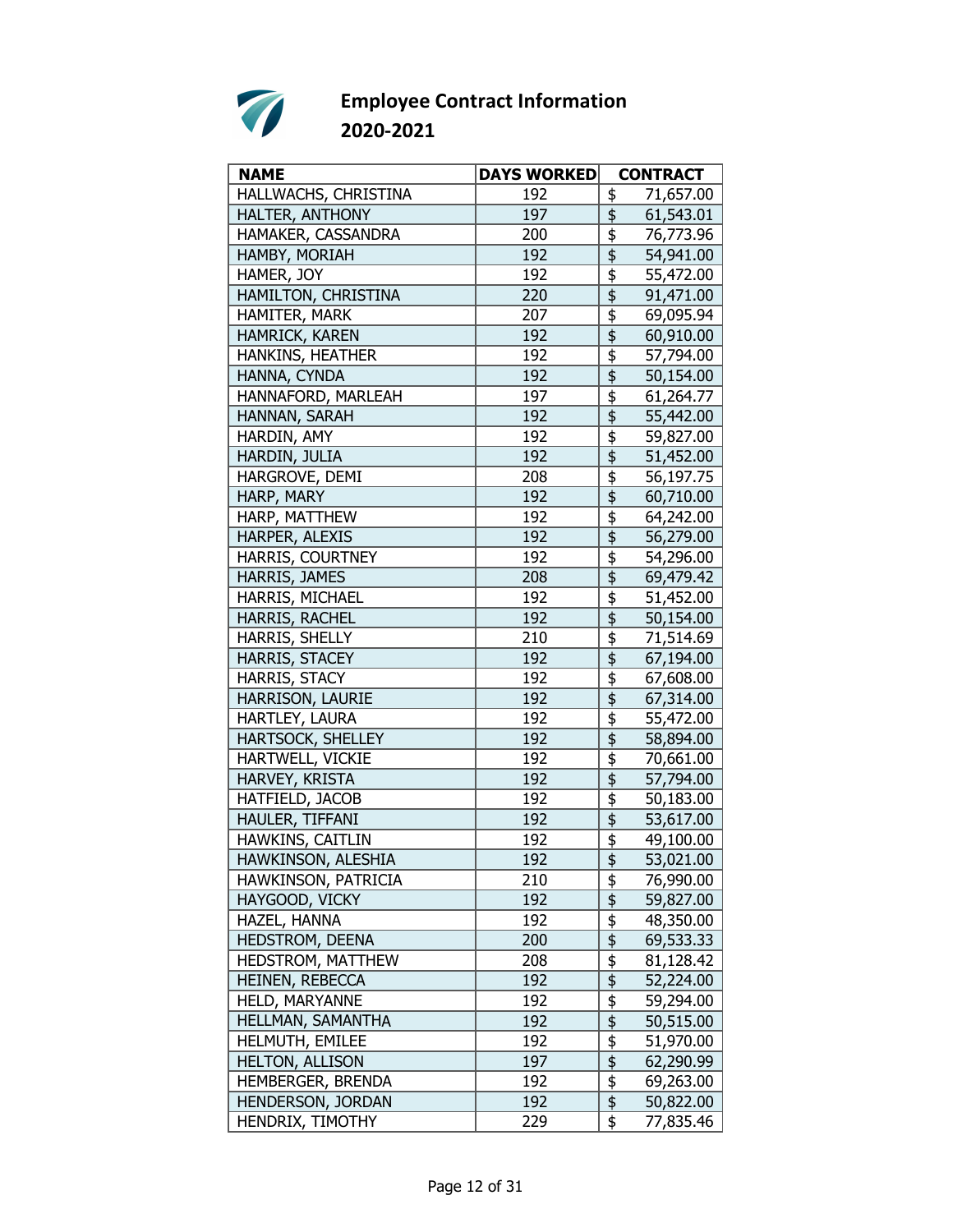

| <b>NAME</b>              | <b>DAYS WORKED</b> | <b>CONTRACT</b>                                              |
|--------------------------|--------------------|--------------------------------------------------------------|
| HALLWACHS, CHRISTINA     | 192                | 71,657.00<br>\$                                              |
| HALTER, ANTHONY          | 197                | \$<br>61,543.01                                              |
| HAMAKER, CASSANDRA       | 200                | 76,773.96<br>\$                                              |
| HAMBY, MORIAH            | 192                | \$<br>54,941.00                                              |
| HAMER, JOY               | 192                | \$<br>55,472.00                                              |
| HAMILTON, CHRISTINA      | 220                | \$<br>91,471.00                                              |
| HAMITER, MARK            | 207                | $\overline{\boldsymbol{\mathfrak{s}}}$<br>69,095.94          |
| HAMRICK, KAREN           | 192                | \$<br>60,910.00                                              |
| HANKINS, HEATHER         | 192                | \$<br>57,794.00                                              |
| HANNA, CYNDA             | 192                | \$<br>50,154.00                                              |
| HANNAFORD, MARLEAH       | 197                | \$<br>61,264.77                                              |
| HANNAN, SARAH            | 192                | \$<br>55,442.00                                              |
| HARDIN, AMY              | 192                | \$<br>59,827.00                                              |
| HARDIN, JULIA            | 192                | $\overline{\overline{\overline{\overline{z}}}}$<br>51,452.00 |
| HARGROVE, DEMI           | 208                | \$<br>56,197.75                                              |
| HARP, MARY               | 192                | \$<br>60,710.00                                              |
| HARP, MATTHEW            | 192                | \$<br>64,242.00                                              |
| HARPER, ALEXIS           | 192                | \$<br>56,279.00                                              |
| HARRIS, COURTNEY         | 192                | \$<br>54,296.00                                              |
| HARRIS, JAMES            | 208                | \$<br>69,479.42                                              |
| HARRIS, MICHAEL          | 192                | \$<br>51,452.00                                              |
| HARRIS, RACHEL           | 192                | \$<br>50,154.00                                              |
| HARRIS, SHELLY           | 210                | \$<br>71,514.69                                              |
| HARRIS, STACEY           | 192                | \$<br>67,194.00                                              |
| HARRIS, STACY            | 192                | $\overline{\overline{\overline{5}}}$<br>67,608.00            |
| HARRISON, LAURIE         | 192                | \$<br>67,314.00                                              |
| HARTLEY, LAURA           | 192                | \$<br>55,472.00                                              |
| HARTSOCK, SHELLEY        | 192                | \$<br>58,894.00                                              |
| HARTWELL, VICKIE         | 192                | \$<br>70,661.00                                              |
| HARVEY, KRISTA           | 192                | $\overline{\mathfrak{s}}$<br>57,794.00                       |
| HATFIELD, JACOB          | 192                | \$<br>50,183.00                                              |
| HAULER, TIFFANI          | 192                | $\overline{\overline{\overline{5}}}$<br>53,617.00            |
| HAWKINS, CAITLIN         | 192                | \$<br>49,100.00                                              |
| HAWKINSON, ALESHIA       | 192                | $\frac{1}{2}$<br>53,021.00                                   |
| HAWKINSON, PATRICIA      | 210                | \$<br>76,990.00                                              |
| HAYGOOD, VICKY           | 192                | \$<br>59,827.00                                              |
| HAZEL, HANNA             | 192                | $\frac{1}{2}$<br>48,350.00                                   |
| HEDSTROM, DEENA          | 200                | $\overline{\overline{\overline{z}}}$<br>69,533.33            |
| <b>HEDSTROM, MATTHEW</b> | 208                | $\overline{\mathfrak{s}}$<br>81,128.42                       |
| HEINEN, REBECCA          | 192                | $\overline{\$}$<br>52,224.00                                 |
| HELD, MARYANNE           | 192                | \$<br>59,294.00                                              |
| HELLMAN, SAMANTHA        | 192                | \$<br>50,515.00                                              |
| HELMUTH, EMILEE          | 192                | $\frac{1}{2}$<br>51,970.00                                   |
| <b>HELTON, ALLISON</b>   | 197                | \$<br>62,290.99                                              |
| HEMBERGER, BRENDA        | 192                | $\frac{1}{2}$<br>69,263.00                                   |
| HENDERSON, JORDAN        | 192                | $\overline{\$}$<br>50,822.00                                 |
| HENDRIX, TIMOTHY         | 229                | \$<br>77,835.46                                              |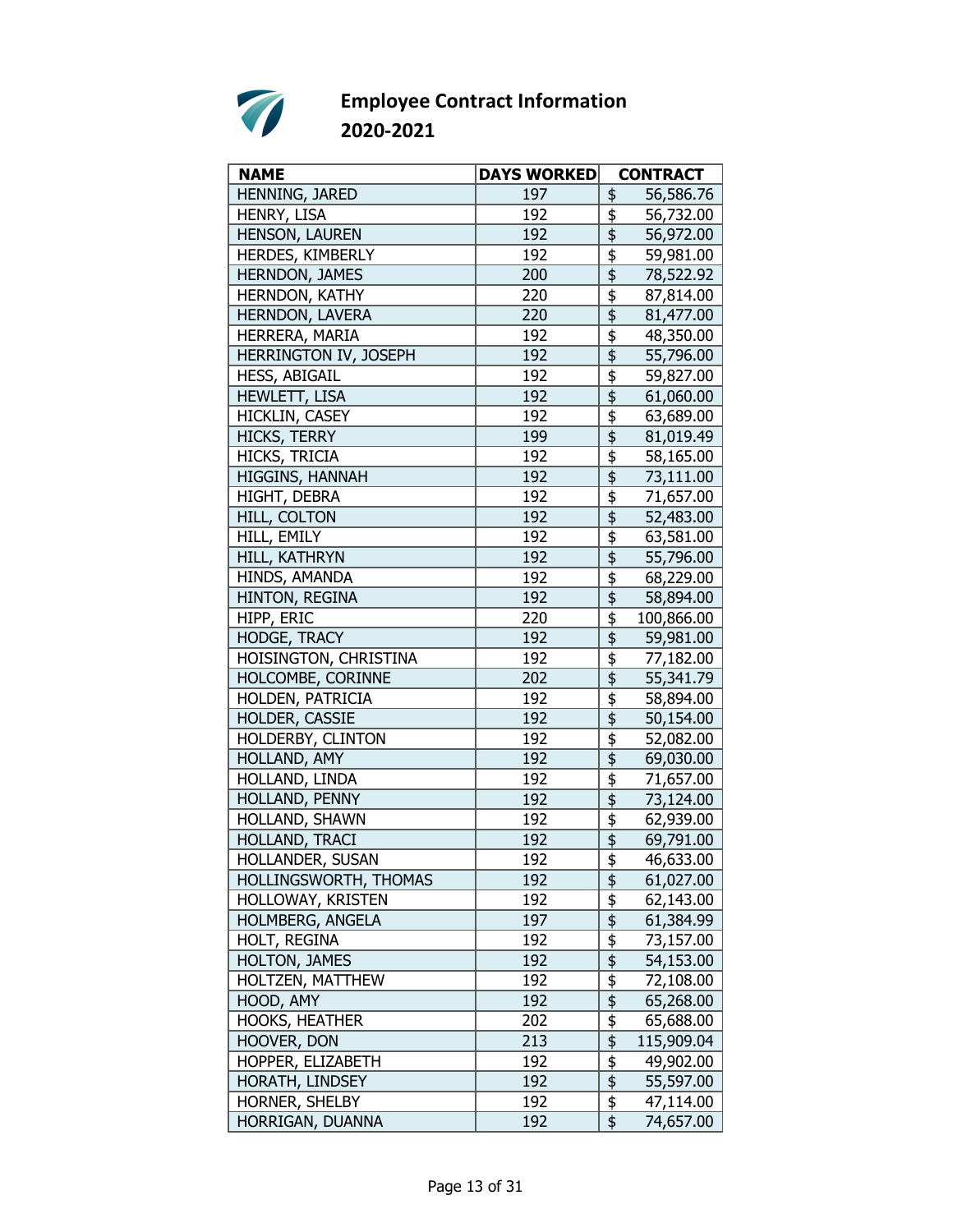

| <b>NAME</b>           | <b>DAYS WORKED</b> |                                                 | <b>CONTRACT</b>        |
|-----------------------|--------------------|-------------------------------------------------|------------------------|
| HENNING, JARED        | 197                | \$                                              | 56,586.76              |
| HENRY, LISA           | 192                | \$                                              | 56,732.00              |
| HENSON, LAUREN        | 192                | \$                                              | 56,972.00              |
| HERDES, KIMBERLY      | 192                | \$                                              | 59,981.00              |
| <b>HERNDON, JAMES</b> | 200                | \$                                              | 78,522.92              |
| HERNDON, KATHY        | 220                | \$                                              | 87,814.00              |
| HERNDON, LAVERA       | 220                | $\overline{\mathfrak{s}}$                       | 81,477.00              |
| HERRERA, MARIA        | 192                | \$                                              | 48,350.00              |
| HERRINGTON IV, JOSEPH | 192                | $\overline{\frac{1}{2}}$                        | 55,796.00              |
| <b>HESS, ABIGAIL</b>  | 192                | \$                                              | 59,827.00              |
| HEWLETT, LISA         | 192                | \$                                              | 61,060.00              |
| HICKLIN, CASEY        | 192                | \$                                              | 63,689.00              |
| <b>HICKS, TERRY</b>   | 199                | \$                                              | 81,019.49              |
| HICKS, TRICIA         | 192                | \$                                              | 58,165.00              |
| HIGGINS, HANNAH       | 192                | \$                                              | 73,111.00              |
| <b>HIGHT, DEBRA</b>   | 192                | \$                                              | 71,657.00              |
| <b>HILL, COLTON</b>   | 192                | \$                                              | 52,483.00              |
| HILL, EMILY           | 192                | \$                                              | 63,581.00              |
| HILL, KATHRYN         | 192                | \$                                              | 55,796.00              |
| HINDS, AMANDA         | 192                | $\overline{\overline{\overline{5}}}$            | 68,229.00              |
| HINTON, REGINA        | 192                | $\overline{\mathfrak{s}}$                       | 58,894.00              |
| HIPP, ERIC            | 220                | \$                                              | 100,866.00             |
| HODGE, TRACY          | 192                | \$                                              | 59,981.00              |
| HOISINGTON, CHRISTINA | 192                | \$                                              |                        |
| HOLCOMBE, CORINNE     | 202                | $\overline{\overline{\overline{\overline{z}}}}$ | 77,182.00<br>55,341.79 |
| HOLDEN, PATRICIA      | 192                | \$                                              |                        |
| HOLDER, CASSIE        | 192                | \$                                              | 58,894.00              |
| HOLDERBY, CLINTON     | 192                | \$                                              | 50,154.00              |
|                       | 192                |                                                 | 52,082.00              |
| HOLLAND, AMY          |                    | \$                                              | 69,030.00              |
| HOLLAND, LINDA        | 192                | \$                                              | 71,657.00              |
| HOLLAND, PENNY        | 192                | \$                                              | 73,124.00              |
| HOLLAND, SHAWN        | 192                | \$                                              | 62,939.00              |
| HOLLAND, TRACI        | 192                | $\overline{\frac{1}{2}}$                        | 69,791.00              |
| HOLLANDER, SUSAN      | 192                | \$                                              | 46,633.00              |
| HOLLINGSWORTH, THOMAS | 192                | \$                                              | 61,027.00              |
| HOLLOWAY, KRISTEN     | 192                | \$                                              | 62,143.00              |
| HOLMBERG, ANGELA      | 197                | \$                                              | 61,384.99              |
| HOLT, REGINA          | 192                | $\overline{\mathfrak{s}}$                       | 73,157.00              |
| HOLTON, JAMES         | 192                |                                                 | 54,153.00              |
| HOLTZEN, MATTHEW      | 192                | $\frac{6}{9}$                                   | 72,108.00              |
| HOOD, AMY             | 192                |                                                 | 65,268.00              |
| <b>HOOKS, HEATHER</b> | 202                | \$                                              | 65,688.00              |
| HOOVER, DON           | 213                | \$                                              | 115,909.04             |
| HOPPER, ELIZABETH     | 192                | $\frac{1}{2}$                                   | 49,902.00              |
| HORATH, LINDSEY       | 192                | $\overline{\$}$                                 | 55,597.00              |
| HORNER, SHELBY        | 192                | $\overline{\frac{1}{2}}$                        | 47,114.00              |
| HORRIGAN, DUANNA      | 192                | $\overline{\mathfrak{s}}$                       | 74,657.00              |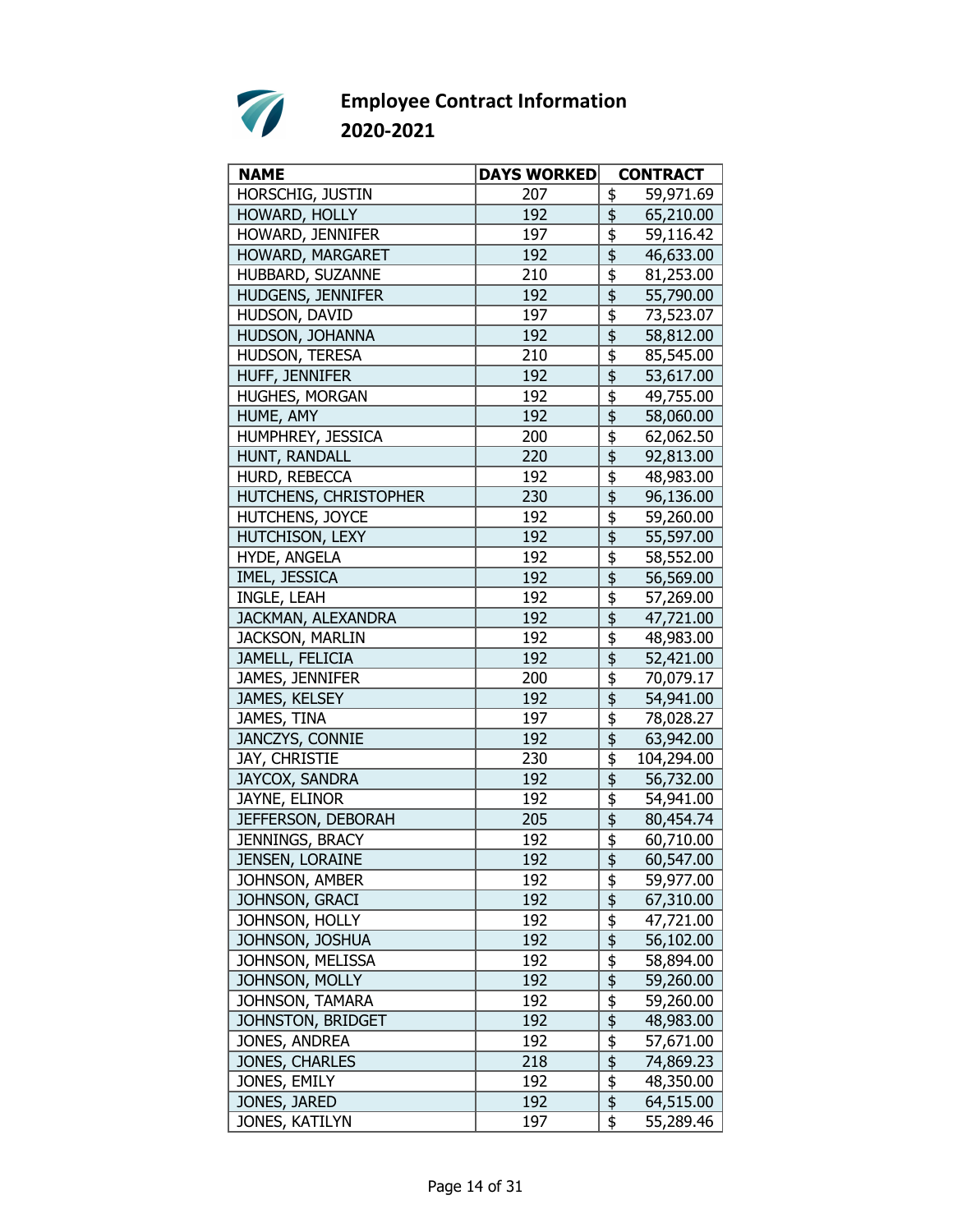

| <b>NAME</b>            | <b>DAYS WORKED</b> | <b>CONTRACT</b>                                     |
|------------------------|--------------------|-----------------------------------------------------|
| HORSCHIG, JUSTIN       | 207                | \$<br>59,971.69                                     |
| HOWARD, HOLLY          | 192                | \$<br>65,210.00                                     |
| HOWARD, JENNIFER       | 197                | \$<br>59,116.42                                     |
| HOWARD, MARGARET       | 192                | \$<br>46,633.00                                     |
| HUBBARD, SUZANNE       | 210                | \$<br>81,253.00                                     |
| HUDGENS, JENNIFER      | 192                | $\overline{\overline{\overline{5}}}$<br>55,790.00   |
| HUDSON, DAVID          | 197                | 73,523.07                                           |
| HUDSON, JOHANNA        | 192                | $\overline{\overline{\overline{5}}}$<br>58,812.00   |
| HUDSON, TERESA         | 210                | \$<br>85,545.00                                     |
| HUFF, JENNIFER         | 192                | \$<br>53,617.00                                     |
| HUGHES, MORGAN         | 192                | \$<br>49,755.00                                     |
| HUME, AMY              | 192                | \$<br>58,060.00                                     |
| HUMPHREY, JESSICA      | 200                | \$<br>62,062.50                                     |
| HUNT, RANDALL          | 220                | $\overline{\overline{\overline{5}}}$<br>92,813.00   |
| HURD, REBECCA          | 192                | \$<br>48,983.00                                     |
| HUTCHENS, CHRISTOPHER  | 230                | \$<br>96,136.00                                     |
| HUTCHENS, JOYCE        | 192                | \$<br>59,260.00                                     |
| HUTCHISON, LEXY        | 192                | \$<br>55,597.00                                     |
| HYDE, ANGELA           | 192                | \$<br>58,552.00                                     |
| IMEL, JESSICA          | 192                | $\overline{\overline{\overline{5}}}$<br>56,569.00   |
| INGLE, LEAH            | 192                | $\overline{\boldsymbol{\mathfrak{s}}}$<br>57,269.00 |
| JACKMAN, ALEXANDRA     | 192                | $\overline{\mathfrak{s}}$<br>47,721.00              |
| <b>JACKSON, MARLIN</b> | 192                | \$<br>48,983.00                                     |
| JAMELL, FELICIA        | 192                | \$<br>52,421.00                                     |
| JAMES, JENNIFER        | 200                | $\overline{\overline{\overline{5}}}$<br>70,079.17   |
| JAMES, KELSEY          | 192                | 54,941.00                                           |
| JAMES, TINA            | 197                | \$<br>78,028.27                                     |
| JANCZYS, CONNIE        | 192                | \$<br>63,942.00                                     |
| JAY, CHRISTIE          | 230                | \$<br>104,294.00                                    |
| JAYCOX, SANDRA         | 192                | \$<br>56,732.00                                     |
| JAYNE, ELINOR          | 192                | \$<br>54,941.00                                     |
| JEFFERSON, DEBORAH     | 205                | $\overline{\$}$<br>80,454.74                        |
| JENNINGS, BRACY        | 192                | \$<br>60,710.00                                     |
| JENSEN, LORAINE        | 192                | 60,547.00                                           |
| JOHNSON, AMBER         | 192                | \$<br>59,977.00                                     |
| JOHNSON, GRACI         | 192                | \$<br>67,310.00                                     |
| JOHNSON, HOLLY         | 192                | \$<br>47,721.00                                     |
| JOHNSON, JOSHUA        | 192                | $\overline{\frac{1}{2}}$<br>56,102.00               |
| JOHNSON, MELISSA       | 192                | $\overline{\mathfrak{s}}$<br>58,894.00              |
| JOHNSON, MOLLY         | 192                | $\overline{\frac{1}{2}}$<br>59,260.00               |
| JOHNSON, TAMARA        | 192                | $\overline{\overline{\overline{5}}}$<br>59,260.00   |
| JOHNSTON, BRIDGET      | 192                | \$<br>48,983.00                                     |
| JONES, ANDREA          | 192                | \$<br>57,671.00                                     |
| JONES, CHARLES         | 218                | $\overline{\frac{1}{2}}$<br>74,869.23               |
| JONES, EMILY           | 192                | $\frac{1}{2}$<br>48,350.00                          |
| JONES, JARED           | 192                | $\overline{\mathfrak{s}}$<br>64,515.00              |
| JONES, KATILYN         | 197                | \$<br>55,289.46                                     |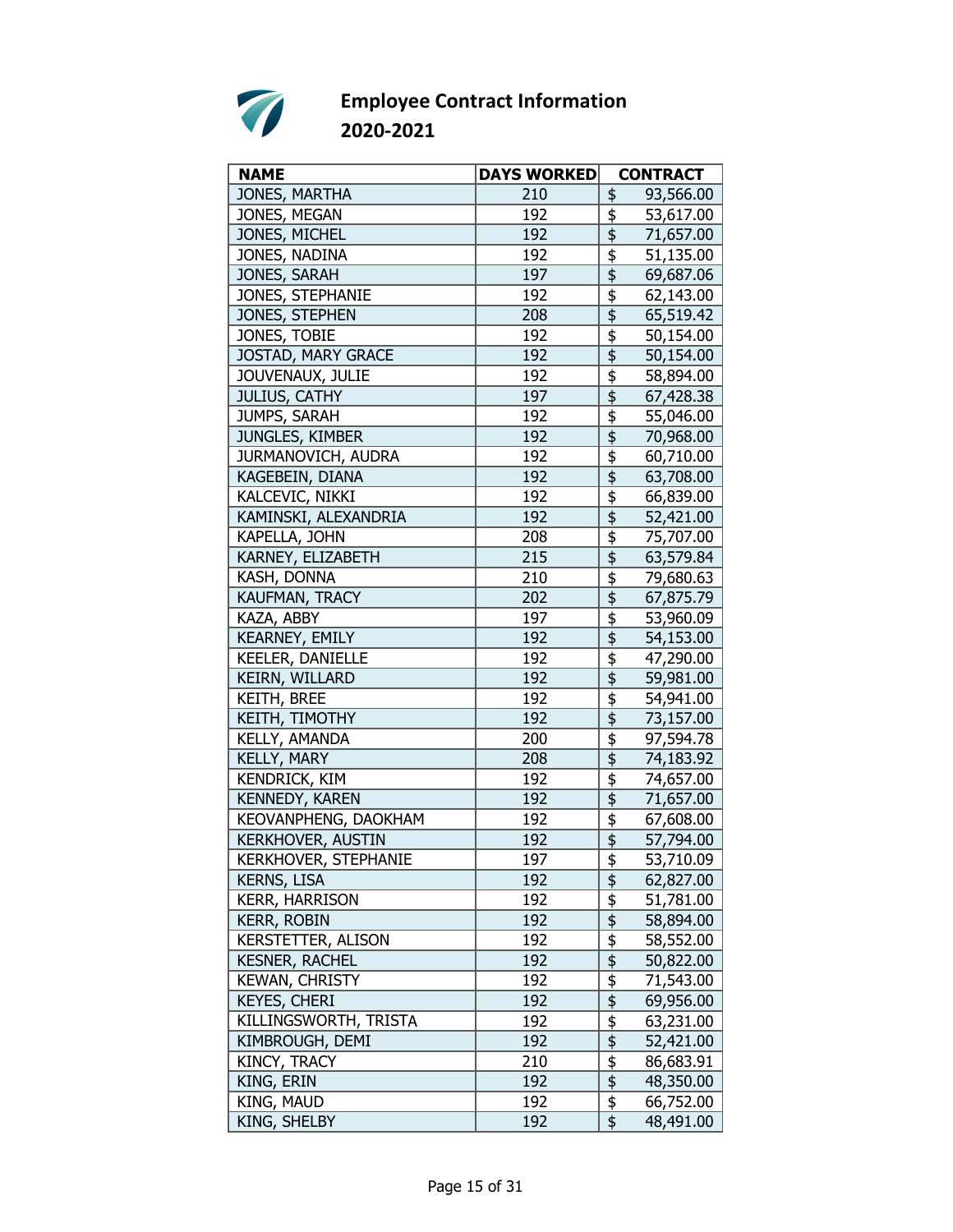

| <b>NAME</b>                 | <b>DAYS WORKED</b> | <b>CONTRACT</b>                                              |
|-----------------------------|--------------------|--------------------------------------------------------------|
| JONES, MARTHA               | 210                | 93,566.00<br>\$                                              |
| JONES, MEGAN                | 192                | 53,617.00<br>\$                                              |
| JONES, MICHEL               | 192                | \$<br>71,657.00                                              |
| JONES, NADINA               | 192                | \$<br>51,135.00                                              |
| JONES, SARAH                | 197                | \$<br>69,687.06                                              |
| JONES, STEPHANIE            | 192                | \$<br>62,143.00                                              |
| JONES, STEPHEN              | 208                | $\overline{\overline{\overline{\overline{z}}}}$<br>65,519.42 |
| JONES, TOBIE                | 192                | \$<br>50,154.00                                              |
| JOSTAD, MARY GRACE          | 192                | $\overline{\overline{\overline{\overline{5}}}}$<br>50,154.00 |
| JOUVENAUX, JULIE            | 192                | \$<br>58,894.00                                              |
| <b>JULIUS, CATHY</b>        | 197                | \$<br>67,428.38                                              |
| JUMPS, SARAH                | 192                | \$<br>55,046.00                                              |
| JUNGLES, KIMBER             | 192                | \$<br>70,968.00                                              |
| JURMANOVICH, AUDRA          | 192                | \$<br>60,710.00                                              |
| KAGEBEIN, DIANA             | 192                | \$<br>63,708.00                                              |
| KALCEVIC, NIKKI             | 192                | \$<br>66,839.00                                              |
| KAMINSKI, ALEXANDRIA        | 192                | \$<br>52,421.00                                              |
| KAPELLA, JOHN               | 208                | \$<br>75,707.00                                              |
| KARNEY, ELIZABETH           | 215                | \$<br>63,579.84                                              |
| KASH, DONNA                 | 210                | \$<br>79,680.63                                              |
| KAUFMAN, TRACY              | 202                | $\overline{\overline{\overline{\overline{z}}}}$<br>67,875.79 |
| KAZA, ABBY                  | 197                | \$<br>53,960.09                                              |
| KEARNEY, EMILY              | 192                | $\overline{\overline{\overline{5}}}$<br>54,153.00            |
| KEELER, DANIELLE            | 192                | \$<br>47,290.00                                              |
| KEIRN, WILLARD              | 192                | $\overline{\mathfrak{s}}$<br>59,981.00                       |
| <b>KEITH, BREE</b>          | 192                | $\overline{\overline{\overline{5}}}$<br>54,941.00            |
| KEITH, TIMOTHY              | 192                | \$<br>73,157.00                                              |
| KELLY, AMANDA               | 200                | \$<br>97,594.78                                              |
| KELLY, MARY                 | 208                | \$<br>74,183.92                                              |
| KENDRICK, KIM               | 192                | \$<br>74,657.00                                              |
| <b>KENNEDY, KAREN</b>       | 192                | $\overline{\overline{\overline{\overline{5}}}}$<br>71,657.00 |
| KEOVANPHENG, DAOKHAM        | 192                | 67,608.00                                                    |
| KERKHOVER, AUSTIN           | 192                | \$<br>57,794.00                                              |
| <b>KERKHOVER, STEPHANIE</b> | 197                | \$<br>53,710.09                                              |
| <b>KERNS, LISA</b>          | 192                | \$<br>62,827.00                                              |
| <b>KERR, HARRISON</b>       | 192                | $\frac{1}{2}$<br>51,781.00                                   |
| <b>KERR, ROBIN</b>          | 192                | \$<br>58,894.00                                              |
| KERSTETTER, ALISON          | 192                | \$<br>58,552.00                                              |
| <b>KESNER, RACHEL</b>       | 192                | 50,822.00                                                    |
| <b>KEWAN, CHRISTY</b>       | 192                | $\frac{1}{2}$<br>71,543.00                                   |
| KEYES, CHERI                | 192                | \$<br>69,956.00                                              |
| KILLINGSWORTH, TRISTA       | 192                | \$<br>63,231.00                                              |
| KIMBROUGH, DEMI             | 192                | \$<br>52,421.00                                              |
| KINCY, TRACY                | 210                | \$<br>86,683.91                                              |
| KING, ERIN                  | 192                | $\overline{\mathfrak{s}}$<br>48,350.00                       |
| KING, MAUD                  | 192                | $\overline{\boldsymbol{\mathfrak{s}}}$<br>66,752.00          |
| KING, SHELBY                | 192                | \$<br>48,491.00                                              |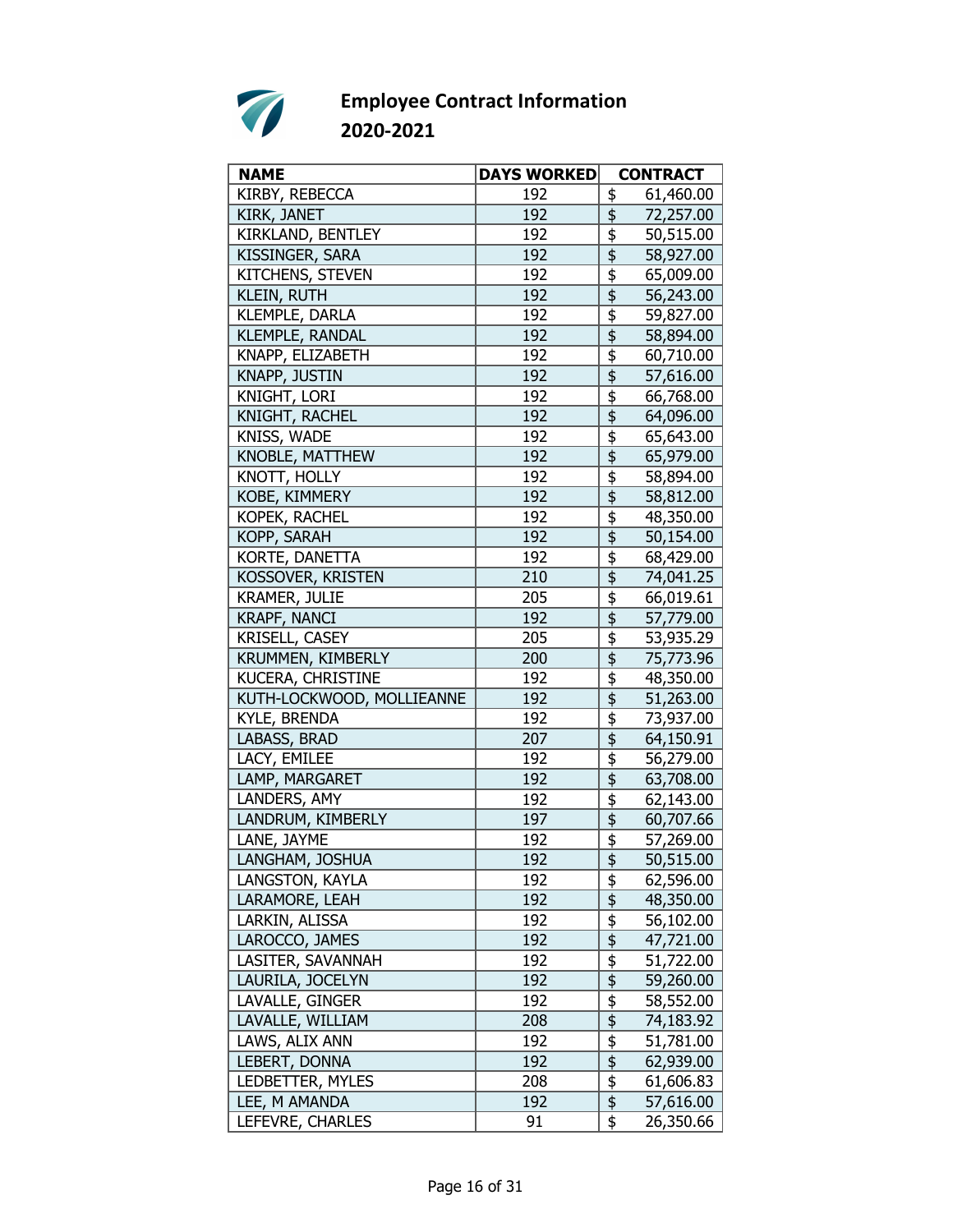

| <b>NAME</b>               | <b>DAYS WORKED</b> | <b>CONTRACT</b>                                              |
|---------------------------|--------------------|--------------------------------------------------------------|
| KIRBY, REBECCA            | 192                | \$<br>61,460.00                                              |
| KIRK, JANET               | 192                | \$<br>72,257.00                                              |
| KIRKLAND, BENTLEY         | 192                | \$<br>50,515.00                                              |
| KISSINGER, SARA           | 192                | \$<br>58,927.00                                              |
| KITCHENS, STEVEN          | 192                | \$<br>65,009.00                                              |
| <b>KLEIN, RUTH</b>        | 192                | $\overline{\overline{\overline{5}}}$<br>56,243.00            |
| KLEMPLE, DARLA            | 192                | $\overline{\overline{\overline{5}}}$<br>59,827.00            |
| KLEMPLE, RANDAL           | 192                | \$<br>58,894.00                                              |
| KNAPP, ELIZABETH          | 192                | \$<br>60,710.00                                              |
| KNAPP, JUSTIN             | 192                | \$<br>57,616.00                                              |
| KNIGHT, LORI              | 192                | \$<br>66,768.00                                              |
| KNIGHT, RACHEL            | 192                | \$<br>64,096.00                                              |
| KNISS, WADE               | 192                | \$<br>65,643.00                                              |
| KNOBLE, MATTHEW           | 192                | $\overline{\overline{\overline{5}}}$<br>65,979.00            |
| KNOTT, HOLLY              | 192                | \$<br>58,894.00                                              |
| KOBE, KIMMERY             | 192                | \$<br>58,812.00                                              |
| KOPEK, RACHEL             | 192                | \$<br>48,350.00                                              |
| KOPP, SARAH               | 192                | \$<br>50,154.00                                              |
| KORTE, DANETTA            | 192                | \$<br>68,429.00                                              |
| KOSSOVER, KRISTEN         | 210                | $\overline{\overline{\overline{5}}}$<br>74,041.25            |
| <b>KRAMER, JULIE</b>      | 205                | $\overline{\boldsymbol{\mathfrak{s}}}$<br>66,019.61          |
| <b>KRAPF, NANCI</b>       | 192                | \$<br>57,779.00                                              |
| KRISELL, CASEY            | 205                | \$<br>53,935.29                                              |
| KRUMMEN, KIMBERLY         | 200                | \$<br>75,773.96                                              |
| KUCERA, CHRISTINE         | 192                | \$<br>48,350.00                                              |
| KUTH-LOCKWOOD, MOLLIEANNE | 192                | $\overline{\overline{\overline{5}}}$<br>51,263.00            |
| <b>KYLE, BRENDA</b>       | 192                | $\frac{1}{2}$<br>73,937.00                                   |
| LABASS, BRAD              | 207                | \$<br>64,150.91                                              |
| LACY, EMILEE              | 192                | \$<br>56,279.00                                              |
| LAMP, MARGARET            | 192                | \$<br>63,708.00                                              |
| LANDERS, AMY              | 192                | \$<br>62,143.00                                              |
| LANDRUM, KIMBERLY         | 197                | $\overline{\overline{\overline{\overline{z}}}}$<br>60,707.66 |
| LANE, JAYME               | 192                | \$<br>57,269.00                                              |
| LANGHAM, JOSHUA           | 192                | 50,515.00                                                    |
| LANGSTON, KAYLA           | 192                | 62,596.00<br>\$                                              |
| LARAMORE, LEAH            | 192                | \$<br>48,350.00                                              |
| LARKIN, ALISSA            | 192                | $\frac{1}{2}$<br>56,102.00                                   |
| LAROCCO, JAMES            | 192                | $\overline{\frac{1}{2}}$<br>47,721.00                        |
| LASITER, SAVANNAH         | 192                | $\overline{\mathfrak{s}}$<br>51,722.00                       |
| LAURILA, JOCELYN          | 192                | $\overline{\mathfrak{s}}$<br>59,260.00                       |
| LAVALLE, GINGER           | 192                | $\frac{1}{2}$<br>58,552.00                                   |
| LAVALLE, WILLIAM          | 208                | \$<br>74,183.92                                              |
| LAWS, ALIX ANN            | 192                | $\frac{1}{2}$<br>51,781.00                                   |
| LEBERT, DONNA             | 192                | $\frac{1}{2}$<br>62,939.00                                   |
| LEDBETTER, MYLES          | 208                | $\frac{1}{2}$<br>61,606.83                                   |
| LEE, M AMANDA             | 192                | $\overline{\mathfrak{s}}$<br>57,616.00                       |
| LEFEVRE, CHARLES          | 91                 | \$<br>26,350.66                                              |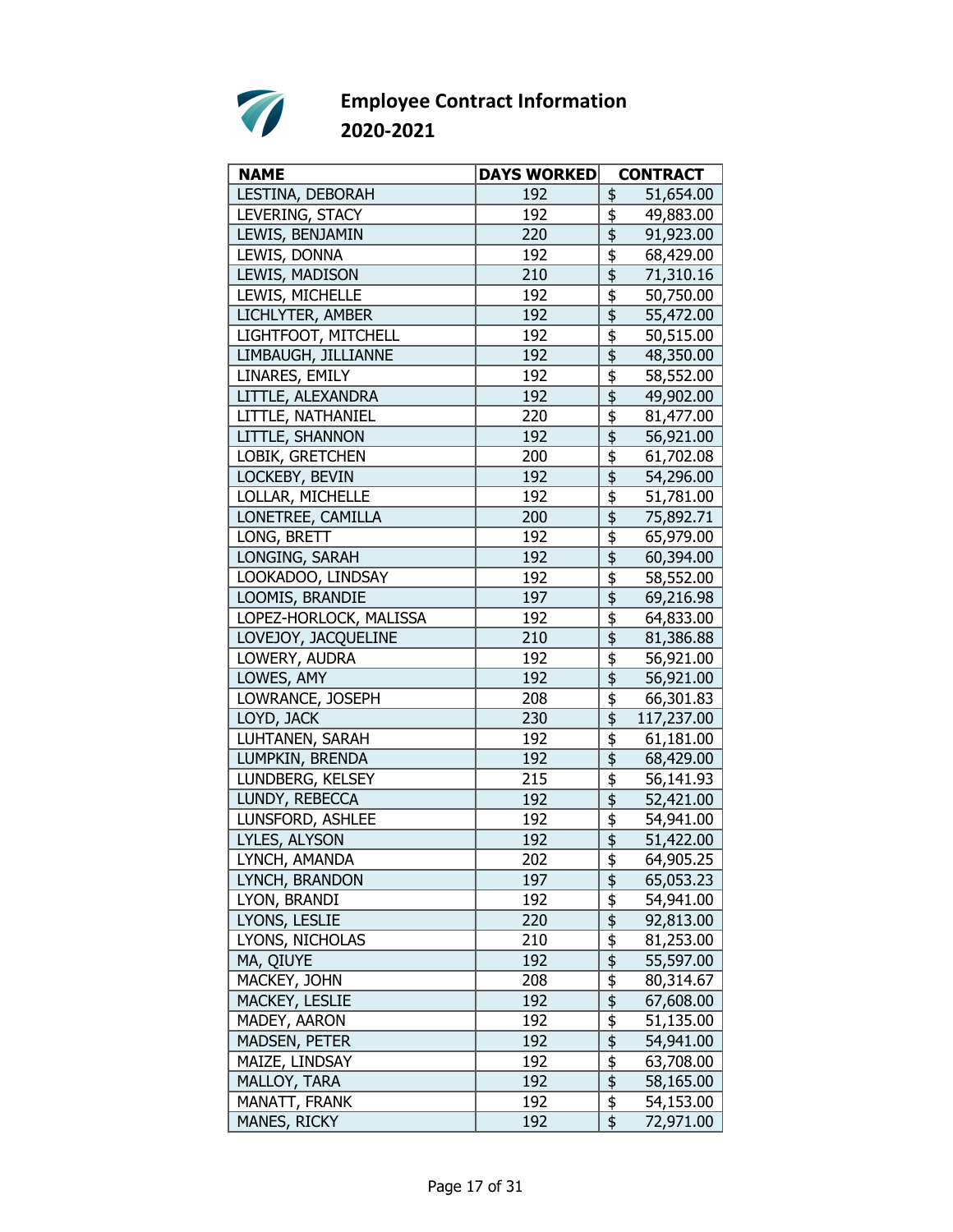

| LESTINA, DEBORAH<br>192<br>\$<br>51,654.00<br>LEVERING, STACY<br>192<br>\$<br>49,883.00<br>\$<br>LEWIS, BENJAMIN<br>220<br>91,923.00<br>LEWIS, DONNA<br>192<br>\$<br>68,429.00<br>\$<br>71,310.16<br>LEWIS, MADISON<br>210<br>\$<br>LEWIS, MICHELLE<br>192<br>50,750.00<br>$\overline{\mathfrak{s}}$<br>LICHLYTER, AMBER<br>192<br>55,472.00<br>\$<br>LIGHTFOOT, MITCHELL<br>192<br>50,515.00<br>$\overline{\frac{1}{2}}$<br>LIMBAUGH, JILLIANNE<br>192<br>48,350.00<br>LINARES, EMILY<br>\$<br>192<br>58,552.00<br>\$<br>LITTLE, ALEXANDRA<br>192<br>49,902.00<br>LITTLE, NATHANIEL<br>\$<br>220<br>81,477.00<br>\$<br>LITTLE, SHANNON<br>192<br>56,921.00<br>\$<br>LOBIK, GRETCHEN<br>61,702.08<br>200<br>LOCKEBY, BEVIN<br>\$<br>192<br>54,296.00<br>\$<br>LOLLAR, MICHELLE<br>192<br>51,781.00<br>LONETREE, CAMILLA<br>\$<br>200<br>75,892.71<br>LONG, BRETT<br>\$<br>192<br>65,979.00<br>\$<br>192<br>LONGING, SARAH<br>60,394.00<br>$\overline{\overline{\overline{5}}}$<br>LOOKADOO, LINDSAY<br>192<br>58,552.00<br>\$<br>LOOMIS, BRANDIE<br>69,216.98<br>197<br>LOPEZ-HORLOCK, MALISSA<br>\$<br>192<br>64,833.00<br>\$<br>LOVEJOY, JACQUELINE<br>210<br>81,386.88<br>\$<br>LOWERY, AUDRA<br>192<br>56,921.00<br>$\overline{\mathfrak{s}}$<br>LOWES, AMY<br>192<br>56,921.00<br>\$<br>LOWRANCE, JOSEPH<br>66,301.83<br>208<br>\$<br>LOYD, JACK<br>117,237.00<br>230<br>\$<br>LUHTANEN, SARAH<br>192<br>61,181.00<br>LUMPKIN, BRENDA<br>\$<br>192<br>68,429.00<br>LUNDBERG, KELSEY<br>215<br>\$<br>56,141.93<br>\$<br>LUNDY, REBECCA<br>192<br>52,421.00<br>\$<br>LUNSFORD, ASHLEE<br>192<br>54,941.00<br>$\overline{\overline{\overline{5}}}$<br>LYLES, ALYSON<br>192<br>51,422.00<br>\$<br>202<br>64,905.25<br>LYNCH, AMANDA<br>197<br>LYNCH, BRANDON<br><u>\$</u><br>65,053.23<br>\$<br>LYON, BRANDI<br>192<br>54,941.00<br>\$<br>LYONS, LESLIE<br>220<br>92,813.00<br>$\overline{\mathfrak{s}}$<br>LYONS, NICHOLAS<br>210<br>81,253.00<br>MA, QIUYE<br>192<br>55,597.00<br>$\frac{6}{9}$<br>MACKEY, JOHN<br>208<br>80,314.67<br>192<br>MACKEY, LESLIE<br>67,608.00<br>\$<br>192<br>51,135.00<br>MADEY, AARON<br>$\frac{1}{2}$<br><b>MADSEN, PETER</b><br>192<br>54,941.00<br>$\frac{1}{2}$<br>MAIZE, LINDSAY<br>192<br>63,708.00<br>$\overline{\overline{\overline{5}}}$<br>MALLOY, TARA<br>192<br>58,165.00<br>$\frac{1}{2}$<br>MANATT, FRANK<br>192<br>54,153.00 | <b>NAME</b>  | <b>DAYS WORKED</b> | <b>CONTRACT</b> |
|------------------------------------------------------------------------------------------------------------------------------------------------------------------------------------------------------------------------------------------------------------------------------------------------------------------------------------------------------------------------------------------------------------------------------------------------------------------------------------------------------------------------------------------------------------------------------------------------------------------------------------------------------------------------------------------------------------------------------------------------------------------------------------------------------------------------------------------------------------------------------------------------------------------------------------------------------------------------------------------------------------------------------------------------------------------------------------------------------------------------------------------------------------------------------------------------------------------------------------------------------------------------------------------------------------------------------------------------------------------------------------------------------------------------------------------------------------------------------------------------------------------------------------------------------------------------------------------------------------------------------------------------------------------------------------------------------------------------------------------------------------------------------------------------------------------------------------------------------------------------------------------------------------------------------------------------------------------------------------------------------------------------------------------------------------------------------------------------------------------------------------------------------------------------------------------------------------------------------------------------------------------------------------------------------------------------------------------------------------------------------|--------------|--------------------|-----------------|
|                                                                                                                                                                                                                                                                                                                                                                                                                                                                                                                                                                                                                                                                                                                                                                                                                                                                                                                                                                                                                                                                                                                                                                                                                                                                                                                                                                                                                                                                                                                                                                                                                                                                                                                                                                                                                                                                                                                                                                                                                                                                                                                                                                                                                                                                                                                                                                              |              |                    |                 |
|                                                                                                                                                                                                                                                                                                                                                                                                                                                                                                                                                                                                                                                                                                                                                                                                                                                                                                                                                                                                                                                                                                                                                                                                                                                                                                                                                                                                                                                                                                                                                                                                                                                                                                                                                                                                                                                                                                                                                                                                                                                                                                                                                                                                                                                                                                                                                                              |              |                    |                 |
|                                                                                                                                                                                                                                                                                                                                                                                                                                                                                                                                                                                                                                                                                                                                                                                                                                                                                                                                                                                                                                                                                                                                                                                                                                                                                                                                                                                                                                                                                                                                                                                                                                                                                                                                                                                                                                                                                                                                                                                                                                                                                                                                                                                                                                                                                                                                                                              |              |                    |                 |
|                                                                                                                                                                                                                                                                                                                                                                                                                                                                                                                                                                                                                                                                                                                                                                                                                                                                                                                                                                                                                                                                                                                                                                                                                                                                                                                                                                                                                                                                                                                                                                                                                                                                                                                                                                                                                                                                                                                                                                                                                                                                                                                                                                                                                                                                                                                                                                              |              |                    |                 |
|                                                                                                                                                                                                                                                                                                                                                                                                                                                                                                                                                                                                                                                                                                                                                                                                                                                                                                                                                                                                                                                                                                                                                                                                                                                                                                                                                                                                                                                                                                                                                                                                                                                                                                                                                                                                                                                                                                                                                                                                                                                                                                                                                                                                                                                                                                                                                                              |              |                    |                 |
|                                                                                                                                                                                                                                                                                                                                                                                                                                                                                                                                                                                                                                                                                                                                                                                                                                                                                                                                                                                                                                                                                                                                                                                                                                                                                                                                                                                                                                                                                                                                                                                                                                                                                                                                                                                                                                                                                                                                                                                                                                                                                                                                                                                                                                                                                                                                                                              |              |                    |                 |
|                                                                                                                                                                                                                                                                                                                                                                                                                                                                                                                                                                                                                                                                                                                                                                                                                                                                                                                                                                                                                                                                                                                                                                                                                                                                                                                                                                                                                                                                                                                                                                                                                                                                                                                                                                                                                                                                                                                                                                                                                                                                                                                                                                                                                                                                                                                                                                              |              |                    |                 |
|                                                                                                                                                                                                                                                                                                                                                                                                                                                                                                                                                                                                                                                                                                                                                                                                                                                                                                                                                                                                                                                                                                                                                                                                                                                                                                                                                                                                                                                                                                                                                                                                                                                                                                                                                                                                                                                                                                                                                                                                                                                                                                                                                                                                                                                                                                                                                                              |              |                    |                 |
|                                                                                                                                                                                                                                                                                                                                                                                                                                                                                                                                                                                                                                                                                                                                                                                                                                                                                                                                                                                                                                                                                                                                                                                                                                                                                                                                                                                                                                                                                                                                                                                                                                                                                                                                                                                                                                                                                                                                                                                                                                                                                                                                                                                                                                                                                                                                                                              |              |                    |                 |
|                                                                                                                                                                                                                                                                                                                                                                                                                                                                                                                                                                                                                                                                                                                                                                                                                                                                                                                                                                                                                                                                                                                                                                                                                                                                                                                                                                                                                                                                                                                                                                                                                                                                                                                                                                                                                                                                                                                                                                                                                                                                                                                                                                                                                                                                                                                                                                              |              |                    |                 |
|                                                                                                                                                                                                                                                                                                                                                                                                                                                                                                                                                                                                                                                                                                                                                                                                                                                                                                                                                                                                                                                                                                                                                                                                                                                                                                                                                                                                                                                                                                                                                                                                                                                                                                                                                                                                                                                                                                                                                                                                                                                                                                                                                                                                                                                                                                                                                                              |              |                    |                 |
|                                                                                                                                                                                                                                                                                                                                                                                                                                                                                                                                                                                                                                                                                                                                                                                                                                                                                                                                                                                                                                                                                                                                                                                                                                                                                                                                                                                                                                                                                                                                                                                                                                                                                                                                                                                                                                                                                                                                                                                                                                                                                                                                                                                                                                                                                                                                                                              |              |                    |                 |
|                                                                                                                                                                                                                                                                                                                                                                                                                                                                                                                                                                                                                                                                                                                                                                                                                                                                                                                                                                                                                                                                                                                                                                                                                                                                                                                                                                                                                                                                                                                                                                                                                                                                                                                                                                                                                                                                                                                                                                                                                                                                                                                                                                                                                                                                                                                                                                              |              |                    |                 |
|                                                                                                                                                                                                                                                                                                                                                                                                                                                                                                                                                                                                                                                                                                                                                                                                                                                                                                                                                                                                                                                                                                                                                                                                                                                                                                                                                                                                                                                                                                                                                                                                                                                                                                                                                                                                                                                                                                                                                                                                                                                                                                                                                                                                                                                                                                                                                                              |              |                    |                 |
|                                                                                                                                                                                                                                                                                                                                                                                                                                                                                                                                                                                                                                                                                                                                                                                                                                                                                                                                                                                                                                                                                                                                                                                                                                                                                                                                                                                                                                                                                                                                                                                                                                                                                                                                                                                                                                                                                                                                                                                                                                                                                                                                                                                                                                                                                                                                                                              |              |                    |                 |
|                                                                                                                                                                                                                                                                                                                                                                                                                                                                                                                                                                                                                                                                                                                                                                                                                                                                                                                                                                                                                                                                                                                                                                                                                                                                                                                                                                                                                                                                                                                                                                                                                                                                                                                                                                                                                                                                                                                                                                                                                                                                                                                                                                                                                                                                                                                                                                              |              |                    |                 |
|                                                                                                                                                                                                                                                                                                                                                                                                                                                                                                                                                                                                                                                                                                                                                                                                                                                                                                                                                                                                                                                                                                                                                                                                                                                                                                                                                                                                                                                                                                                                                                                                                                                                                                                                                                                                                                                                                                                                                                                                                                                                                                                                                                                                                                                                                                                                                                              |              |                    |                 |
|                                                                                                                                                                                                                                                                                                                                                                                                                                                                                                                                                                                                                                                                                                                                                                                                                                                                                                                                                                                                                                                                                                                                                                                                                                                                                                                                                                                                                                                                                                                                                                                                                                                                                                                                                                                                                                                                                                                                                                                                                                                                                                                                                                                                                                                                                                                                                                              |              |                    |                 |
|                                                                                                                                                                                                                                                                                                                                                                                                                                                                                                                                                                                                                                                                                                                                                                                                                                                                                                                                                                                                                                                                                                                                                                                                                                                                                                                                                                                                                                                                                                                                                                                                                                                                                                                                                                                                                                                                                                                                                                                                                                                                                                                                                                                                                                                                                                                                                                              |              |                    |                 |
|                                                                                                                                                                                                                                                                                                                                                                                                                                                                                                                                                                                                                                                                                                                                                                                                                                                                                                                                                                                                                                                                                                                                                                                                                                                                                                                                                                                                                                                                                                                                                                                                                                                                                                                                                                                                                                                                                                                                                                                                                                                                                                                                                                                                                                                                                                                                                                              |              |                    |                 |
|                                                                                                                                                                                                                                                                                                                                                                                                                                                                                                                                                                                                                                                                                                                                                                                                                                                                                                                                                                                                                                                                                                                                                                                                                                                                                                                                                                                                                                                                                                                                                                                                                                                                                                                                                                                                                                                                                                                                                                                                                                                                                                                                                                                                                                                                                                                                                                              |              |                    |                 |
|                                                                                                                                                                                                                                                                                                                                                                                                                                                                                                                                                                                                                                                                                                                                                                                                                                                                                                                                                                                                                                                                                                                                                                                                                                                                                                                                                                                                                                                                                                                                                                                                                                                                                                                                                                                                                                                                                                                                                                                                                                                                                                                                                                                                                                                                                                                                                                              |              |                    |                 |
|                                                                                                                                                                                                                                                                                                                                                                                                                                                                                                                                                                                                                                                                                                                                                                                                                                                                                                                                                                                                                                                                                                                                                                                                                                                                                                                                                                                                                                                                                                                                                                                                                                                                                                                                                                                                                                                                                                                                                                                                                                                                                                                                                                                                                                                                                                                                                                              |              |                    |                 |
|                                                                                                                                                                                                                                                                                                                                                                                                                                                                                                                                                                                                                                                                                                                                                                                                                                                                                                                                                                                                                                                                                                                                                                                                                                                                                                                                                                                                                                                                                                                                                                                                                                                                                                                                                                                                                                                                                                                                                                                                                                                                                                                                                                                                                                                                                                                                                                              |              |                    |                 |
|                                                                                                                                                                                                                                                                                                                                                                                                                                                                                                                                                                                                                                                                                                                                                                                                                                                                                                                                                                                                                                                                                                                                                                                                                                                                                                                                                                                                                                                                                                                                                                                                                                                                                                                                                                                                                                                                                                                                                                                                                                                                                                                                                                                                                                                                                                                                                                              |              |                    |                 |
|                                                                                                                                                                                                                                                                                                                                                                                                                                                                                                                                                                                                                                                                                                                                                                                                                                                                                                                                                                                                                                                                                                                                                                                                                                                                                                                                                                                                                                                                                                                                                                                                                                                                                                                                                                                                                                                                                                                                                                                                                                                                                                                                                                                                                                                                                                                                                                              |              |                    |                 |
|                                                                                                                                                                                                                                                                                                                                                                                                                                                                                                                                                                                                                                                                                                                                                                                                                                                                                                                                                                                                                                                                                                                                                                                                                                                                                                                                                                                                                                                                                                                                                                                                                                                                                                                                                                                                                                                                                                                                                                                                                                                                                                                                                                                                                                                                                                                                                                              |              |                    |                 |
|                                                                                                                                                                                                                                                                                                                                                                                                                                                                                                                                                                                                                                                                                                                                                                                                                                                                                                                                                                                                                                                                                                                                                                                                                                                                                                                                                                                                                                                                                                                                                                                                                                                                                                                                                                                                                                                                                                                                                                                                                                                                                                                                                                                                                                                                                                                                                                              |              |                    |                 |
|                                                                                                                                                                                                                                                                                                                                                                                                                                                                                                                                                                                                                                                                                                                                                                                                                                                                                                                                                                                                                                                                                                                                                                                                                                                                                                                                                                                                                                                                                                                                                                                                                                                                                                                                                                                                                                                                                                                                                                                                                                                                                                                                                                                                                                                                                                                                                                              |              |                    |                 |
|                                                                                                                                                                                                                                                                                                                                                                                                                                                                                                                                                                                                                                                                                                                                                                                                                                                                                                                                                                                                                                                                                                                                                                                                                                                                                                                                                                                                                                                                                                                                                                                                                                                                                                                                                                                                                                                                                                                                                                                                                                                                                                                                                                                                                                                                                                                                                                              |              |                    |                 |
|                                                                                                                                                                                                                                                                                                                                                                                                                                                                                                                                                                                                                                                                                                                                                                                                                                                                                                                                                                                                                                                                                                                                                                                                                                                                                                                                                                                                                                                                                                                                                                                                                                                                                                                                                                                                                                                                                                                                                                                                                                                                                                                                                                                                                                                                                                                                                                              |              |                    |                 |
|                                                                                                                                                                                                                                                                                                                                                                                                                                                                                                                                                                                                                                                                                                                                                                                                                                                                                                                                                                                                                                                                                                                                                                                                                                                                                                                                                                                                                                                                                                                                                                                                                                                                                                                                                                                                                                                                                                                                                                                                                                                                                                                                                                                                                                                                                                                                                                              |              |                    |                 |
|                                                                                                                                                                                                                                                                                                                                                                                                                                                                                                                                                                                                                                                                                                                                                                                                                                                                                                                                                                                                                                                                                                                                                                                                                                                                                                                                                                                                                                                                                                                                                                                                                                                                                                                                                                                                                                                                                                                                                                                                                                                                                                                                                                                                                                                                                                                                                                              |              |                    |                 |
|                                                                                                                                                                                                                                                                                                                                                                                                                                                                                                                                                                                                                                                                                                                                                                                                                                                                                                                                                                                                                                                                                                                                                                                                                                                                                                                                                                                                                                                                                                                                                                                                                                                                                                                                                                                                                                                                                                                                                                                                                                                                                                                                                                                                                                                                                                                                                                              |              |                    |                 |
|                                                                                                                                                                                                                                                                                                                                                                                                                                                                                                                                                                                                                                                                                                                                                                                                                                                                                                                                                                                                                                                                                                                                                                                                                                                                                                                                                                                                                                                                                                                                                                                                                                                                                                                                                                                                                                                                                                                                                                                                                                                                                                                                                                                                                                                                                                                                                                              |              |                    |                 |
|                                                                                                                                                                                                                                                                                                                                                                                                                                                                                                                                                                                                                                                                                                                                                                                                                                                                                                                                                                                                                                                                                                                                                                                                                                                                                                                                                                                                                                                                                                                                                                                                                                                                                                                                                                                                                                                                                                                                                                                                                                                                                                                                                                                                                                                                                                                                                                              |              |                    |                 |
|                                                                                                                                                                                                                                                                                                                                                                                                                                                                                                                                                                                                                                                                                                                                                                                                                                                                                                                                                                                                                                                                                                                                                                                                                                                                                                                                                                                                                                                                                                                                                                                                                                                                                                                                                                                                                                                                                                                                                                                                                                                                                                                                                                                                                                                                                                                                                                              |              |                    |                 |
|                                                                                                                                                                                                                                                                                                                                                                                                                                                                                                                                                                                                                                                                                                                                                                                                                                                                                                                                                                                                                                                                                                                                                                                                                                                                                                                                                                                                                                                                                                                                                                                                                                                                                                                                                                                                                                                                                                                                                                                                                                                                                                                                                                                                                                                                                                                                                                              |              |                    |                 |
|                                                                                                                                                                                                                                                                                                                                                                                                                                                                                                                                                                                                                                                                                                                                                                                                                                                                                                                                                                                                                                                                                                                                                                                                                                                                                                                                                                                                                                                                                                                                                                                                                                                                                                                                                                                                                                                                                                                                                                                                                                                                                                                                                                                                                                                                                                                                                                              |              |                    |                 |
|                                                                                                                                                                                                                                                                                                                                                                                                                                                                                                                                                                                                                                                                                                                                                                                                                                                                                                                                                                                                                                                                                                                                                                                                                                                                                                                                                                                                                                                                                                                                                                                                                                                                                                                                                                                                                                                                                                                                                                                                                                                                                                                                                                                                                                                                                                                                                                              |              |                    |                 |
|                                                                                                                                                                                                                                                                                                                                                                                                                                                                                                                                                                                                                                                                                                                                                                                                                                                                                                                                                                                                                                                                                                                                                                                                                                                                                                                                                                                                                                                                                                                                                                                                                                                                                                                                                                                                                                                                                                                                                                                                                                                                                                                                                                                                                                                                                                                                                                              |              |                    |                 |
|                                                                                                                                                                                                                                                                                                                                                                                                                                                                                                                                                                                                                                                                                                                                                                                                                                                                                                                                                                                                                                                                                                                                                                                                                                                                                                                                                                                                                                                                                                                                                                                                                                                                                                                                                                                                                                                                                                                                                                                                                                                                                                                                                                                                                                                                                                                                                                              |              |                    |                 |
|                                                                                                                                                                                                                                                                                                                                                                                                                                                                                                                                                                                                                                                                                                                                                                                                                                                                                                                                                                                                                                                                                                                                                                                                                                                                                                                                                                                                                                                                                                                                                                                                                                                                                                                                                                                                                                                                                                                                                                                                                                                                                                                                                                                                                                                                                                                                                                              |              |                    |                 |
|                                                                                                                                                                                                                                                                                                                                                                                                                                                                                                                                                                                                                                                                                                                                                                                                                                                                                                                                                                                                                                                                                                                                                                                                                                                                                                                                                                                                                                                                                                                                                                                                                                                                                                                                                                                                                                                                                                                                                                                                                                                                                                                                                                                                                                                                                                                                                                              |              |                    |                 |
|                                                                                                                                                                                                                                                                                                                                                                                                                                                                                                                                                                                                                                                                                                                                                                                                                                                                                                                                                                                                                                                                                                                                                                                                                                                                                                                                                                                                                                                                                                                                                                                                                                                                                                                                                                                                                                                                                                                                                                                                                                                                                                                                                                                                                                                                                                                                                                              |              |                    |                 |
|                                                                                                                                                                                                                                                                                                                                                                                                                                                                                                                                                                                                                                                                                                                                                                                                                                                                                                                                                                                                                                                                                                                                                                                                                                                                                                                                                                                                                                                                                                                                                                                                                                                                                                                                                                                                                                                                                                                                                                                                                                                                                                                                                                                                                                                                                                                                                                              |              |                    |                 |
|                                                                                                                                                                                                                                                                                                                                                                                                                                                                                                                                                                                                                                                                                                                                                                                                                                                                                                                                                                                                                                                                                                                                                                                                                                                                                                                                                                                                                                                                                                                                                                                                                                                                                                                                                                                                                                                                                                                                                                                                                                                                                                                                                                                                                                                                                                                                                                              |              |                    |                 |
|                                                                                                                                                                                                                                                                                                                                                                                                                                                                                                                                                                                                                                                                                                                                                                                                                                                                                                                                                                                                                                                                                                                                                                                                                                                                                                                                                                                                                                                                                                                                                                                                                                                                                                                                                                                                                                                                                                                                                                                                                                                                                                                                                                                                                                                                                                                                                                              | MANES, RICKY | 192                | \$<br>72,971.00 |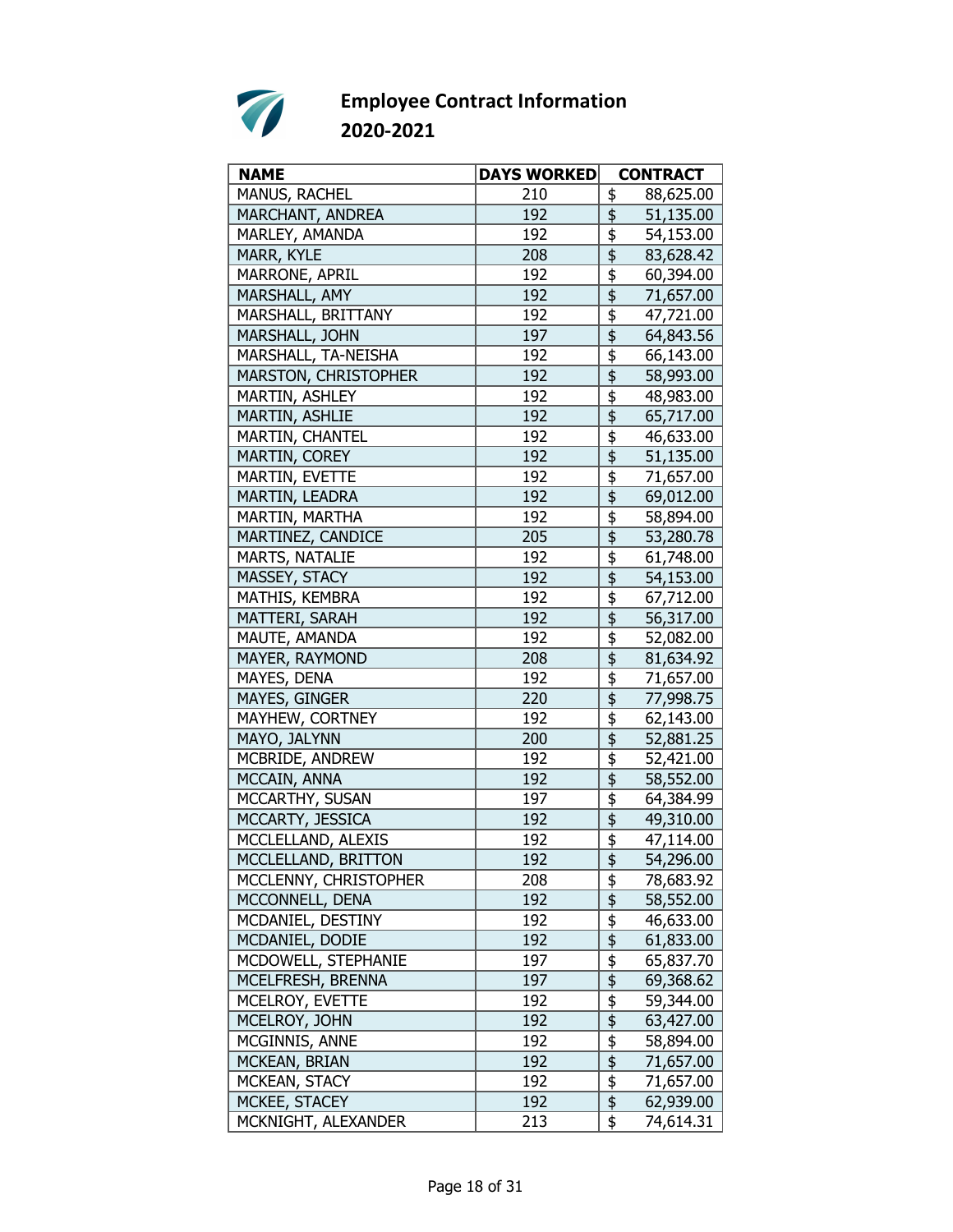

| <b>NAME</b>           | <b>DAYS WORKED</b> | <b>CONTRACT</b>                                   |
|-----------------------|--------------------|---------------------------------------------------|
| MANUS, RACHEL         | 210                | \$<br>88,625.00                                   |
| MARCHANT, ANDREA      | 192                | \$<br>51,135.00                                   |
| MARLEY, AMANDA        | 192                | \$<br>54,153.00                                   |
| MARR, KYLE            | 208                | \$<br>83,628.42                                   |
| MARRONE, APRIL        | 192                | \$<br>60,394.00                                   |
| MARSHALL, AMY         | 192                | \$<br>71,657.00                                   |
| MARSHALL, BRITTANY    | 192                | $\overline{\overline{\overline{5}}}$<br>47,721.00 |
| MARSHALL, JOHN        | 197                | $\overline{\overline{\overline{5}}}$<br>64,843.56 |
| MARSHALL, TA-NEISHA   | 192                | \$<br>66,143.00                                   |
| MARSTON, CHRISTOPHER  | 192                | \$<br>58,993.00                                   |
| MARTIN, ASHLEY        | 192                | \$<br>48,983.00                                   |
| MARTIN, ASHLIE        | 192                | \$<br>65,717.00                                   |
| MARTIN, CHANTEL       | 192                | \$<br>46,633.00                                   |
| MARTIN, COREY         | 192                | 51,135.00                                         |
| <b>MARTIN, EVETTE</b> | 192                | \$<br>71,657.00                                   |
| MARTIN, LEADRA        | 192                | $\overline{\overline{\overline{5}}}$<br>69,012.00 |
| MARTIN, MARTHA        | 192                | \$<br>58,894.00                                   |
| MARTINEZ, CANDICE     | 205                | \$<br>53,280.78                                   |
| MARTS, NATALIE        | 192                | \$<br>61,748.00                                   |
| MASSEY, STACY         | 192                | $\overline{\overline{\overline{5}}}$<br>54,153.00 |
| MATHIS, KEMBRA        | 192                | \$<br>67,712.00                                   |
| MATTERI, SARAH        | 192                | 56,317.00                                         |
| MAUTE, AMANDA         | 192                | \$<br>52,082.00                                   |
| MAYER, RAYMOND        | 208                | \$<br>81,634.92                                   |
| MAYES, DENA           | 192                | \$<br>71,657.00                                   |
| MAYES, GINGER         | 220                | \$<br>77,998.75                                   |
| MAYHEW, CORTNEY       | 192                | \$<br>62,143.00                                   |
| MAYO, JALYNN          | 200                | \$<br>52,881.25                                   |
| MCBRIDE, ANDREW       | 192                | \$<br>52,421.00                                   |
| MCCAIN, ANNA          | 192                | \$<br>58,552.00                                   |
| MCCARTHY, SUSAN       | 197                | \$<br>64,384.99                                   |
| MCCARTY, JESSICA      | 192                | $\overline{\mathfrak{s}}$<br>49,310.00            |
| MCCLELLAND, ALEXIS    | 192                | \$<br>47,114.00                                   |
| MCCLELLAND, BRITTON   | 192                |                                                   |
|                       | 208                | 54,296.00                                         |
| MCCLENNY, CHRISTOPHER |                    | <u>\$</u><br>78,683.92                            |
| MCCONNELL, DENA       | 192                | \$<br>58,552.00                                   |
| MCDANIEL, DESTINY     | 192                | \$<br>46,633.00                                   |
| MCDANIEL, DODIE       | 192                | $\overline{\mathfrak{s}}$<br>61,833.00            |
| MCDOWELL, STEPHANIE   | 197                | $\overline{\frac{1}{2}}$<br>65,837.70             |
| MCELFRESH, BRENNA     | 197                | $\frac{1}{2}$<br>69,368.62                        |
| MCELROY, EVETTE       | 192                | $\overline{\frac{1}{2}}$<br>59,344.00             |
| MCELROY, JOHN         | 192                | \$<br>63,427.00                                   |
| MCGINNIS, ANNE        | 192                | $\frac{1}{2}$<br>58,894.00                        |
| MCKEAN, BRIAN         | 192                | $\overline{\mathfrak{s}}$<br>71,657.00            |
| MCKEAN, STACY         | 192                | $\overline{\mathfrak{s}}$<br>71,657.00            |
| MCKEE, STACEY         | 192                | $\overline{\boldsymbol{\phi}}$<br>62,939.00       |
| MCKNIGHT, ALEXANDER   | 213                | \$<br>74,614.31                                   |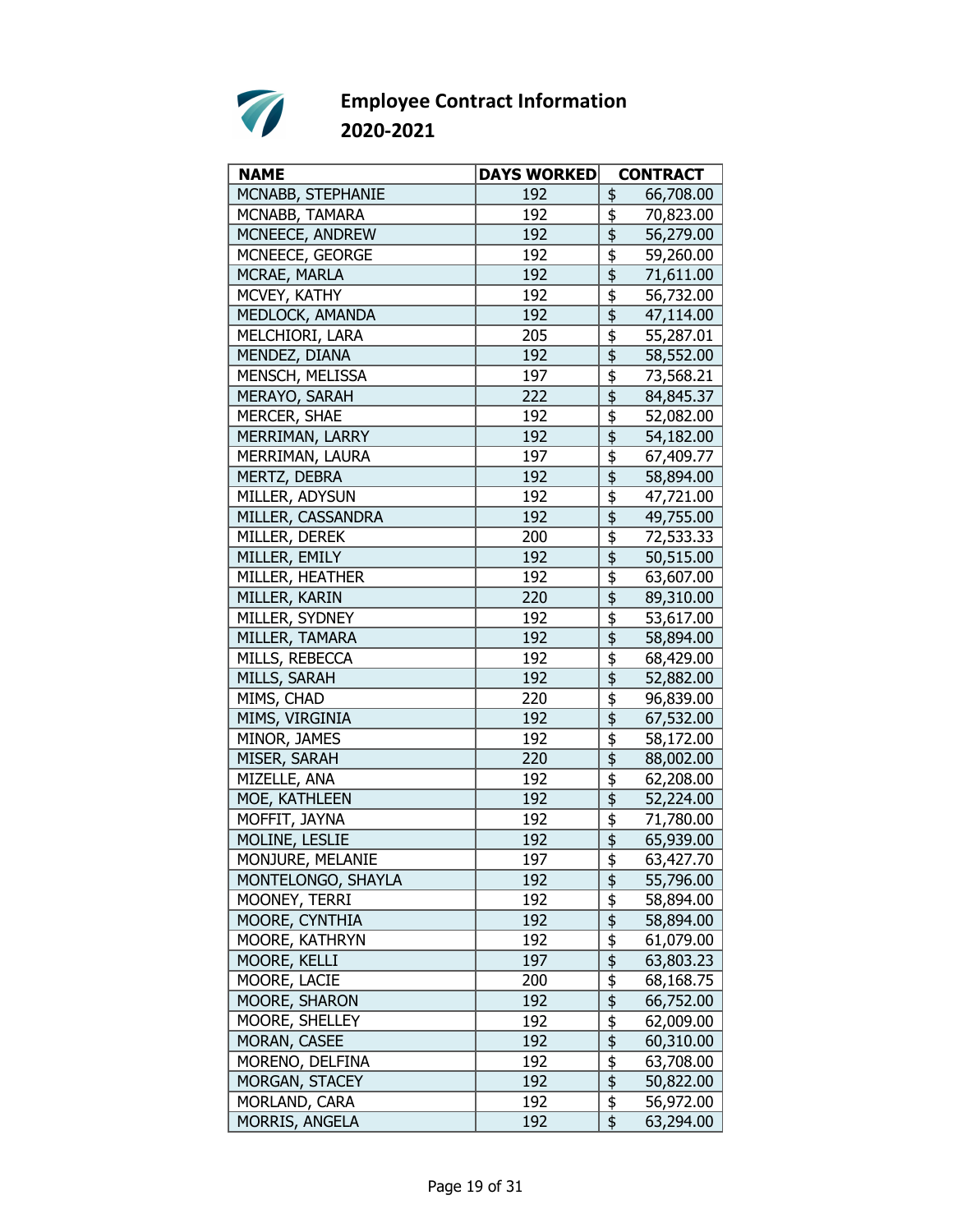

| <b>NAME</b>         | <b>DAYS WORKED</b> | <b>CONTRACT</b>                                              |
|---------------------|--------------------|--------------------------------------------------------------|
| MCNABB, STEPHANIE   | 192                | \$<br>66,708.00                                              |
| MCNABB, TAMARA      | 192                | \$<br>70,823.00                                              |
| MCNEECE, ANDREW     | 192                | \$<br>56,279.00                                              |
| MCNEECE, GEORGE     | 192                | \$<br>59,260.00                                              |
| MCRAE, MARLA        | 192                | \$<br>71,611.00                                              |
| MCVEY, KATHY        | 192                | \$<br>56,732.00                                              |
| MEDLOCK, AMANDA     | 192                | $\overline{\overline{\overline{5}}}$<br>47,114.00            |
| MELCHIORI, LARA     | 205                | \$<br>55,287.01                                              |
| MENDEZ, DIANA       | 192                | $\overline{\boldsymbol{\mathsf{S}}}$<br>58,552.00            |
| MENSCH, MELISSA     | 197                | \$<br>73,568.21                                              |
| MERAYO, SARAH       | 222                | \$<br>84,845.37                                              |
| MERCER, SHAE        | 192                | \$<br>52,082.00                                              |
| MERRIMAN, LARRY     | 192                | $\overline{\overline{\overline{5}}}$<br>54,182.00            |
| MERRIMAN, LAURA     | 197                | \$<br>67,409.77                                              |
| MERTZ, DEBRA        | 192                | \$<br>58,894.00                                              |
| MILLER, ADYSUN      | 192                | \$<br>47,721.00                                              |
| MILLER, CASSANDRA   | 192                | \$<br>49,755.00                                              |
| MILLER, DEREK       | 200                | \$<br>72,533.33                                              |
| MILLER, EMILY       | 192                | 50,515.00                                                    |
|                     | 192                | $\overline{\overline{\overline{5}}}$                         |
| MILLER, HEATHER     |                    | 63,607.00                                                    |
| MILLER, KARIN       | 220                | $\overline{\frac{1}{2}}$<br>89,310.00                        |
| MILLER, SYDNEY      | 192                | \$<br>53,617.00                                              |
| MILLER, TAMARA      | 192                | \$<br>58,894.00                                              |
| MILLS, REBECCA      | 192                | \$<br>68,429.00                                              |
| <b>MILLS, SARAH</b> | 192                | $\overline{\overline{\overline{5}}}$<br>52,882.00            |
| MIMS, CHAD          | 220                | \$<br>96,839.00                                              |
| MIMS, VIRGINIA      | 192                | \$<br>67,532.00                                              |
| MINOR, JAMES        | 192                | \$<br>58,172.00                                              |
| MISER, SARAH        | 220                | \$<br>88,002.00                                              |
| MIZELLE, ANA        | 192                | \$<br>62,208.00                                              |
| MOE, KATHLEEN       | 192                | \$<br>52,224.00                                              |
| MOFFIT, JAYNA       | 192                | \$<br>71,780.00                                              |
| MOLINE, LESLIE      | 192                | $\overline{\boldsymbol{\mathsf{t}}}$<br>65,939.00            |
| MONJURE, MELANIE    | 197                | \$<br>63,427.70                                              |
| MONTELONGO, SHAYLA  | 192                | \$<br>55,796.00                                              |
| MOONEY, TERRI       | 192                | \$<br>58,894.00                                              |
| MOORE, CYNTHIA      | 192                | \$<br>58,894.00                                              |
| MOORE, KATHRYN      | 192                | $\frac{1}{2}$<br>61,079.00                                   |
| MOORE, KELLI        | 197                | 63,803.23                                                    |
| MOORE, LACIE        | 200                | $\frac{1}{2}$<br>68,168.75                                   |
| MOORE, SHARON       | 192                | $\overline{\overline{\overline{\overline{z}}}}$<br>66,752.00 |
| MOORE, SHELLEY      | 192                | \$<br>62,009.00                                              |
| MORAN, CASEE        | 192                | \$<br>60,310.00                                              |
| MORENO, DELFINA     | 192                | $\frac{1}{2}$<br>63,708.00                                   |
| MORGAN, STACEY      | 192                | $\overline{\boldsymbol{\mathsf{s}}}$<br>50,822.00            |
| MORLAND, CARA       | 192                | $\frac{1}{2}$<br>56,972.00                                   |
| MORRIS, ANGELA      | 192                | \$<br>63,294.00                                              |
|                     |                    |                                                              |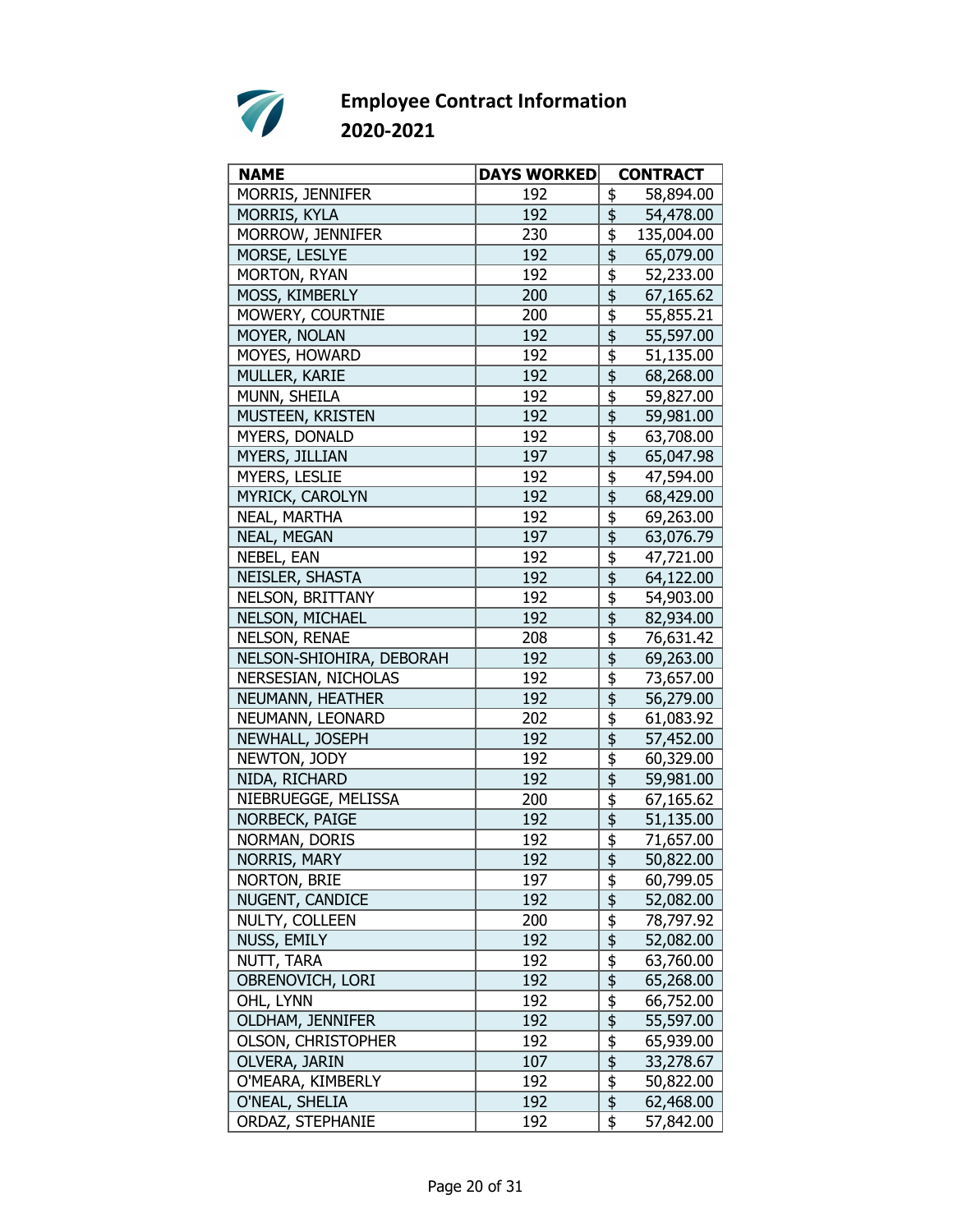

| <b>NAME</b>               | <b>DAYS WORKED</b> | <b>CONTRACT</b>                                   |
|---------------------------|--------------------|---------------------------------------------------|
| MORRIS, JENNIFER          | 192                | \$<br>58,894.00                                   |
| <b>MORRIS, KYLA</b>       | 192                | \$<br>54,478.00                                   |
| MORROW, JENNIFER          | 230                | \$<br>135,004.00                                  |
| MORSE, LESLYE             | 192                | \$<br>65,079.00                                   |
| MORTON, RYAN              | 192                | \$<br>52,233.00                                   |
| MOSS, KIMBERLY            | 200                | \$<br>67,165.62                                   |
| MOWERY, COURTNIE          | 200                | \$<br>55,855.21                                   |
| MOYER, NOLAN              | 192                | $\overline{\overline{\overline{5}}}$<br>55,597.00 |
| MOYES, HOWARD             | 192                | \$<br>51,135.00                                   |
| MULLER, KARIE             | 192                | \$<br>68,268.00                                   |
| MUNN, SHEILA              | 192                | \$<br>59,827.00                                   |
| MUSTEEN, KRISTEN          | 192                | \$<br>59,981.00                                   |
| MYERS, DONALD             | 192                | \$<br>63,708.00                                   |
| MYERS, JILLIAN            | 197                | $\overline{\overline{\overline{5}}}$<br>65,047.98 |
| MYERS, LESLIE             | 192                | \$<br>47,594.00                                   |
| MYRICK, CAROLYN           | 192                | $\overline{\mathfrak{s}}$<br>68,429.00            |
| NEAL, MARTHA              | 192                | \$<br>69,263.00                                   |
| <b>NEAL, MEGAN</b>        | 197                | \$<br>63,076.79                                   |
| NEBEL, EAN                | 192                | \$<br>47,721.00                                   |
| NEISLER, SHASTA           | 192                | $\overline{\overline{\overline{5}}}$<br>64,122.00 |
| NELSON, BRITTANY          | 192                | \$<br>54,903.00                                   |
| NELSON, MICHAEL           | 192                | $\overline{\mathfrak{s}}$<br>82,934.00            |
| NELSON, RENAE             | 208                | \$<br>76,631.42                                   |
| NELSON-SHIOHIRA, DEBORAH  | 192                | \$<br>69,263.00                                   |
| NERSESIAN, NICHOLAS       | 192                | \$<br>73,657.00                                   |
| NEUMANN, HEATHER          | 192                | \$<br>56,279.00                                   |
| NEUMANN, LEONARD          | 202                | \$<br>61,083.92                                   |
| NEWHALL, JOSEPH           | 192                | \$<br>57,452.00                                   |
| NEWTON, JODY              | 192                | \$<br>60,329.00                                   |
| NIDA, RICHARD             | 192                | \$<br>59,981.00                                   |
| NIEBRUEGGE, MELISSA       | 200                | \$<br>67,165.62                                   |
| NORBECK, PAIGE            | 192                | $\overline{\overline{\overline{5}}}$<br>51,135.00 |
| NORMAN, DORIS             | 192                | \$<br>71,657.00                                   |
| NORRIS, MARY              | 192                | 50,822.00                                         |
| NORTON, BRIE              | 197                | \$<br>60,799.05                                   |
| NUGENT, CANDICE           | 192                | \$<br>52,082.00                                   |
| NULTY, COLLEEN            | 200                | \$<br>78,797.92                                   |
| NUSS, EMILY               | 192                | $\overline{\mathfrak{s}}$<br>52,082.00            |
| NUTT, TARA                | 192                | $\overline{\frac{1}{2}}$<br>63,760.00             |
| OBRENOVICH, LORI          | 192                | $\overline{\frac{1}{2}}$<br>65,268.00             |
| OHL, LYNN                 | 192                | $\overline{\frac{1}{2}}$<br>66,752.00             |
| OLDHAM, JENNIFER          | 192                | \$<br>55,597.00                                   |
| <b>OLSON, CHRISTOPHER</b> | 192                | $\frac{1}{2}$<br>65,939.00                        |
| OLVERA, JARIN             | 107                | $\overline{\frac{1}{2}}$<br>33,278.67             |
| O'MEARA, KIMBERLY         | 192                | $\overline{\mathfrak{s}}$<br>50,822.00            |
| O'NEAL, SHELIA            | 192                | $\overline{\boldsymbol{\phi}}$<br>62,468.00       |
| ORDAZ, STEPHANIE          | 192                | \$<br>57,842.00                                   |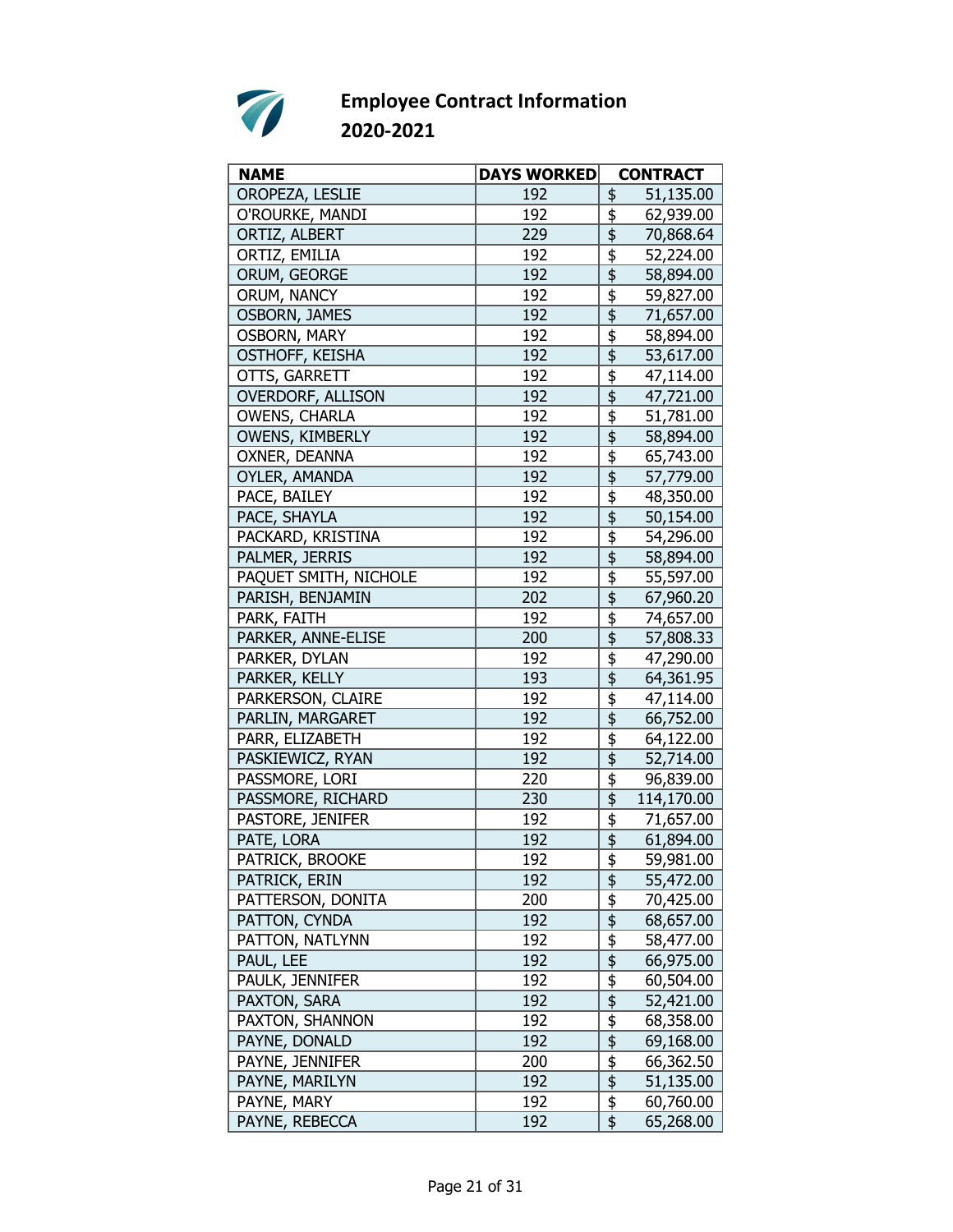

| <b>NAME</b>              | <b>DAYS WORKED</b> | <b>CONTRACT</b>                                              |
|--------------------------|--------------------|--------------------------------------------------------------|
| OROPEZA, LESLIE          | 192                | 51,135.00<br>\$                                              |
| O'ROURKE, MANDI          | 192                | \$<br>62,939.00                                              |
| ORTIZ, ALBERT            | 229                | \$<br>70,868.64                                              |
| ORTIZ, EMILIA            | 192                | \$<br>52,224.00                                              |
| ORUM, GEORGE             | 192                | \$<br>58,894.00                                              |
| ORUM, NANCY              | 192                | \$<br>59,827.00                                              |
| <b>OSBORN, JAMES</b>     | 192                | $\overline{\overline{\overline{5}}}$<br>71,657.00            |
| <b>OSBORN, MARY</b>      | 192                | \$<br>58,894.00                                              |
| OSTHOFF, KEISHA          | 192                | \$<br>53,617.00                                              |
| OTTS, GARRETT            | 192                | \$<br>47,114.00                                              |
| <b>OVERDORF, ALLISON</b> | 192                | \$<br>47,721.00                                              |
| <b>OWENS, CHARLA</b>     | 192                | \$<br>51,781.00                                              |
| OWENS, KIMBERLY          | 192                | \$<br>58,894.00                                              |
| OXNER, DEANNA            | 192                | \$<br>65,743.00                                              |
| OYLER, AMANDA            | 192                | $\overline{\overline{\overline{5}}}$<br>57,779.00            |
| PACE, BAILEY             | 192                | \$<br>48,350.00                                              |
| PACE, SHAYLA             | 192                | \$<br>50,154.00                                              |
| PACKARD, KRISTINA        | 192                | \$<br>54,296.00                                              |
| PALMER, JERRIS           | 192                | \$<br>58,894.00                                              |
| PAQUET SMITH, NICHOLE    | 192                | \$<br>55,597.00                                              |
| PARISH, BENJAMIN         | 202                | $\overline{\overline{\overline{\overline{z}}}}$<br>67,960.20 |
| PARK, FAITH              | 192                | \$<br>74,657.00                                              |
| PARKER, ANNE-ELISE       | 200                | $\overline{\overline{\overline{5}}}$<br>57,808.33            |
| PARKER, DYLAN            | 192                | \$<br>47,290.00                                              |
| PARKER, KELLY            | 193                | \$<br>64,361.95                                              |
| PARKERSON, CLAIRE        | 192                | \$<br>47,114.00                                              |
| PARLIN, MARGARET         | 192                | $\overline{\overline{\overline{5}}}$<br>66,752.00            |
| PARR, ELIZABETH          | 192                | \$<br>64,122.00                                              |
| PASKIEWICZ, RYAN         | 192                | \$<br>52,714.00                                              |
| PASSMORE, LORI           | 220                | \$<br>96,839.00                                              |
| PASSMORE, RICHARD        | 230                | \$<br>114,170.00                                             |
| PASTORE, JENIFER         | 192                | \$<br>71,657.00                                              |
| PATE, LORA               | 192                | \$<br>61,894.00                                              |
| PATRICK, BROOKE          | 192                | $\overline{\mathfrak{s}}$<br>59,981.00                       |
| PATRICK, ERIN            | 192                | $\frac{1}{2}$<br>55,472.00                                   |
| PATTERSON, DONITA        | 200                | $\frac{1}{2}$<br>70,425.00                                   |
| PATTON, CYNDA            | 192                | \$<br>68,657.00                                              |
| PATTON, NATLYNN          | 192                | $\frac{1}{2}$<br>58,477.00                                   |
| PAUL, LEE                | 192                | $\overline{\frac{1}{2}}$<br>66,975.00                        |
| PAULK, JENNIFER          | 192                | $\overline{\frac{1}{2}}$<br>60,504.00                        |
| PAXTON, SARA             | 192                | 52,421.00                                                    |
| PAXTON, SHANNON          | 192                | $\frac{1}{2}$<br>68,358.00                                   |
| PAYNE, DONALD            | 192                | \$<br>69,168.00                                              |
| PAYNE, JENNIFER          | 200                | \$<br>66,362.50                                              |
| PAYNE, MARILYN           | 192                | $\overline{\frac{1}{2}}$<br>51,135.00                        |
| PAYNE, MARY              | 192                | $\overline{\boldsymbol{\mathsf{F}}}$<br>60,760.00            |
|                          |                    | \$                                                           |
| PAYNE, REBECCA           | 192                | 65,268.00                                                    |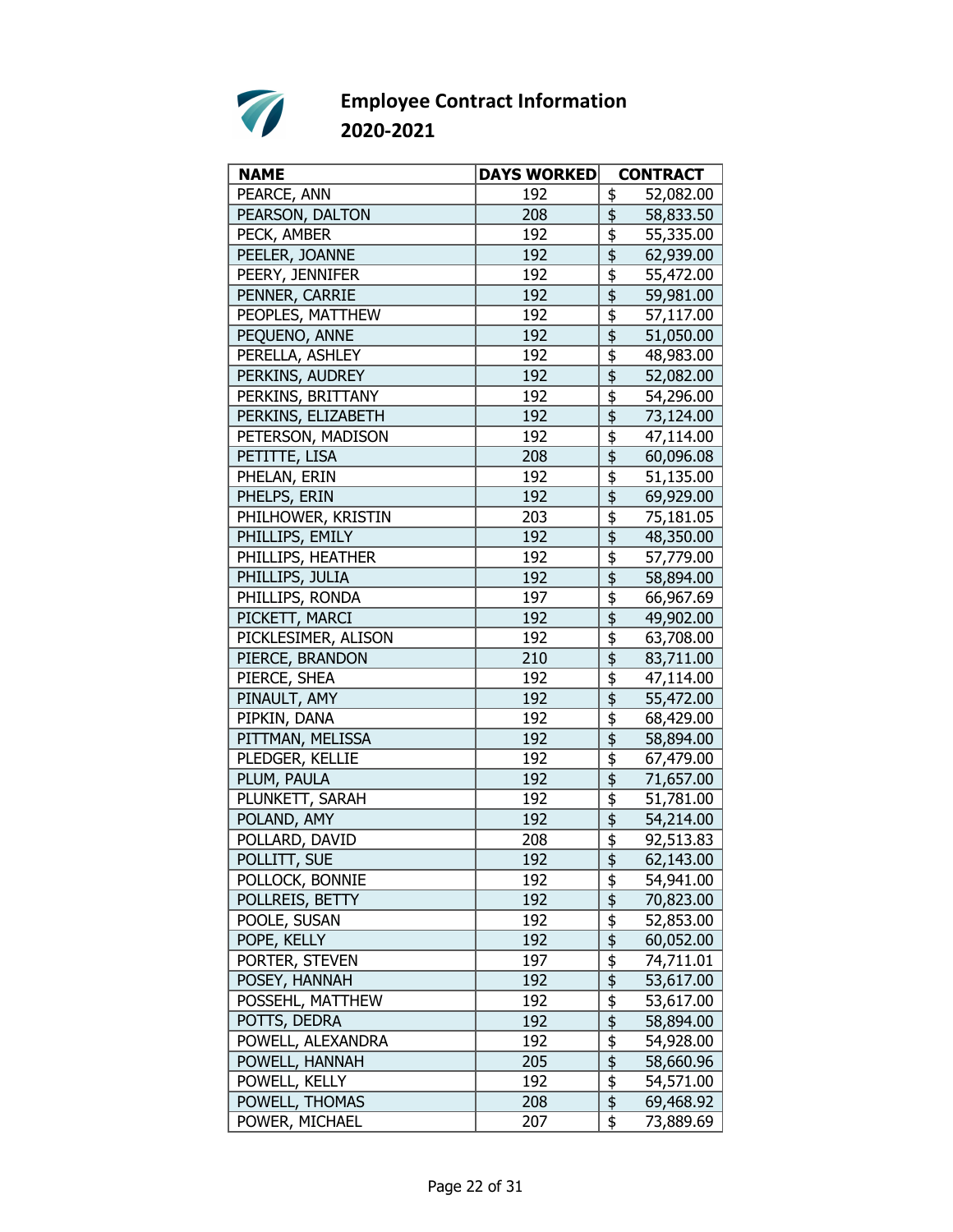

| <b>NAME</b>         | <b>DAYS WORKED</b> | <b>CONTRACT</b>                                              |
|---------------------|--------------------|--------------------------------------------------------------|
| PEARCE, ANN         | 192                | \$<br>52,082.00                                              |
| PEARSON, DALTON     | 208                | \$<br>58,833.50                                              |
| PECK, AMBER         | 192                | \$<br>55,335.00                                              |
| PEELER, JOANNE      | 192                | \$<br>62,939.00                                              |
| PEERY, JENNIFER     | 192                | \$<br>55,472.00                                              |
| PENNER, CARRIE      | 192                | 59,981.00                                                    |
| PEOPLES, MATTHEW    | 192                | 57,117.00                                                    |
| PEQUENO, ANNE       | 192                | \$<br>51,050.00                                              |
| PERELLA, ASHLEY     | 192                | \$<br>48,983.00                                              |
| PERKINS, AUDREY     | 192                | \$<br>52,082.00                                              |
| PERKINS, BRITTANY   | 192                | \$<br>54,296.00                                              |
| PERKINS, ELIZABETH  | 192                | \$<br>73,124.00                                              |
| PETERSON, MADISON   | 192                | \$<br>47,114.00                                              |
| PETITTE, LISA       | 208                | 60,096.08                                                    |
| PHELAN, ERIN        | 192                | \$<br>51,135.00                                              |
| PHELPS, ERIN        | 192                | \$<br>69,929.00                                              |
| PHILHOWER, KRISTIN  | 203                | \$<br>75,181.05                                              |
| PHILLIPS, EMILY     | 192                | \$<br>48,350.00                                              |
| PHILLIPS, HEATHER   | 192                | \$<br>57,779.00                                              |
| PHILLIPS, JULIA     | 192                | $\overline{\mathfrak{s}}$<br>58,894.00                       |
| PHILLIPS, RONDA     | 197                | $\overline{\boldsymbol{\mathfrak{s}}}$<br>66,967.69          |
| PICKETT, MARCI      | 192                | \$<br>49,902.00                                              |
| PICKLESIMER, ALISON | 192                | \$<br>63,708.00                                              |
| PIERCE, BRANDON     | 210                | \$<br>83,711.00                                              |
| PIERCE, SHEA        | 192                | $\overline{\boldsymbol{\mathfrak{s}}}$<br>47,114.00          |
| PINAULT, AMY        | 192                | $\overline{\mathfrak{s}}$<br>55,472.00                       |
| PIPKIN, DANA        | 192                | \$<br>68,429.00                                              |
| PITTMAN, MELISSA    | 192                | \$<br>58,894.00                                              |
| PLEDGER, KELLIE     | 192                | \$<br>67,479.00                                              |
| PLUM, PAULA         | 192                | \$<br>71,657.00                                              |
| PLUNKETT, SARAH     | 192                | \$<br>51,781.00                                              |
| POLAND, AMY         | 192                | $\overline{\overline{\overline{\overline{z}}}}$<br>54,214.00 |
| POLLARD, DAVID      | 208                | \$<br>92,513.83                                              |
| POLLITT, SUE        | 192                | \$<br>62,143.00                                              |
| POLLOCK, BONNIE     | 192                | \$<br>54,941.00                                              |
| POLLREIS, BETTY     | 192                | \$<br>70,823.00                                              |
| POOLE, SUSAN        | 192                | $\frac{1}{2}$<br>52,853.00                                   |
| POPE, KELLY         | 192                | $\overline{\frac{1}{2}}$<br>60,052.00                        |
| PORTER, STEVEN      | 197                | $\overline{\mathfrak{s}}$<br>74,711.01                       |
| POSEY, HANNAH       | 192                | $\overline{\frac{1}{2}}$<br>53,617.00                        |
| POSSEHL, MATTHEW    | 192                | \$<br>53,617.00                                              |
| POTTS, DEDRA        | 192                | \$<br>58,894.00                                              |
| POWELL, ALEXANDRA   | 192                | $\frac{1}{2}$<br>54,928.00                                   |
| POWELL, HANNAH      | 205                | $\overline{\mathfrak{s}}$<br>58,660.96                       |
| POWELL, KELLY       | 192                | $\frac{1}{2}$<br>54,571.00                                   |
| POWELL, THOMAS      | 208                | $\overline{\frac{1}{2}}$<br>69,468.92                        |
| POWER, MICHAEL      | 207                | \$<br>73,889.69                                              |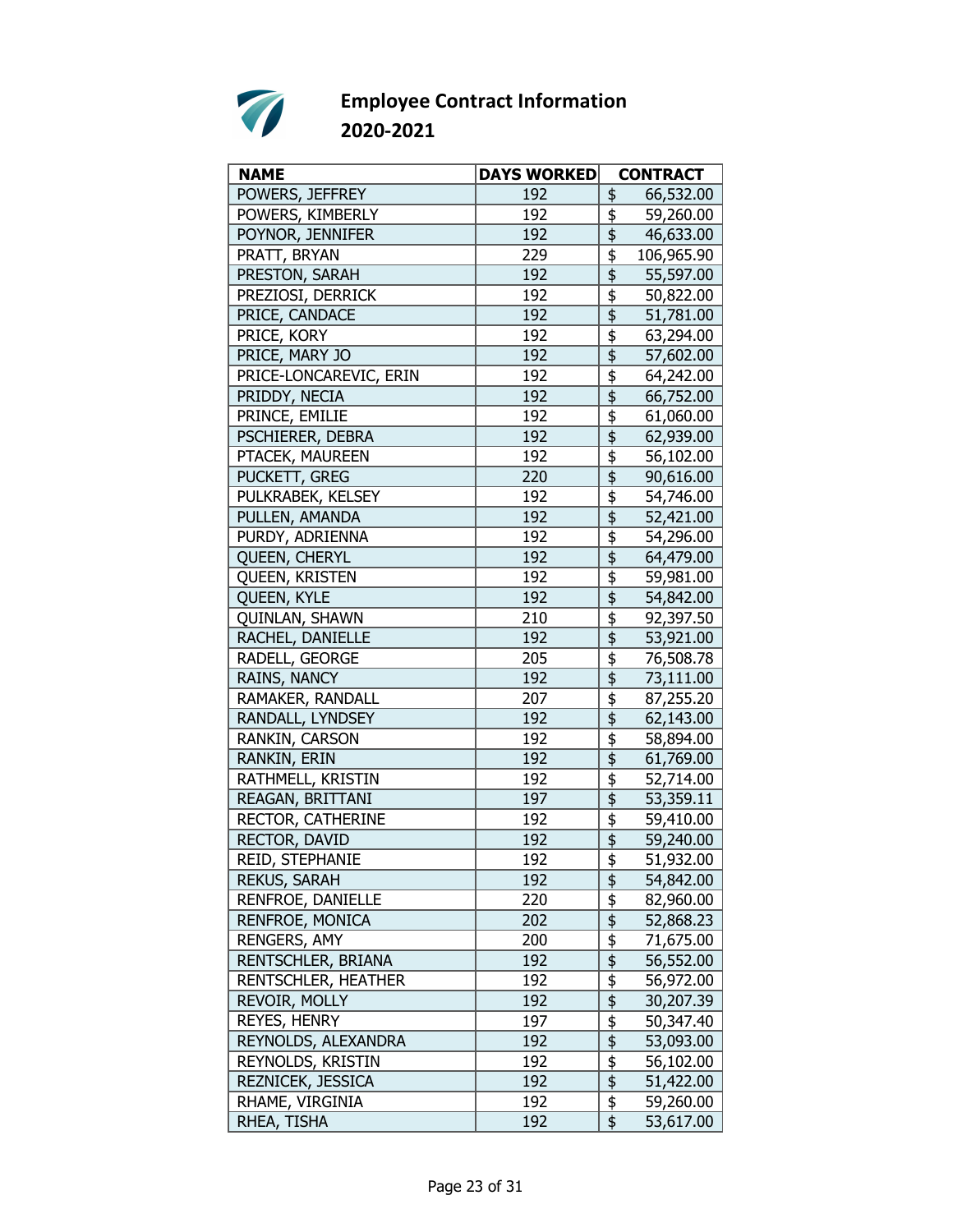

| <b>NAME</b>            | <b>DAYS WORKED</b> | <b>CONTRACT</b>                                   |
|------------------------|--------------------|---------------------------------------------------|
| POWERS, JEFFREY        | 192                | 66,532.00<br>\$                                   |
| POWERS, KIMBERLY       | 192                | \$<br>59,260.00                                   |
| POYNOR, JENNIFER       | 192                | \$<br>46,633.00                                   |
| PRATT, BRYAN           | 229                | \$<br>106,965.90                                  |
| PRESTON, SARAH         | 192                | \$<br>55,597.00                                   |
| PREZIOSI, DERRICK      | 192                | \$<br>50,822.00                                   |
| PRICE, CANDACE         | 192                | 51,781.00                                         |
| PRICE, KORY            | 192                | \$<br>63,294.00                                   |
| PRICE, MARY JO         | 192                | 57,602.00                                         |
| PRICE-LONCAREVIC, ERIN | 192                | \$<br>64,242.00                                   |
| PRIDDY, NECIA          | 192                | \$<br>66,752.00                                   |
| PRINCE, EMILIE         | 192                | \$<br>61,060.00                                   |
| PSCHIERER, DEBRA       | 192                | \$<br>62,939.00                                   |
| PTACEK, MAUREEN        | 192                | \$<br>56,102.00                                   |
| PUCKETT, GREG          | 220                | $\overline{\mathfrak{s}}$<br>90,616.00            |
| PULKRABEK, KELSEY      | 192                | \$<br>54,746.00                                   |
| PULLEN, AMANDA         | 192                | \$<br>52,421.00                                   |
| PURDY, ADRIENNA        | 192                | \$<br>54,296.00                                   |
| QUEEN, CHERYL          | 192                | \$<br>64,479.00                                   |
| QUEEN, KRISTEN         | 192                | \$<br>59,981.00                                   |
| QUEEN, KYLE            | 192                | 54,842.00                                         |
| QUINLAN, SHAWN         | 210                | 92,397.50                                         |
| RACHEL, DANIELLE       | 192                | \$<br>$\overline{\mathfrak{s}}$                   |
|                        |                    | 53,921.00                                         |
| RADELL, GEORGE         | 205                | \$<br>76,508.78                                   |
| RAINS, NANCY           | 192                | $\overline{\mathfrak{s}}$<br>73,111.00            |
| RAMAKER, RANDALL       | 207                | $\overline{\overline{\overline{5}}}$<br>87,255.20 |
| RANDALL, LYNDSEY       | 192                | \$<br>62,143.00                                   |
| RANKIN, CARSON         | 192                | \$<br>58,894.00                                   |
| RANKIN, ERIN           | 192                | \$<br>61,769.00                                   |
| RATHMELL, KRISTIN      | 192                | \$<br>52,714.00                                   |
| REAGAN, BRITTANI       | 197                | 53,359.11                                         |
| RECTOR, CATHERINE      | 192                | $\overline{\overline{\overline{5}}}$<br>59,410.00 |
| RECTOR, DAVID          | 192                | $\overline{\mathfrak{s}}$<br>59,240.00            |
| REID, STEPHANIE        | 192                | \$<br>51,932.00                                   |
| REKUS, SARAH           | 192                | \$<br>54,842.00                                   |
| RENFROE, DANIELLE      | 220                | $\frac{1}{2}$<br>82,960.00                        |
| RENFROE, MONICA        | 202                | \$<br>52,868.23                                   |
| <b>RENGERS, AMY</b>    | 200                | \$<br>71,675.00                                   |
| RENTSCHLER, BRIANA     | 192                | $\overline{\mathfrak{s}}$<br>56,552.00            |
| RENTSCHLER, HEATHER    | 192                | \$<br>56,972.00                                   |
| REVOIR, MOLLY          | 192                | \$<br>30,207.39                                   |
| REYES, HENRY           | 197                | \$<br>50,347.40                                   |
| REYNOLDS, ALEXANDRA    | 192                | $\frac{1}{2}$<br>53,093.00                        |
| REYNOLDS, KRISTIN      | 192                | $\frac{1}{2}$<br>56,102.00                        |
| REZNICEK, JESSICA      | 192                | $\overline{\frac{1}{2}}$<br>51,422.00             |
| RHAME, VIRGINIA        | 192                | $\overline{\boldsymbol{\mathsf{F}}}$<br>59,260.00 |
| RHEA, TISHA            | 192                | \$<br>53,617.00                                   |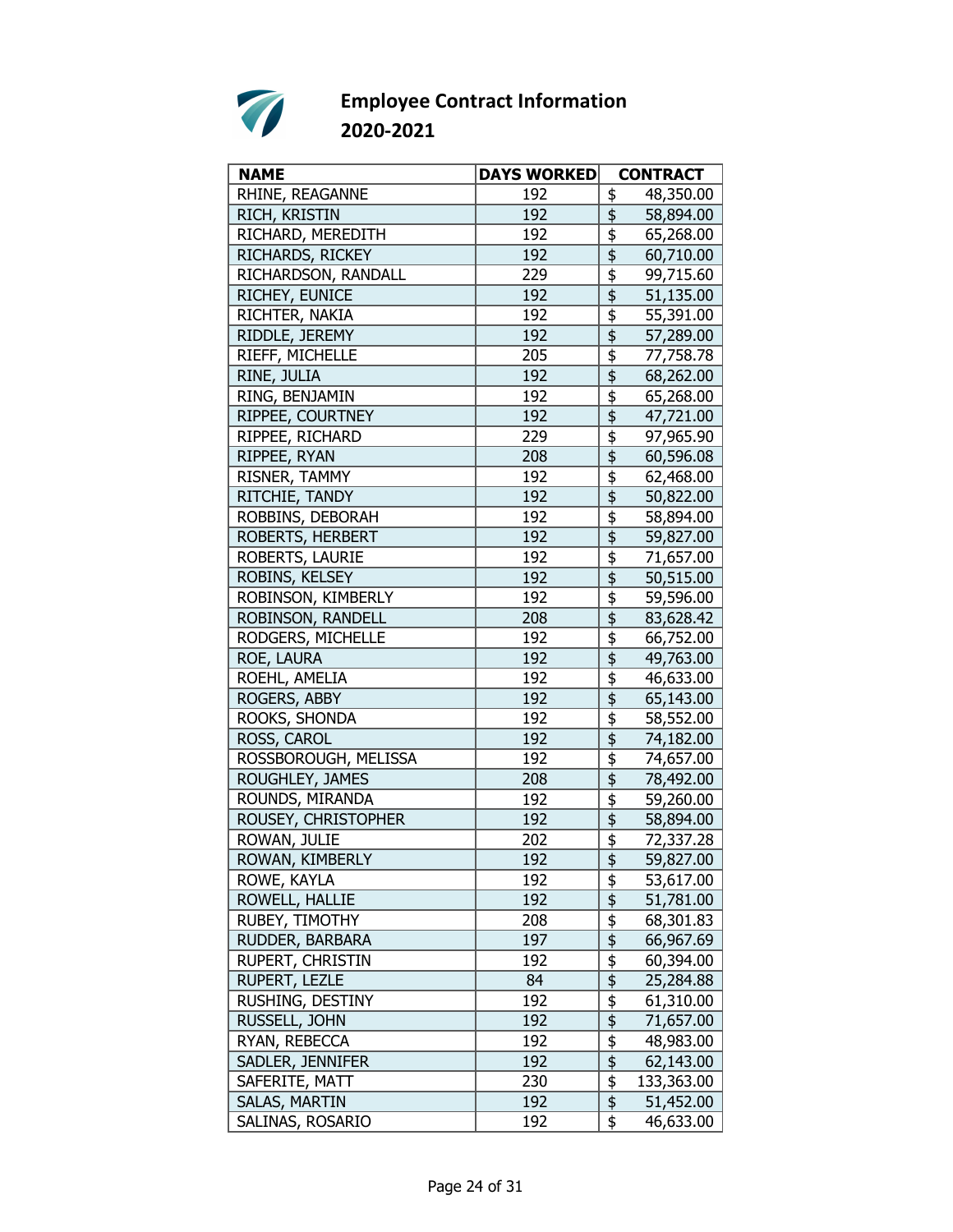

| <b>NAME</b>          | <b>DAYS WORKED</b> | <b>CONTRACT</b>                                     |
|----------------------|--------------------|-----------------------------------------------------|
| RHINE, REAGANNE      | 192                | 48,350.00<br>\$                                     |
| RICH, KRISTIN        | 192                | \$<br>58,894.00                                     |
| RICHARD, MEREDITH    | 192                | \$<br>65,268.00                                     |
| RICHARDS, RICKEY     | 192                | \$<br>60,710.00                                     |
| RICHARDSON, RANDALL  | 229                | \$<br>99,715.60                                     |
| RICHEY, EUNICE       | 192                | \$<br>51,135.00                                     |
| RICHTER, NAKIA       | 192                | $\overline{\boldsymbol{\mathfrak{s}}}$<br>55,391.00 |
| RIDDLE, JEREMY       | 192                | $\overline{\frac{1}{2}}$<br>57,289.00               |
| RIEFF, MICHELLE      | 205                | \$<br>77,758.78                                     |
| RINE, JULIA          | 192                | \$<br>68,262.00                                     |
| RING, BENJAMIN       | 192                | \$<br>65,268.00                                     |
| RIPPEE, COURTNEY     | 192                | \$<br>47,721.00                                     |
| RIPPEE, RICHARD      | 229                | \$<br>97,965.90                                     |
| RIPPEE, RYAN         | 208                | $\overline{\overline{\overline{5}}}$<br>60,596.08   |
| RISNER, TAMMY        | 192                | \$<br>62,468.00                                     |
| RITCHIE, TANDY       | 192                | \$<br>50,822.00                                     |
| ROBBINS, DEBORAH     | 192                | \$<br>58,894.00                                     |
| ROBERTS, HERBERT     | 192                | $\overline{\mathfrak{s}}$<br>59,827.00              |
| ROBERTS, LAURIE      | 192                | \$<br>71,657.00                                     |
| ROBINS, KELSEY       | 192                | \$<br>50,515.00                                     |
| ROBINSON, KIMBERLY   | 192                | $\overline{\overline{\overline{5}}}$<br>59,596.00   |
| ROBINSON, RANDELL    | 208                | \$<br>83,628.42                                     |
| RODGERS, MICHELLE    | 192                | \$<br>66,752.00                                     |
| ROE, LAURA           | 192                | 49,763.00                                           |
| ROEHL, AMELIA        | 192                | $\overline{\overline{\overline{5}}}$<br>46,633.00   |
| ROGERS, ABBY         | 192                | \$<br>65,143.00                                     |
| ROOKS, SHONDA        | 192                | \$<br>58,552.00                                     |
| ROSS, CAROL          | 192                | \$<br>74,182.00                                     |
| ROSSBOROUGH, MELISSA | 192                | \$<br>74,657.00                                     |
| ROUGHLEY, JAMES      | 208                | $\overline{\mathfrak{s}}$<br>78,492.00              |
| ROUNDS, MIRANDA      | 192                | \$<br>59,260.00                                     |
| ROUSEY, CHRISTOPHER  | 192                | $\overline{\overline{\overline{5}}}$<br>58,894.00   |
| ROWAN, JULIE         | 202                | \$<br>72,337.28                                     |
| ROWAN, KIMBERLY      | 192                | $\frac{1}{2}$<br>59,827.00                          |
| ROWE, KAYLA          | 192                | \$<br>53,617.00                                     |
| ROWELL, HALLIE       | 192                | \$<br>51,781.00                                     |
| RUBEY, TIMOTHY       | 208                | \$<br>68,301.83                                     |
| RUDDER, BARBARA      | 197                | $\overline{\overline{\overline{z}}}$<br>66,967.69   |
| RUPERT, CHRISTIN     | 192                | $\overline{\frac{1}{2}}$<br>60,394.00               |
| RUPERT, LEZLE        | 84                 | $\overline{\frac{1}{2}}$<br>25,284.88               |
| RUSHING, DESTINY     | 192                | \$<br>61,310.00                                     |
| RUSSELL, JOHN        | 192                | \$<br>71,657.00                                     |
| RYAN, REBECCA        | 192                | $\frac{1}{2}$<br>48,983.00                          |
| SADLER, JENNIFER     | 192                | $\overline{\mathfrak{s}}$<br>62,143.00              |
| SAFERITE, MATT       | 230                | $\frac{1}{2}$<br>133,363.00                         |
| SALAS, MARTIN        | 192                | $\overline{\$}$<br>51,452.00                        |
| SALINAS, ROSARIO     | 192                | \$<br>46,633.00                                     |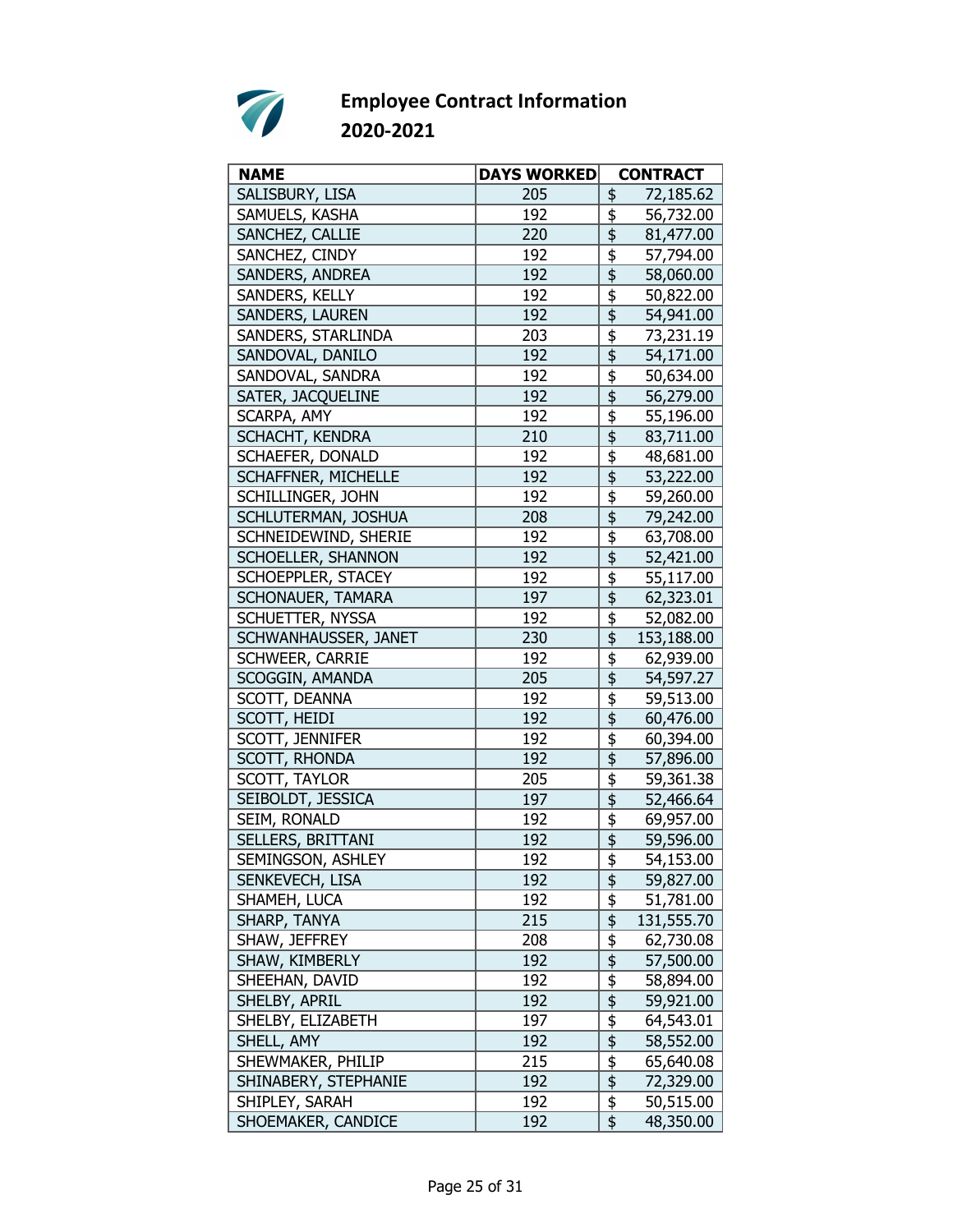

| <b>NAME</b>                | <b>DAYS WORKED</b> |                                                 | <b>CONTRACT</b> |
|----------------------------|--------------------|-------------------------------------------------|-----------------|
| SALISBURY, LISA            | 205                | \$                                              | 72,185.62       |
| SAMUELS, KASHA             | 192                | \$                                              | 56,732.00       |
| SANCHEZ, CALLIE            | 220                | \$                                              | 81,477.00       |
| SANCHEZ, CINDY             | 192                | \$                                              | 57,794.00       |
| SANDERS, ANDREA            | 192                | \$                                              | 58,060.00       |
| SANDERS, KELLY             | 192                | \$                                              | 50,822.00       |
| SANDERS, LAUREN            | 192                |                                                 | 54,941.00       |
| SANDERS, STARLINDA         | 203                | \$                                              | 73,231.19       |
| SANDOVAL, DANILO           | 192                | $\overline{\overline{\overline{\overline{5}}}}$ | 54,171.00       |
| SANDOVAL, SANDRA           | 192                | \$                                              | 50,634.00       |
| SATER, JACQUELINE          | 192                | \$                                              | 56,279.00       |
| SCARPA, AMY                | 192                | \$                                              | 55,196.00       |
| SCHACHT, KENDRA            | 210                | \$                                              | 83,711.00       |
| SCHAEFER, DONALD           | 192                | \$                                              | 48,681.00       |
| <b>SCHAFFNER, MICHELLE</b> | 192                | $\overline{\frac{1}{2}}$                        | 53,222.00       |
| SCHILLINGER, JOHN          | 192                | \$                                              | 59,260.00       |
| SCHLUTERMAN, JOSHUA        | 208                | \$                                              | 79,242.00       |
| SCHNEIDEWIND, SHERIE       | 192                | \$                                              | 63,708.00       |
| SCHOELLER, SHANNON         | 192                | \$                                              | 52,421.00       |
| SCHOEPPLER, STACEY         | 192                | \$                                              | 55,117.00       |
| SCHONAUER, TAMARA          | 197                | $\overline{\overline{\overline{\overline{z}}}}$ | 62,323.01       |
| SCHUETTER, NYSSA           | 192                |                                                 |                 |
|                            |                    | \$<br>$\overline{\mathfrak{s}}$                 | 52,082.00       |
| SCHWANHAUSSER, JANET       | 230                |                                                 | 153,188.00      |
| SCHWEER, CARRIE            | 192                | \$                                              | 62,939.00       |
| SCOGGIN, AMANDA            | 205                | $\overline{\mathfrak{s}}$                       | 54,597.27       |
| SCOTT, DEANNA              | 192                | $\overline{\overline{\overline{5}}}$            | 59,513.00       |
| SCOTT, HEIDI               | 192                | \$                                              | 60,476.00       |
| SCOTT, JENNIFER            | 192                | \$                                              | 60,394.00       |
| SCOTT, RHONDA              | 192                | \$                                              | 57,896.00       |
| SCOTT, TAYLOR              | 205                | \$                                              | 59,361.38       |
| SEIBOLDT, JESSICA          | 197                | $\overline{\overline{\overline{\overline{5}}}}$ | 52,466.64       |
| SEIM, RONALD               | 192                |                                                 | 69,957.00       |
| SELLERS, BRITTANI          | 192                | \$                                              | 59,596.00       |
| SEMINGSON, ASHLEY          | 192                | $\frac{1}{2}$                                   | 54,153.00       |
| SENKEVECH, LISA            | 192                | \$                                              | 59,827.00       |
| SHAMEH, LUCA               | 192                | $\frac{1}{2}$                                   | 51,781.00       |
| SHARP, TANYA               | 215                | \$                                              | 131,555.70      |
| SHAW, JEFFREY              | 208                | \$                                              | 62,730.08       |
| SHAW, KIMBERLY             | 192                | $\overline{\frac{1}{2}}$                        | 57,500.00       |
| SHEEHAN, DAVID             | 192                | \$                                              | 58,894.00       |
| SHELBY, APRIL              | 192                | $\overline{\frac{1}{2}}$                        | 59,921.00       |
| SHELBY, ELIZABETH          | 197                | \$                                              | 64,543.01       |
| SHELL, AMY                 | 192                | \$                                              | 58,552.00       |
| SHEWMAKER, PHILIP          | 215                | $\frac{1}{2}$                                   | 65,640.08       |
| SHINABERY, STEPHANIE       | 192                | $\overline{\overline{\overline{\overline{z}}}}$ | 72,329.00       |
| SHIPLEY, SARAH             | 192                | $\overline{\boldsymbol{\mathsf{F}}}$            | 50,515.00       |
| SHOEMAKER, CANDICE         | 192                | \$                                              | 48,350.00       |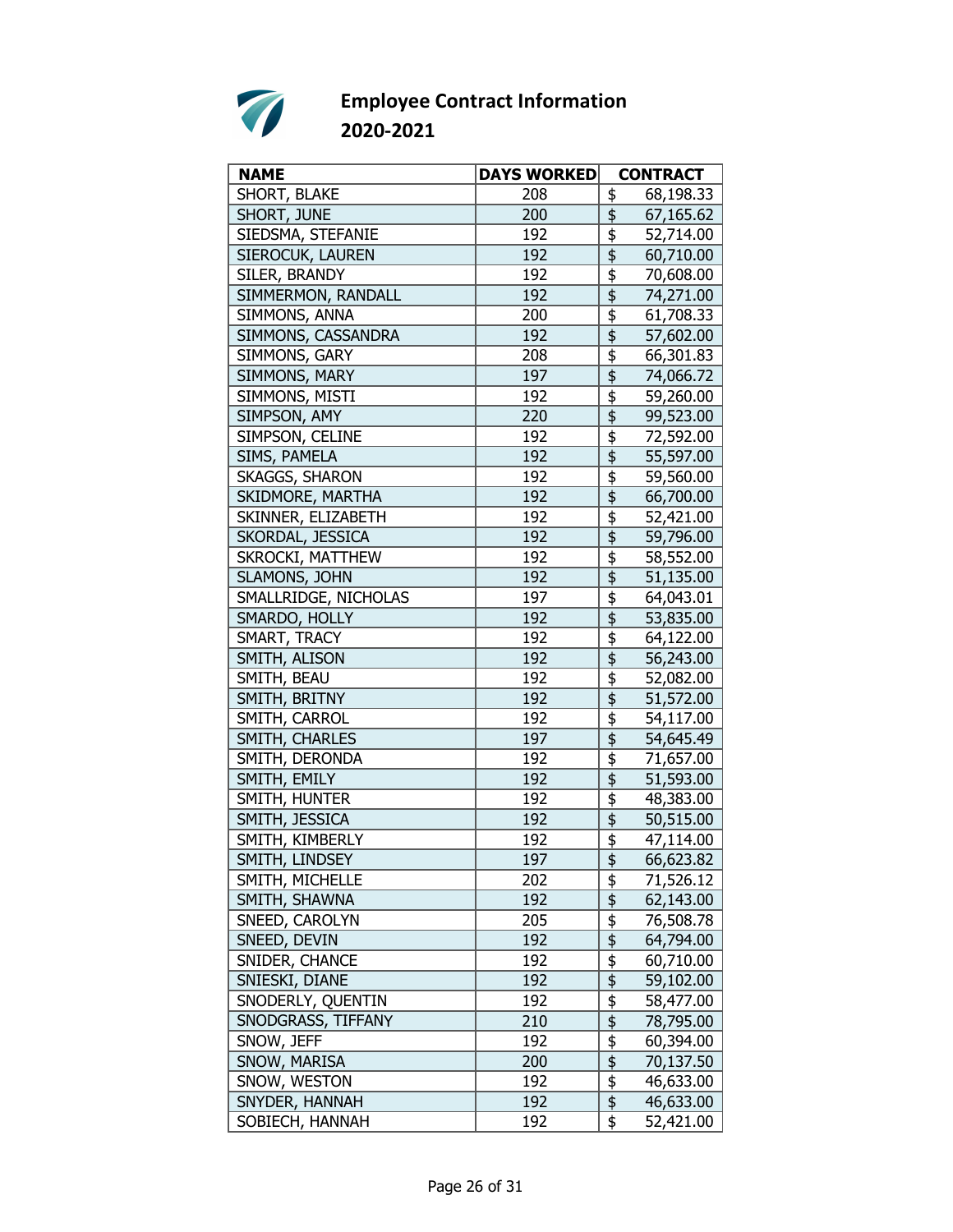

| <b>NAME</b>           | <b>DAYS WORKED</b> | <b>CONTRACT</b>                                              |
|-----------------------|--------------------|--------------------------------------------------------------|
| SHORT, BLAKE          | 208                | 68,198.33<br>\$                                              |
| SHORT, JUNE           | 200                | \$<br>67,165.62                                              |
| SIEDSMA, STEFANIE     | 192                | \$<br>52,714.00                                              |
| SIEROCUK, LAUREN      | 192                | \$<br>60,710.00                                              |
| SILER, BRANDY         | 192                | \$<br>70,608.00                                              |
| SIMMERMON, RANDALL    | 192                | \$<br>74,271.00                                              |
| SIMMONS, ANNA         | 200                | $\overline{\boldsymbol{\mathfrak{s}}}$<br>61,708.33          |
| SIMMONS, CASSANDRA    | 192                | $\overline{\mathfrak{s}}$<br>57,602.00                       |
| SIMMONS, GARY         | 208                | \$<br>66,301.83                                              |
| SIMMONS, MARY         | 197                | \$<br>74,066.72                                              |
| SIMMONS, MISTI        | 192                | \$<br>59,260.00                                              |
| SIMPSON, AMY          | 220                | \$<br>99,523.00                                              |
| SIMPSON, CELINE       | 192                | \$<br>72,592.00                                              |
| SIMS, PAMELA          | 192                | $\overline{\overline{\overline{5}}}$<br>55,597.00            |
| <b>SKAGGS, SHARON</b> | 192                | \$<br>59,560.00                                              |
| SKIDMORE, MARTHA      | 192                | \$<br>66,700.00                                              |
| SKINNER, ELIZABETH    | 192                | \$<br>52,421.00                                              |
| SKORDAL, JESSICA      | 192                | $\overline{\mathfrak{s}}$<br>59,796.00                       |
| SKROCKI, MATTHEW      | 192                | $\overline{\overline{\overline{5}}}$<br>58,552.00            |
| SLAMONS, JOHN         | 192                | \$<br>51,135.00                                              |
| SMALLRIDGE, NICHOLAS  | 197                | \$<br>64,043.01                                              |
| SMARDO, HOLLY         | 192                | \$<br>53,835.00                                              |
| SMART, TRACY          | 192                | \$<br>64,122.00                                              |
| SMITH, ALISON         | 192                | 56,243.00                                                    |
| SMITH, BEAU           | 192                | $\overline{\boldsymbol{\mathfrak{s}}}$<br>52,082.00          |
| SMITH, BRITNY         | 192                | \$<br>51,572.00                                              |
| SMITH, CARROL         | 192                | \$<br>54,117.00                                              |
| SMITH, CHARLES        | 197                | \$<br>54,645.49                                              |
| SMITH, DERONDA        | 192                | \$<br>71,657.00                                              |
| SMITH, EMILY          | 192                | $\overline{\overline{\overline{\overline{z}}}}$<br>51,593.00 |
| SMITH, HUNTER         | 192                | \$<br>48,383.00                                              |
| SMITH, JESSICA        | 192                | $\overline{\overline{\overline{5}}}$<br>50,515.00            |
| SMITH, KIMBERLY       | 192                | \$<br>47,114.00                                              |
| SMITH, LINDSEY        | 197                | $\frac{1}{2}$<br>66,623.82                                   |
| SMITH, MICHELLE       | 202                | \$<br>71,526.12                                              |
| SMITH, SHAWNA         | 192                | \$<br>62,143.00                                              |
| SNEED, CAROLYN        | 205                | \$<br>76,508.78                                              |
| SNEED, DEVIN          | 192                | $\overline{\mathfrak{s}}$<br>64,794.00                       |
| SNIDER, CHANCE        | 192                | $\overline{\mathfrak{s}}$<br>60,710.00                       |
| SNIESKI, DIANE        | 192                | $\overline{\mathfrak{s}}$<br>59,102.00                       |
| SNODERLY, QUENTIN     | 192                | \$<br>58,477.00                                              |
| SNODGRASS, TIFFANY    | 210                | \$<br>78,795.00                                              |
| SNOW, JEFF            | 192                | $\frac{1}{2}$<br>60,394.00                                   |
| SNOW, MARISA          | 200                | $\overline{\mathfrak{s}}$<br>70,137.50                       |
| SNOW, WESTON          | 192                | \$<br>46,633.00                                              |
| SNYDER, HANNAH        | 192                | $\overline{\mathfrak{s}}$<br>46,633.00                       |
| SOBIECH, HANNAH       | 192                | \$<br>52,421.00                                              |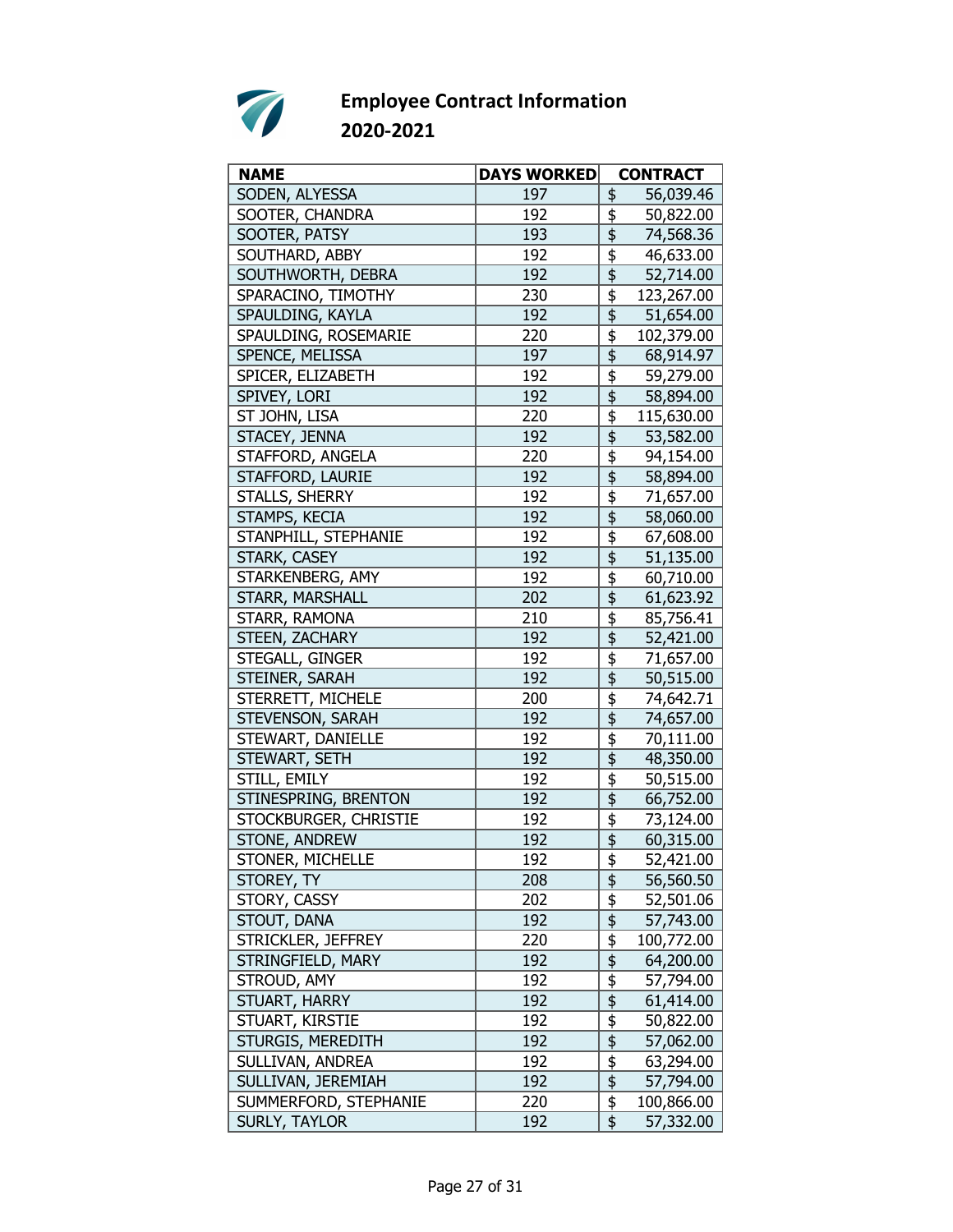

| <b>NAME</b>             | <b>DAYS WORKED</b> |                                                 | <b>CONTRACT</b>        |
|-------------------------|--------------------|-------------------------------------------------|------------------------|
| SODEN, ALYESSA          | 197                | \$                                              | 56,039.46              |
| SOOTER, CHANDRA         | 192                | \$                                              | 50,822.00              |
| SOOTER, PATSY           | 193                | \$                                              | 74,568.36              |
| SOUTHARD, ABBY          | 192                | \$                                              | 46,633.00              |
| SOUTHWORTH, DEBRA       | 192                | \$                                              | 52,714.00              |
| SPARACINO, TIMOTHY      | 230                | \$                                              | 123,267.00             |
| SPAULDING, KAYLA        | 192                | $\overline{\overline{\overline{5}}}$            | 51,654.00              |
| SPAULDING, ROSEMARIE    | 220                | \$                                              | 102,379.00             |
| SPENCE, MELISSA         | 197                | \$                                              | 68,914.97              |
| SPICER, ELIZABETH       | 192                | \$                                              | 59,279.00              |
| SPIVEY, LORI            | 192                | \$                                              | 58,894.00              |
| ST JOHN, LISA           | 220                | \$                                              | 115,630.00             |
| STACEY, JENNA           | 192                | \$                                              | 53,582.00              |
| STAFFORD, ANGELA        | 220                | \$                                              | 94,154.00              |
| STAFFORD, LAURIE        | 192                | \$                                              | 58,894.00              |
| STALLS, SHERRY          | 192                | \$                                              | 71,657.00              |
| STAMPS, KECIA           | 192                | \$                                              | 58,060.00              |
| STANPHILL, STEPHANIE    | 192                | \$                                              | 67,608.00              |
| STARK, CASEY            | 192                | \$                                              | 51,135.00              |
| STARKENBERG, AMY        |                    | \$                                              |                        |
| STARR, MARSHALL         | 192<br>202         | $\overline{\overline{\overline{5}}}$            | 60,710.00<br>61,623.92 |
|                         |                    |                                                 |                        |
| STARR, RAMONA           | 210                | \$                                              | 85,756.41              |
| STEEN, ZACHARY          | 192                | $\overline{\overline{\overline{5}}}$            | 52,421.00              |
| STEGALL, GINGER         | 192                | \$                                              | 71,657.00              |
| STEINER, SARAH          | 192                | $\overline{\overline{\overline{\overline{z}}}}$ | 50,515.00              |
| STERRETT, MICHELE       | 200                | $\overline{\overline{\overline{5}}}$            | 74,642.71              |
| STEVENSON, SARAH        | 192                | \$                                              | 74,657.00              |
| STEWART, DANIELLE       | 192                | \$                                              | 70,111.00              |
| STEWART, SETH           | 192                | \$                                              | 48,350.00              |
| STILL, EMILY            | 192                | \$                                              | 50,515.00              |
| STINESPRING, BRENTON    | 192                | $\overline{\overline{\overline{\overline{5}}}}$ | 66,752.00              |
| STOCKBURGER, CHRISTIE   | 192                |                                                 | 73,124.00              |
| STONE, ANDREW           | 192                | \$                                              | 60,315.00              |
| <b>STONER, MICHELLE</b> | 192                | $\frac{1}{2}$                                   | 52,421.00              |
| STOREY, TY              | 208                | \$                                              | 56,560.50              |
| STORY, CASSY            | 202                | $\frac{1}{2}$                                   | 52,501.06              |
| STOUT, DANA             | 192                | $\overline{\boldsymbol{\phi}}$                  | 57,743.00              |
| STRICKLER, JEFFREY      | 220                | \$                                              | 100,772.00             |
| STRINGFIELD, MARY       | 192                | $\overline{\frac{1}{2}}$                        | 64,200.00              |
| STROUD, AMY             | 192                | \$                                              | 57,794.00              |
| STUART, HARRY           | 192                | $\overline{\frac{1}{2}}$                        | 61,414.00              |
| STUART, KIRSTIE         | 192                | \$                                              | 50,822.00              |
| STURGIS, MEREDITH       | 192                | $\overline{\frac{1}{2}}$                        | 57,062.00              |
| SULLIVAN, ANDREA        | 192                | $\frac{1}{2}$                                   | 63,294.00              |
| SULLIVAN, JEREMIAH      | 192                | $\overline{\mathfrak{s}}$                       | 57,794.00              |
| SUMMERFORD, STEPHANIE   | 220                | $\overline{\boldsymbol{\mathfrak{s}}}$          | 100,866.00             |
| SURLY, TAYLOR           | 192                | \$                                              | 57,332.00              |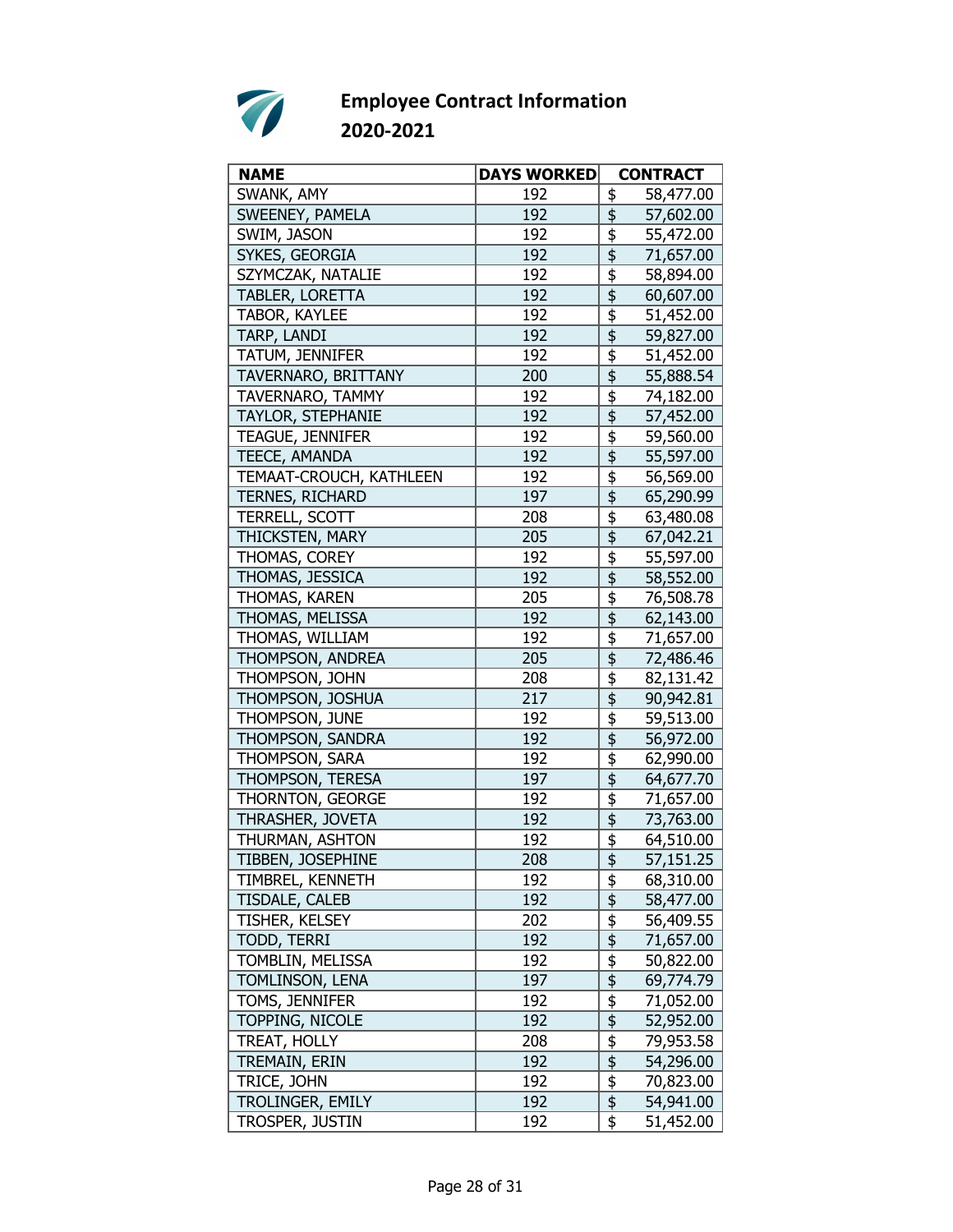

| <b>NAME</b>             | <b>DAYS WORKED</b> | <b>CONTRACT</b>                                              |
|-------------------------|--------------------|--------------------------------------------------------------|
| SWANK, AMY              | 192                | \$<br>58,477.00                                              |
| SWEENEY, PAMELA         | 192                | \$<br>57,602.00                                              |
| SWIM, JASON             | 192                | \$<br>55,472.00                                              |
| SYKES, GEORGIA          | 192                | \$<br>71,657.00                                              |
| SZYMCZAK, NATALIE       | 192                | \$<br>58,894.00                                              |
| TABLER, LORETTA         | 192                | \$<br>60,607.00                                              |
| TABOR, KAYLEE           | 192                | $\overline{\overline{\overline{5}}}$<br>51,452.00            |
| TARP, LANDI             | 192                | $\overline{\frac{1}{2}}$<br>59,827.00                        |
| TATUM, JENNIFER         | 192                | $\frac{1}{2}$<br>51,452.00                                   |
| TAVERNARO, BRITTANY     | 200                | $\overline{\boldsymbol{\mathsf{S}}}$<br>55,888.54            |
| TAVERNARO, TAMMY        | 192                | \$<br>74,182.00                                              |
| TAYLOR, STEPHANIE       | 192                | \$<br>57,452.00                                              |
| TEAGUE, JENNIFER        | 192                | \$<br>59,560.00                                              |
| TEECE, AMANDA           | 192                | $\overline{\overline{\overline{\overline{z}}}}$<br>55,597.00 |
| TEMAAT-CROUCH, KATHLEEN | 192                | \$<br>56,569.00                                              |
| TERNES, RICHARD         | 197                | $\overline{\overline{\overline{5}}}$<br>65,290.99            |
| TERRELL, SCOTT          | 208                | \$<br>63,480.08                                              |
| THICKSTEN, MARY         | 205                | \$<br>67,042.21                                              |
| THOMAS, COREY           | 192                | \$<br>55,597.00                                              |
| THOMAS, JESSICA         | 192                | \$<br>58,552.00                                              |
| <b>THOMAS, KAREN</b>    | 205                | $\overline{\overline{\overline{5}}}$<br>76,508.78            |
| THOMAS, MELISSA         | 192                | \$<br>62,143.00                                              |
| THOMAS, WILLIAM         | 192                | \$<br>71,657.00                                              |
| THOMPSON, ANDREA        | 205                | \$<br>72,486.46                                              |
| THOMPSON, JOHN          | 208                | \$<br>82,131.42                                              |
| THOMPSON, JOSHUA        | 217                | $\overline{\mathfrak{s}}$<br>90,942.81                       |
| THOMPSON, JUNE          | 192                | \$<br>59,513.00                                              |
| THOMPSON, SANDRA        | 192                | \$<br>56,972.00                                              |
| THOMPSON, SARA          | 192                | \$<br>62,990.00                                              |
| THOMPSON, TERESA        | 197                | \$<br>64,677.70                                              |
| THORNTON, GEORGE        | 192                | \$<br>71,657.00                                              |
| THRASHER, JOVETA        | 192                | $\overline{\overline{\overline{\overline{z}}}}$<br>73,763.00 |
| THURMAN, ASHTON         | 192                | $\overline{\boldsymbol{\mathfrak{s}}}$<br>64,510.00          |
| TIBBEN, JOSEPHINE       | 208                | \$<br>57,151.25                                              |
| TIMBREL, KENNETH        | 192                | 68,310.00<br><u>\$</u>                                       |
| TISDALE, CALEB          | 192                | \$<br>58,477.00                                              |
| TISHER, KELSEY          | 202                | $\frac{1}{2}$<br>56,409.55                                   |
| TODD, TERRI             | 192                | $\overline{\mathfrak{s}}$<br>71,657.00                       |
| TOMBLIN, MELISSA        | 192                | $\overline{\overline{\overline{\overline{z}}}}$<br>50,822.00 |
| TOMLINSON, LENA         | 197                | $\overline{\mathfrak{s}}$<br>69,774.79                       |
| TOMS, JENNIFER          | 192                | $\overline{\mathfrak{s}}$<br>71,052.00                       |
| <b>TOPPING, NICOLE</b>  | 192                | \$<br>52,952.00                                              |
| TREAT, HOLLY            | 208                | $\frac{1}{2}$<br>79,953.58                                   |
| TREMAIN, ERIN           | 192                | $\overline{\boldsymbol{\mathsf{s}}}$<br>54,296.00            |
| TRICE, JOHN             | 192                | $\overline{\frac{1}{2}}$<br>70,823.00                        |
| TROLINGER, EMILY        | 192                | $\overline{\mathfrak{s}}$<br>54,941.00                       |
| TROSPER, JUSTIN         | 192                | \$<br>51,452.00                                              |
|                         |                    |                                                              |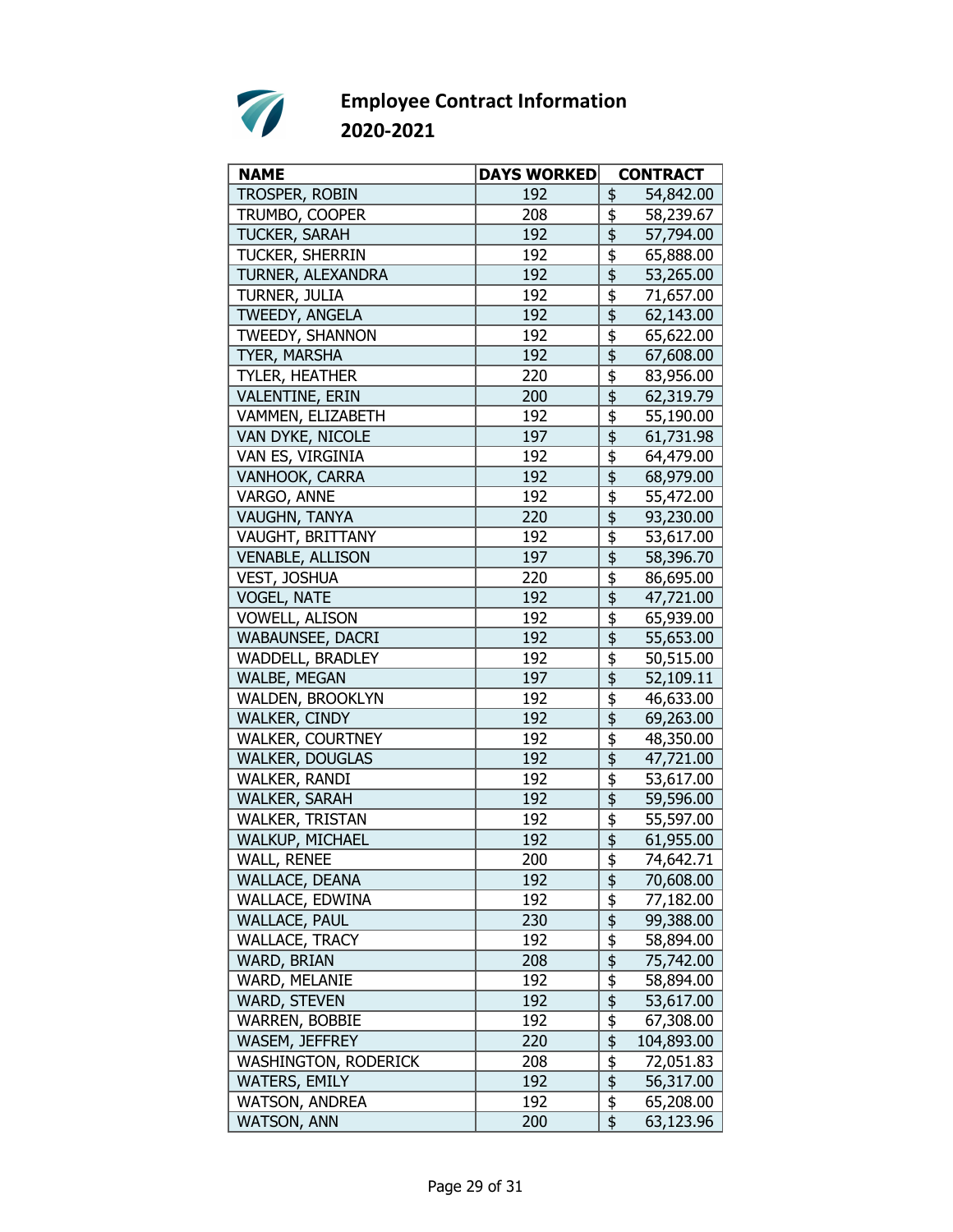

| TROSPER, ROBIN<br>192<br>\$<br>54,842.00<br>TRUMBO, COOPER<br>208<br>\$<br>58,239.67<br>\$<br>TUCKER, SARAH<br>192<br>57,794.00<br>192<br>\$<br>TUCKER, SHERRIN<br>65,888.00<br>\$<br>192<br>TURNER, ALEXANDRA<br>53,265.00<br>\$<br>TURNER, JULIA<br>192<br>71,657.00<br>192<br>TWEEDY, ANGELA<br>62,143.00<br>\$<br>TWEEDY, SHANNON<br>192<br>65,622.00<br>$\overline{\overline{\overline{\overline{5}}}}$<br>TYER, MARSHA<br>192<br>67,608.00<br>TYLER, HEATHER<br>220<br>\$<br>83,956.00<br>\$<br>62,319.79<br>VALENTINE, ERIN<br>200<br>\$<br>VAMMEN, ELIZABETH<br>192<br>55,190.00<br>\$<br>VAN DYKE, NICOLE<br>197<br>61,731.98<br>\$<br>VAN ES, VIRGINIA<br>192<br>64,479.00<br>\$<br>VANHOOK, CARRA<br>192<br>68,979.00<br>VARGO, ANNE<br>192<br>\$<br>55,472.00<br>\$<br>VAUGHN, TANYA<br>220<br>93,230.00<br>VAUGHT, BRITTANY<br>\$<br>192<br>53,617.00<br>\$<br><b>VENABLE, ALLISON</b><br>197<br>58,396.70<br>\$<br>VEST, JOSHUA<br>86,695.00<br>220<br>$\overline{\overline{\overline{\overline{z}}}}$<br><b>VOGEL, NATE</b><br>192<br>47,721.00<br>\$<br><b>VOWELL, ALISON</b><br>192<br>65,939.00<br>\$<br>WABAUNSEE, DACRI<br>192<br>55,653.00<br>\$<br>WADDELL, BRADLEY<br>192<br>50,515.00<br>$\overline{\mathfrak{s}}$<br>WALBE, MEGAN<br>197<br>52,109.11<br>\$<br>WALDEN, BROOKLYN<br>192<br>46,633.00<br>\$<br>WALKER, CINDY<br>192<br>69,263.00<br>\$<br>WALKER, COURTNEY<br>192<br>48,350.00<br>\$<br><b>WALKER, DOUGLAS</b><br>192<br>47,721.00<br>\$<br>WALKER, RANDI<br>192<br>53,617.00<br>$\overline{\overline{\overline{\overline{5}}}}$<br>192<br>WALKER, SARAH<br>59,596.00<br>$\overline{\overline{\overline{5}}}$<br>WALKER, TRISTAN<br>192<br>55,597.00<br>\$<br>WALKUP, MICHAEL<br>192<br>61,955.00<br>\$<br><b>WALL, RENEE</b><br>200<br><u>74,642.71</u><br>WALLACE, DEANA<br>192<br>\$<br>70,608.00<br>$\frac{1}{2}$ |
|--------------------------------------------------------------------------------------------------------------------------------------------------------------------------------------------------------------------------------------------------------------------------------------------------------------------------------------------------------------------------------------------------------------------------------------------------------------------------------------------------------------------------------------------------------------------------------------------------------------------------------------------------------------------------------------------------------------------------------------------------------------------------------------------------------------------------------------------------------------------------------------------------------------------------------------------------------------------------------------------------------------------------------------------------------------------------------------------------------------------------------------------------------------------------------------------------------------------------------------------------------------------------------------------------------------------------------------------------------------------------------------------------------------------------------------------------------------------------------------------------------------------------------------------------------------------------------------------------------------------------------------------------------------------------------------------------------------------------------------------------------------------------------------------------------------------------------------------------------------|
|                                                                                                                                                                                                                                                                                                                                                                                                                                                                                                                                                                                                                                                                                                                                                                                                                                                                                                                                                                                                                                                                                                                                                                                                                                                                                                                                                                                                                                                                                                                                                                                                                                                                                                                                                                                                                                                              |
|                                                                                                                                                                                                                                                                                                                                                                                                                                                                                                                                                                                                                                                                                                                                                                                                                                                                                                                                                                                                                                                                                                                                                                                                                                                                                                                                                                                                                                                                                                                                                                                                                                                                                                                                                                                                                                                              |
|                                                                                                                                                                                                                                                                                                                                                                                                                                                                                                                                                                                                                                                                                                                                                                                                                                                                                                                                                                                                                                                                                                                                                                                                                                                                                                                                                                                                                                                                                                                                                                                                                                                                                                                                                                                                                                                              |
|                                                                                                                                                                                                                                                                                                                                                                                                                                                                                                                                                                                                                                                                                                                                                                                                                                                                                                                                                                                                                                                                                                                                                                                                                                                                                                                                                                                                                                                                                                                                                                                                                                                                                                                                                                                                                                                              |
|                                                                                                                                                                                                                                                                                                                                                                                                                                                                                                                                                                                                                                                                                                                                                                                                                                                                                                                                                                                                                                                                                                                                                                                                                                                                                                                                                                                                                                                                                                                                                                                                                                                                                                                                                                                                                                                              |
|                                                                                                                                                                                                                                                                                                                                                                                                                                                                                                                                                                                                                                                                                                                                                                                                                                                                                                                                                                                                                                                                                                                                                                                                                                                                                                                                                                                                                                                                                                                                                                                                                                                                                                                                                                                                                                                              |
|                                                                                                                                                                                                                                                                                                                                                                                                                                                                                                                                                                                                                                                                                                                                                                                                                                                                                                                                                                                                                                                                                                                                                                                                                                                                                                                                                                                                                                                                                                                                                                                                                                                                                                                                                                                                                                                              |
|                                                                                                                                                                                                                                                                                                                                                                                                                                                                                                                                                                                                                                                                                                                                                                                                                                                                                                                                                                                                                                                                                                                                                                                                                                                                                                                                                                                                                                                                                                                                                                                                                                                                                                                                                                                                                                                              |
|                                                                                                                                                                                                                                                                                                                                                                                                                                                                                                                                                                                                                                                                                                                                                                                                                                                                                                                                                                                                                                                                                                                                                                                                                                                                                                                                                                                                                                                                                                                                                                                                                                                                                                                                                                                                                                                              |
|                                                                                                                                                                                                                                                                                                                                                                                                                                                                                                                                                                                                                                                                                                                                                                                                                                                                                                                                                                                                                                                                                                                                                                                                                                                                                                                                                                                                                                                                                                                                                                                                                                                                                                                                                                                                                                                              |
|                                                                                                                                                                                                                                                                                                                                                                                                                                                                                                                                                                                                                                                                                                                                                                                                                                                                                                                                                                                                                                                                                                                                                                                                                                                                                                                                                                                                                                                                                                                                                                                                                                                                                                                                                                                                                                                              |
|                                                                                                                                                                                                                                                                                                                                                                                                                                                                                                                                                                                                                                                                                                                                                                                                                                                                                                                                                                                                                                                                                                                                                                                                                                                                                                                                                                                                                                                                                                                                                                                                                                                                                                                                                                                                                                                              |
|                                                                                                                                                                                                                                                                                                                                                                                                                                                                                                                                                                                                                                                                                                                                                                                                                                                                                                                                                                                                                                                                                                                                                                                                                                                                                                                                                                                                                                                                                                                                                                                                                                                                                                                                                                                                                                                              |
|                                                                                                                                                                                                                                                                                                                                                                                                                                                                                                                                                                                                                                                                                                                                                                                                                                                                                                                                                                                                                                                                                                                                                                                                                                                                                                                                                                                                                                                                                                                                                                                                                                                                                                                                                                                                                                                              |
|                                                                                                                                                                                                                                                                                                                                                                                                                                                                                                                                                                                                                                                                                                                                                                                                                                                                                                                                                                                                                                                                                                                                                                                                                                                                                                                                                                                                                                                                                                                                                                                                                                                                                                                                                                                                                                                              |
|                                                                                                                                                                                                                                                                                                                                                                                                                                                                                                                                                                                                                                                                                                                                                                                                                                                                                                                                                                                                                                                                                                                                                                                                                                                                                                                                                                                                                                                                                                                                                                                                                                                                                                                                                                                                                                                              |
|                                                                                                                                                                                                                                                                                                                                                                                                                                                                                                                                                                                                                                                                                                                                                                                                                                                                                                                                                                                                                                                                                                                                                                                                                                                                                                                                                                                                                                                                                                                                                                                                                                                                                                                                                                                                                                                              |
|                                                                                                                                                                                                                                                                                                                                                                                                                                                                                                                                                                                                                                                                                                                                                                                                                                                                                                                                                                                                                                                                                                                                                                                                                                                                                                                                                                                                                                                                                                                                                                                                                                                                                                                                                                                                                                                              |
|                                                                                                                                                                                                                                                                                                                                                                                                                                                                                                                                                                                                                                                                                                                                                                                                                                                                                                                                                                                                                                                                                                                                                                                                                                                                                                                                                                                                                                                                                                                                                                                                                                                                                                                                                                                                                                                              |
|                                                                                                                                                                                                                                                                                                                                                                                                                                                                                                                                                                                                                                                                                                                                                                                                                                                                                                                                                                                                                                                                                                                                                                                                                                                                                                                                                                                                                                                                                                                                                                                                                                                                                                                                                                                                                                                              |
|                                                                                                                                                                                                                                                                                                                                                                                                                                                                                                                                                                                                                                                                                                                                                                                                                                                                                                                                                                                                                                                                                                                                                                                                                                                                                                                                                                                                                                                                                                                                                                                                                                                                                                                                                                                                                                                              |
|                                                                                                                                                                                                                                                                                                                                                                                                                                                                                                                                                                                                                                                                                                                                                                                                                                                                                                                                                                                                                                                                                                                                                                                                                                                                                                                                                                                                                                                                                                                                                                                                                                                                                                                                                                                                                                                              |
|                                                                                                                                                                                                                                                                                                                                                                                                                                                                                                                                                                                                                                                                                                                                                                                                                                                                                                                                                                                                                                                                                                                                                                                                                                                                                                                                                                                                                                                                                                                                                                                                                                                                                                                                                                                                                                                              |
|                                                                                                                                                                                                                                                                                                                                                                                                                                                                                                                                                                                                                                                                                                                                                                                                                                                                                                                                                                                                                                                                                                                                                                                                                                                                                                                                                                                                                                                                                                                                                                                                                                                                                                                                                                                                                                                              |
|                                                                                                                                                                                                                                                                                                                                                                                                                                                                                                                                                                                                                                                                                                                                                                                                                                                                                                                                                                                                                                                                                                                                                                                                                                                                                                                                                                                                                                                                                                                                                                                                                                                                                                                                                                                                                                                              |
|                                                                                                                                                                                                                                                                                                                                                                                                                                                                                                                                                                                                                                                                                                                                                                                                                                                                                                                                                                                                                                                                                                                                                                                                                                                                                                                                                                                                                                                                                                                                                                                                                                                                                                                                                                                                                                                              |
|                                                                                                                                                                                                                                                                                                                                                                                                                                                                                                                                                                                                                                                                                                                                                                                                                                                                                                                                                                                                                                                                                                                                                                                                                                                                                                                                                                                                                                                                                                                                                                                                                                                                                                                                                                                                                                                              |
|                                                                                                                                                                                                                                                                                                                                                                                                                                                                                                                                                                                                                                                                                                                                                                                                                                                                                                                                                                                                                                                                                                                                                                                                                                                                                                                                                                                                                                                                                                                                                                                                                                                                                                                                                                                                                                                              |
|                                                                                                                                                                                                                                                                                                                                                                                                                                                                                                                                                                                                                                                                                                                                                                                                                                                                                                                                                                                                                                                                                                                                                                                                                                                                                                                                                                                                                                                                                                                                                                                                                                                                                                                                                                                                                                                              |
|                                                                                                                                                                                                                                                                                                                                                                                                                                                                                                                                                                                                                                                                                                                                                                                                                                                                                                                                                                                                                                                                                                                                                                                                                                                                                                                                                                                                                                                                                                                                                                                                                                                                                                                                                                                                                                                              |
|                                                                                                                                                                                                                                                                                                                                                                                                                                                                                                                                                                                                                                                                                                                                                                                                                                                                                                                                                                                                                                                                                                                                                                                                                                                                                                                                                                                                                                                                                                                                                                                                                                                                                                                                                                                                                                                              |
|                                                                                                                                                                                                                                                                                                                                                                                                                                                                                                                                                                                                                                                                                                                                                                                                                                                                                                                                                                                                                                                                                                                                                                                                                                                                                                                                                                                                                                                                                                                                                                                                                                                                                                                                                                                                                                                              |
|                                                                                                                                                                                                                                                                                                                                                                                                                                                                                                                                                                                                                                                                                                                                                                                                                                                                                                                                                                                                                                                                                                                                                                                                                                                                                                                                                                                                                                                                                                                                                                                                                                                                                                                                                                                                                                                              |
|                                                                                                                                                                                                                                                                                                                                                                                                                                                                                                                                                                                                                                                                                                                                                                                                                                                                                                                                                                                                                                                                                                                                                                                                                                                                                                                                                                                                                                                                                                                                                                                                                                                                                                                                                                                                                                                              |
|                                                                                                                                                                                                                                                                                                                                                                                                                                                                                                                                                                                                                                                                                                                                                                                                                                                                                                                                                                                                                                                                                                                                                                                                                                                                                                                                                                                                                                                                                                                                                                                                                                                                                                                                                                                                                                                              |
| 192<br>WALLACE, EDWINA<br>77,182.00                                                                                                                                                                                                                                                                                                                                                                                                                                                                                                                                                                                                                                                                                                                                                                                                                                                                                                                                                                                                                                                                                                                                                                                                                                                                                                                                                                                                                                                                                                                                                                                                                                                                                                                                                                                                                          |
| \$<br><b>WALLACE, PAUL</b><br>230<br>99,388.00                                                                                                                                                                                                                                                                                                                                                                                                                                                                                                                                                                                                                                                                                                                                                                                                                                                                                                                                                                                                                                                                                                                                                                                                                                                                                                                                                                                                                                                                                                                                                                                                                                                                                                                                                                                                               |
| \$<br>WALLACE, TRACY<br>192<br>58,894.00                                                                                                                                                                                                                                                                                                                                                                                                                                                                                                                                                                                                                                                                                                                                                                                                                                                                                                                                                                                                                                                                                                                                                                                                                                                                                                                                                                                                                                                                                                                                                                                                                                                                                                                                                                                                                     |
| $\overline{\mathfrak{s}}$<br>208<br>75,742.00<br>WARD, BRIAN                                                                                                                                                                                                                                                                                                                                                                                                                                                                                                                                                                                                                                                                                                                                                                                                                                                                                                                                                                                                                                                                                                                                                                                                                                                                                                                                                                                                                                                                                                                                                                                                                                                                                                                                                                                                 |
| $\overline{\frac{1}{2}}$<br>WARD, MELANIE<br>192<br>58,894.00                                                                                                                                                                                                                                                                                                                                                                                                                                                                                                                                                                                                                                                                                                                                                                                                                                                                                                                                                                                                                                                                                                                                                                                                                                                                                                                                                                                                                                                                                                                                                                                                                                                                                                                                                                                                |
| \$<br>WARD, STEVEN<br>192<br>53,617.00                                                                                                                                                                                                                                                                                                                                                                                                                                                                                                                                                                                                                                                                                                                                                                                                                                                                                                                                                                                                                                                                                                                                                                                                                                                                                                                                                                                                                                                                                                                                                                                                                                                                                                                                                                                                                       |
| \$<br><b>WARREN, BOBBIE</b><br>192<br>67,308.00                                                                                                                                                                                                                                                                                                                                                                                                                                                                                                                                                                                                                                                                                                                                                                                                                                                                                                                                                                                                                                                                                                                                                                                                                                                                                                                                                                                                                                                                                                                                                                                                                                                                                                                                                                                                              |
| \$<br>WASEM, JEFFREY<br>220<br>104,893.00                                                                                                                                                                                                                                                                                                                                                                                                                                                                                                                                                                                                                                                                                                                                                                                                                                                                                                                                                                                                                                                                                                                                                                                                                                                                                                                                                                                                                                                                                                                                                                                                                                                                                                                                                                                                                    |
| $\frac{1}{2}$<br><b>WASHINGTON, RODERICK</b><br>208<br>72,051.83                                                                                                                                                                                                                                                                                                                                                                                                                                                                                                                                                                                                                                                                                                                                                                                                                                                                                                                                                                                                                                                                                                                                                                                                                                                                                                                                                                                                                                                                                                                                                                                                                                                                                                                                                                                             |
| $\overline{\frac{1}{2}}$<br><b>WATERS, EMILY</b><br>192<br>56,317.00                                                                                                                                                                                                                                                                                                                                                                                                                                                                                                                                                                                                                                                                                                                                                                                                                                                                                                                                                                                                                                                                                                                                                                                                                                                                                                                                                                                                                                                                                                                                                                                                                                                                                                                                                                                         |
| $\overline{\boldsymbol{\mathsf{F}}}$<br>WATSON, ANDREA<br>192<br>65,208.00                                                                                                                                                                                                                                                                                                                                                                                                                                                                                                                                                                                                                                                                                                                                                                                                                                                                                                                                                                                                                                                                                                                                                                                                                                                                                                                                                                                                                                                                                                                                                                                                                                                                                                                                                                                   |
| \$<br><b>WATSON, ANN</b><br>200<br>63,123.96                                                                                                                                                                                                                                                                                                                                                                                                                                                                                                                                                                                                                                                                                                                                                                                                                                                                                                                                                                                                                                                                                                                                                                                                                                                                                                                                                                                                                                                                                                                                                                                                                                                                                                                                                                                                                 |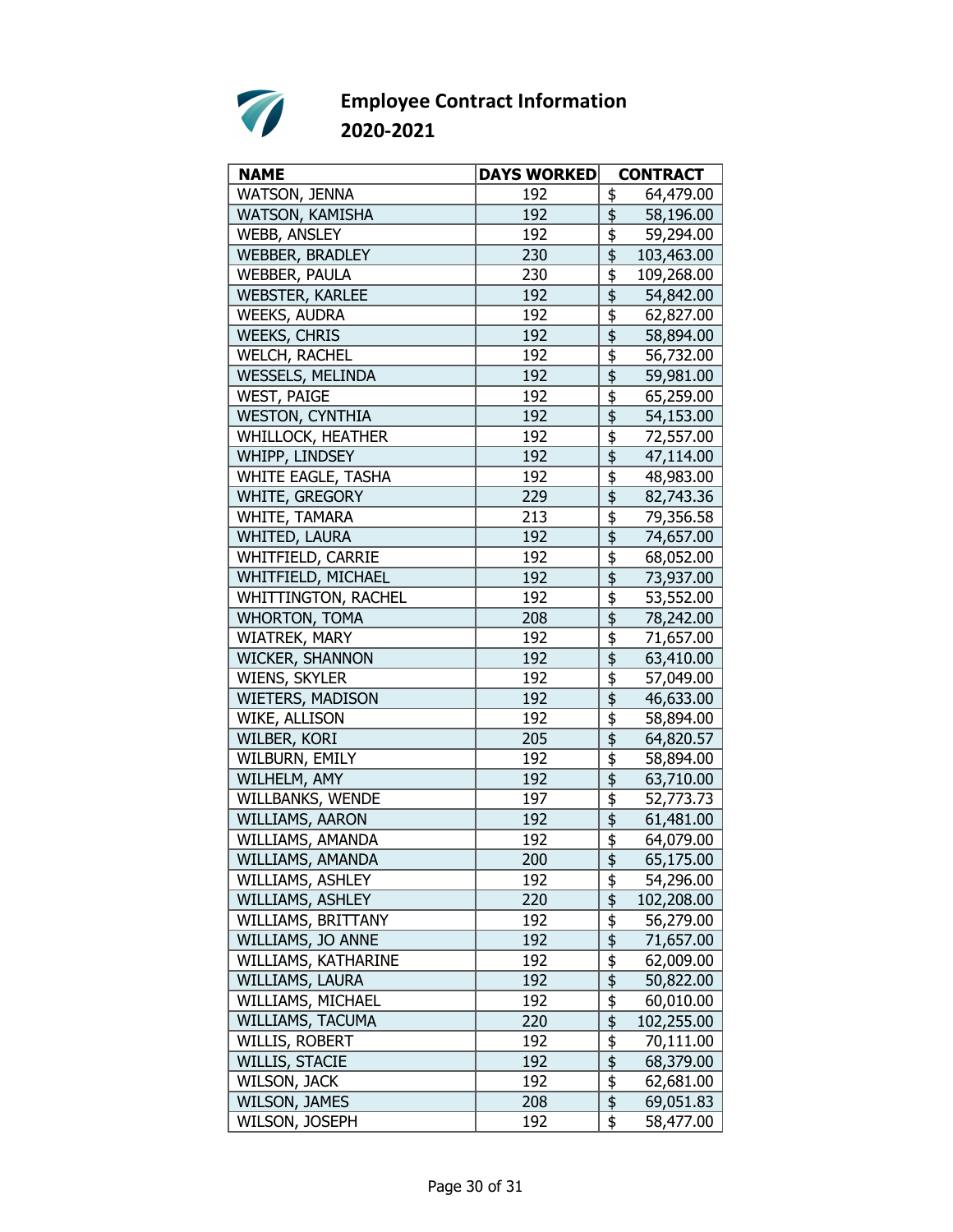

| <b>NAME</b>             | <b>DAYS WORKED</b> | <b>CONTRACT</b>                                              |
|-------------------------|--------------------|--------------------------------------------------------------|
| WATSON, JENNA           | 192                | \$<br>64,479.00                                              |
| WATSON, KAMISHA         | 192                | \$<br>58,196.00                                              |
| <b>WEBB, ANSLEY</b>     | 192                | \$<br>59,294.00                                              |
| WEBBER, BRADLEY         | 230                | \$<br>103,463.00                                             |
| WEBBER, PAULA           | 230                | \$<br>109,268.00                                             |
| <b>WEBSTER, KARLEE</b>  | 192                | 54,842.00                                                    |
| <b>WEEKS, AUDRA</b>     | 192                | $\overline{\boldsymbol{\mathfrak{s}}}$<br>62,827.00          |
| <b>WEEKS, CHRIS</b>     | 192                | \$<br>58,894.00                                              |
| WELCH, RACHEL           | 192                | \$<br>56,732.00                                              |
| <b>WESSELS, MELINDA</b> | 192                | \$<br>59,981.00                                              |
| <b>WEST, PAIGE</b>      | 192                | \$<br>65,259.00                                              |
| <b>WESTON, CYNTHIA</b>  | 192                | \$<br>54,153.00                                              |
| WHILLOCK, HEATHER       | 192                | \$<br>72,557.00                                              |
| WHIPP, LINDSEY          | 192                | $\overline{\overline{\overline{\overline{z}}}}$<br>47,114.00 |
| WHITE EAGLE, TASHA      | 192                | \$<br>48,983.00                                              |
| WHITE, GREGORY          | 229                | \$<br>82,743.36                                              |
| WHITE, TAMARA           | 213                | \$<br>79,356.58                                              |
| <b>WHITED, LAURA</b>    | 192                | \$<br>74,657.00                                              |
| WHITFIELD, CARRIE       | 192                | \$<br>68,052.00                                              |
| WHITFIELD, MICHAEL      | 192                | $\overline{\overline{\overline{5}}}$<br>73,937.00            |
| WHITTINGTON, RACHEL     | 192                | $\overline{\boldsymbol{\mathfrak{s}}}$<br>53,552.00          |
| <b>WHORTON, TOMA</b>    | 208                | \$<br>78,242.00                                              |
| WIATREK, MARY           | 192                | \$<br>71,657.00                                              |
| WICKER, SHANNON         | 192                | \$<br>63,410.00                                              |
| WIENS, SKYLER           | 192                | \$<br>57,049.00                                              |
| WIETERS, MADISON        | 192                | $\overline{\overline{\overline{5}}}$<br>46,633.00            |
| WIKE, ALLISON           | 192                | \$<br>58,894.00                                              |
| WILBER, KORI            | 205                | \$<br>64,820.57                                              |
| WILBURN, EMILY          | 192                | \$<br>58,894.00                                              |
| WILHELM, AMY            | 192                | \$<br>63,710.00                                              |
| WILLBANKS, WENDE        | 197                | \$<br>52,773.73                                              |
| WILLIAMS, AARON         | 192                | 61,481.00                                                    |
| WILLIAMS, AMANDA        | 192                | \$<br>64,079.00                                              |
| WILLIAMS, AMANDA        | 200                | $\overline{\mathfrak{s}}$<br>65,175.00                       |
| WILLIAMS, ASHLEY        | 192                | \$<br>54,296.00                                              |
| WILLIAMS, ASHLEY        | 220                | \$<br>102,208.00                                             |
| WILLIAMS, BRITTANY      | 192                | \$<br>56,279.00                                              |
| WILLIAMS, JO ANNE       | 192                | $\overline{\frac{1}{2}}$<br>71,657.00                        |
| WILLIAMS, KATHARINE     | 192                | $\overline{\mathfrak{s}}$<br>62,009.00                       |
| WILLIAMS, LAURA         | 192                | $\overline{\mathfrak{s}}$<br>50,822.00                       |
| WILLIAMS, MICHAEL       | 192                | \$<br>60,010.00                                              |
| WILLIAMS, TACUMA        | 220                | \$<br>102,255.00                                             |
| WILLIS, ROBERT          | 192                | \$<br>70,111.00                                              |
| <b>WILLIS, STACIE</b>   | 192                | $\overline{\frac{1}{2}}$<br>68,379.00                        |
| WILSON, JACK            | 192                | $\overline{\frac{1}{2}}$<br>62,681.00                        |
| <b>WILSON, JAMES</b>    | 208                | $\overline{\mathfrak{s}}$<br>69,051.83                       |
| WILSON, JOSEPH          | 192                | \$<br>58,477.00                                              |